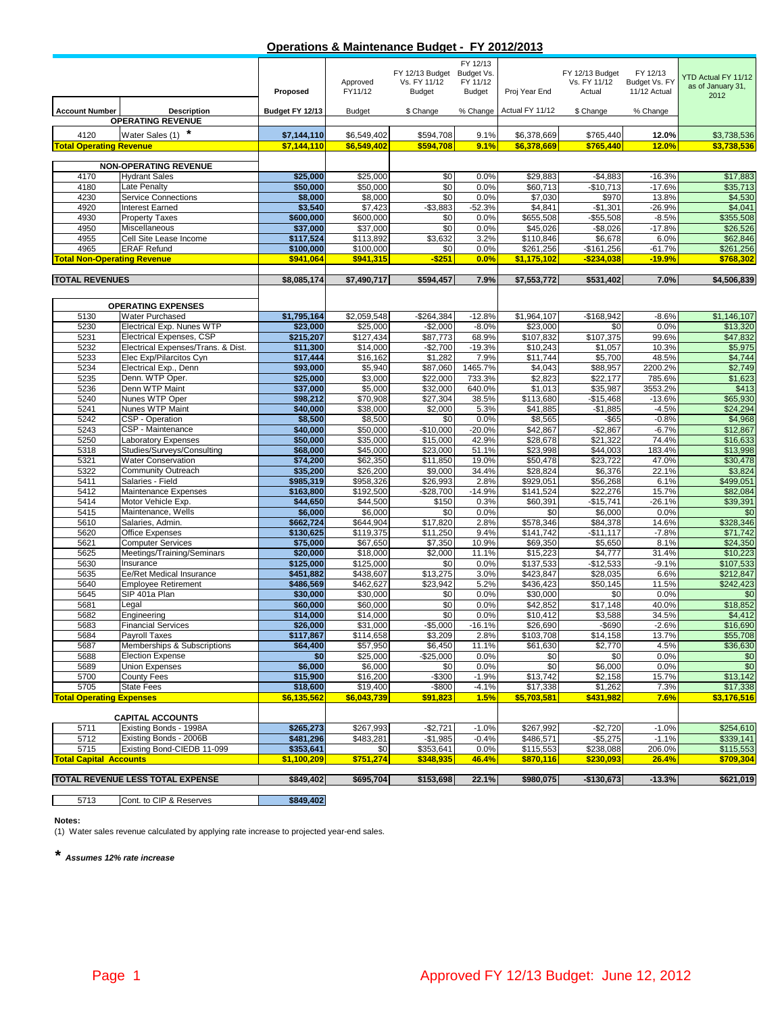#### **Operations & Maintenance Budget - FY 2012/2013**

|                                       |                                                        |                          | Approved                | FY 12/13 Budget Budget Vs.<br>Vs. FY 11/12 | FY 12/13<br>FY 11/12 |                         | FY 12/13 Budget<br>Vs. FY 11/12 | FY 12/13<br>Budget Vs. FY | <b>YTD Actual FY 11/12</b><br>as of January 31, |
|---------------------------------------|--------------------------------------------------------|--------------------------|-------------------------|--------------------------------------------|----------------------|-------------------------|---------------------------------|---------------------------|-------------------------------------------------|
|                                       |                                                        | Proposed                 | FY11/12                 | <b>Budget</b>                              | Budget               | Proj Year End           | Actual                          | 11/12 Actual              | 2012                                            |
| <b>Account Number</b>                 | <b>Description</b>                                     | Budget FY 12/13          | <b>Budget</b>           | \$ Change                                  | % Change             | Actual FY 11/12         | \$ Change                       | % Change                  |                                                 |
|                                       | <b>OPERATING REVENUE</b>                               |                          |                         |                                            |                      |                         |                                 |                           |                                                 |
| 4120                                  | Water Sales (1)                                        | \$7,144,110              | \$6,549,402             | \$594,708                                  | 9.1%                 | \$6,378,669             | \$765.440                       | 12.0%                     | \$3,738,536                                     |
| <b>Total Operating Revenue</b>        |                                                        | \$7.144.110              | \$6,549,402             | \$594.708                                  | 9.1%                 | \$6,378,669             | \$765,440                       | 12.0%                     | \$3,738,536                                     |
|                                       | <b>NON-OPERATING REVENUE</b>                           |                          |                         |                                            |                      |                         |                                 |                           |                                                 |
| 4170                                  | <b>Hydrant Sales</b>                                   | \$25,000                 | \$25,000                | \$0                                        | 0.0%                 | \$29,883                | $-$4,883$                       | $-16.3%$                  | \$17,883                                        |
| 4180                                  | Late Penalty                                           | \$50,000                 | \$50,000                | \$0                                        | 0.0%                 | \$60,713                | $-$10,713$                      | $-17.6%$                  | \$35,713                                        |
| 4230                                  | <b>Service Connections</b>                             | \$8,000                  | \$8,000                 | \$0                                        | 0.0%                 | \$7,030                 | \$970                           | 13.8%                     | \$4,530                                         |
| 4920                                  | <b>Interest Earned</b>                                 | \$3,540                  | \$7,423                 | $-$3,883$                                  | $-52.3%$             | \$4,841                 | $-$1,301$                       | $-26.9%$                  | \$4,041                                         |
| 4930                                  | <b>Property Taxes</b>                                  | \$600,000                | \$600,000               | \$0                                        | 0.0%                 | \$655,508               | $-$55,508$                      | $-8.5%$                   | \$355,508                                       |
| 4950                                  | Miscellaneous                                          | \$37,000                 | \$37,000                | \$0                                        | 0.0%                 | \$45,026                | $-$ \$8,026                     | $-17.8%$                  | \$26,526                                        |
| 4955                                  | Cell Site Lease Income                                 | \$117,524                | \$113,892               | \$3,632                                    | 3.2%                 | \$110.846               | \$6,678                         | 6.0%                      | \$62,846                                        |
| 4965                                  | <b>ERAF Refund</b>                                     | \$100,000                | \$100,000               | \$0                                        | 0.0%                 | \$261,256               | $-$161,256$                     | $-61.7%$                  | \$261,256                                       |
| <b>Total Non-Operating Revenue</b>    |                                                        | \$941,064                | \$941,315               | $-$ \$251                                  | 0.0%                 | \$1,175,102             | $-$ \$234,038                   | $-19.9%$                  | \$768,302                                       |
| <b>TOTAL REVENUES</b>                 |                                                        | \$8,085,174              | \$7,490,717             | \$594,457                                  | 7.9%                 | \$7,553,772             | \$531,402                       | 7.0%                      | \$4,506,839                                     |
|                                       |                                                        |                          |                         |                                            |                      |                         |                                 |                           |                                                 |
|                                       |                                                        |                          |                         |                                            |                      |                         |                                 |                           |                                                 |
|                                       | <b>OPERATING EXPENSES</b>                              |                          |                         |                                            |                      |                         |                                 |                           |                                                 |
| 5130<br>5230                          | Water Purchased<br>Electrical Exp. Nunes WTP           | \$1,795,164<br>\$23,000  | \$2,059,548<br>\$25,000 | $-$264,384$<br>$-$2,000$                   | $-12.8%$<br>$-8.0%$  | \$1,964,107<br>\$23,000 | $-$168,942$<br>\$0              | $-8.6%$<br>0.0%           | \$1,146,107<br>\$13,320                         |
| 5231                                  | Electrical Expenses, CSP                               | \$215,207                | \$127,434               | \$87,773                                   | 68.9%                | \$107,832               | \$107,375                       | 99.6%                     | \$47,832                                        |
| 5232                                  | Electrical Expenses/Trans. & Dist.                     | \$11,300                 | \$14,000                | $-$2,700$                                  | $-19.3%$             | \$10,243                | \$1,057                         | 10.3%                     | \$5,975                                         |
| 5233                                  | Elec Exp/Pilarcitos Cyn                                | \$17,444                 | \$16,162                | \$1,282                                    | 7.9%                 | \$11,744                | \$5,700                         | 48.5%                     | \$4,744                                         |
| 5234                                  | Electrical Exp., Denn                                  | \$93,000                 | \$5,940                 | \$87,060                                   | 1465.7%              | \$4,043                 | \$88,957                        | 2200.2%                   | \$2,749                                         |
| 5235                                  | Denn. WTP Oper.                                        | \$25,000                 | \$3,000                 | \$22,000                                   | 733.3%               | \$2,823                 | \$22,177                        | 785.6%                    | \$1,623                                         |
| 5236                                  | Denn WTP Maint                                         | \$37,000                 | \$5,000                 | \$32,000                                   | 640.0%               | \$1,013                 | \$35,987                        | 3553.2%                   | \$413                                           |
| 5240                                  | Nunes WTP Oper                                         | \$98,212                 | \$70,908                | \$27,304                                   | 38.5%                | \$113,680               | $-$15,468$                      | $-13.6%$                  | \$65,930                                        |
| 5241                                  | Nunes WTP Maint                                        | \$40,000                 | \$38,000                | \$2,000                                    | 5.3%                 | \$41,885                | $-$1,885$                       | $-4.5%$                   | \$24,294                                        |
| 5242                                  | CSP - Operation                                        | \$8,500                  | \$8,500                 | \$0                                        | 0.0%                 | \$8,565                 | $-$ \$65                        | $-0.8%$                   | \$4,968                                         |
| 5243<br>5250                          | CSP - Maintenance<br><b>Laboratory Expenses</b>        | \$40,000<br>\$50,000     | \$50,000<br>\$35,000    | $-$10,000$<br>\$15,000                     | $-20.0%$<br>42.9%    | \$42,867<br>\$28,678    | $-$2,867$<br>\$21,322           | $-6.7%$<br>74.4%          | \$12,867<br>\$16,633                            |
| 5318                                  | Studies/Surveys/Consulting                             | \$68,000                 | \$45,000                | \$23,000                                   | 51.1%                | \$23,998                | \$44,003                        | 183.4%                    | \$13,998                                        |
| 5321                                  | <b>Water Conservation</b>                              | \$74,200                 | \$62,350                | \$11,850                                   | 19.0%                | \$50,478                | \$23,722                        | 47.0%                     | \$30,478                                        |
| 5322                                  | <b>Community Outreach</b>                              | \$35,200                 | \$26,200                | \$9,000                                    | 34.4%                | \$28,824                | \$6,376                         | 22.1%                     | \$3,824                                         |
| 5411                                  | Salaries - Field                                       | \$985,319                | \$958,326               | \$26,993                                   | 2.8%                 | \$929,051               | \$56,268                        | 6.1%                      | \$499,051                                       |
| 5412                                  | Maintenance Expenses                                   | \$163,800                | \$192,500               | $-$28,700$                                 | $-14.9%$             | \$141,524               | \$22,276                        | 15.7%                     | \$82,084                                        |
| 5414                                  | Motor Vehicle Exp.                                     | \$44,650                 | \$44,500                | \$150                                      | 0.3%                 | \$60,391                | $-$15,741$                      | $-26.1%$                  | \$39,391                                        |
| 5415                                  | Maintenance, Wells                                     | \$6,000                  | \$6,000                 | \$0                                        | 0.0%                 | \$0                     | \$6,000                         | 0.0%                      | \$0                                             |
| 5610                                  | Salaries, Admin.                                       | \$662,724                | \$644,904               | \$17,820                                   | 2.8%                 | \$578,346               | \$84,378                        | 14.6%                     | \$328,346                                       |
| 5620                                  | Office Expenses                                        | \$130,625                | \$119,375               | \$11,250                                   | 9.4%                 | $\overline{$}141,742$   | $-$11,117$                      | $-7.8%$                   | \$71,742                                        |
| 5621<br>5625                          | <b>Computer Services</b><br>Meetings/Training/Seminars | \$75,000<br>\$20,000     | \$67,650<br>\$18,000    | \$7,350<br>\$2,000                         | 10.9%<br>11.1%       | \$69,350<br>\$15,223    | \$5,650<br>\$4,777              | 8.1%<br>31.4%             | \$24,350<br>\$10,223                            |
| 5630                                  | Insurance                                              | \$125,000                | \$125,000               | \$0                                        | 0.0%                 | \$137,533               | $-$12,533$                      | $-9.1%$                   | \$107,533                                       |
| 5635                                  | Ee/Ret Medical Insurance                               | \$451,882                | \$438,607               | \$13,275                                   | 3.0%                 | \$423,847               | \$28,035                        | 6.6%                      | \$212,847                                       |
| 5640                                  | <b>Employee Retirement</b>                             | \$486,569                | \$462,627               | \$23,942                                   | 5.2%                 | \$436,423               | \$50,145                        | 11.5%                     | \$242,423                                       |
| 5645                                  | SIP 401a Plan                                          | \$30,000                 | \$30,000                | \$0                                        | 0.0%                 | \$30,000                | \$0                             | 0.0%                      | \$0                                             |
| 5681                                  | Legal                                                  | \$60,000                 | \$60,000                | \$0                                        | 0.0%                 | \$42,852                | \$17,148                        | 40.0%                     | \$18,852                                        |
| 5682                                  | Engineering                                            | \$14,000                 | \$14,000                | \$0                                        | 0.0%                 | \$10.412                | \$3,588                         | 34.5%                     | \$4,412                                         |
| 5683                                  | <b>Financial Services</b>                              | \$26,000                 | \$31,000                | $-$ \$5,000                                | $-16.1%$             | \$26,690                | $-$ \$690                       | $-2.6%$                   | \$16,690                                        |
| 5684                                  | Payroll Taxes                                          | \$117,867                | \$114,658               | \$3,209                                    | 2.8%                 | \$103,708               | \$14,158                        | 13.7%                     | \$55,708                                        |
| 5687<br>5688                          | Memberships & Subscriptions<br><b>Election Expense</b> | \$64,400                 | \$57,950<br>\$25,000    | \$6,450                                    | 11.1%<br>0.0%        | \$61,630                | \$2,770                         | 4.5%<br>0.0%              | \$36,630                                        |
| 5689                                  | <b>Union Expenses</b>                                  | \$0<br>\$6,000           | \$6,000                 | $-$25,000$<br>\$0                          | 0.0%                 | \$0<br>\$0              | \$0<br>\$6,000                  | 0.0%                      | \$0<br>\$0                                      |
| 5700                                  | County Fees                                            | \$15,900                 | \$16,200                | $-$300$                                    | $-1.9%$              | \$13,742                | \$2,158                         | 15.7%                     | \$13,142                                        |
| 5705                                  | <b>State Fees</b>                                      | \$18,600                 | \$19,400                | -\$800                                     | $-4.1%$              | \$17,338                | \$1,262                         | 7.3%                      | \$17,338                                        |
| <b>Total Operating Expenses</b>       |                                                        | \$6,135,562              | \$6.043.739             | \$91.823                                   | 1.5%                 | \$5,703,581             | \$431,982                       | 7.6%                      | \$3,176,516                                     |
|                                       |                                                        |                          |                         |                                            |                      |                         |                                 |                           |                                                 |
|                                       | <b>CAPITAL ACCOUNTS</b>                                |                          |                         |                                            |                      |                         |                                 |                           |                                                 |
| 5711                                  | Existing Bonds - 1998A                                 | \$265,273                | \$267,993               | $-$2,721$                                  | $-1.0%$              | \$267,992               | $-$2,720$                       | $-1.0%$                   | \$254,610                                       |
| 5712                                  | Existing Bonds - 2006B                                 | \$481,296                | \$483,281               | $-$1,985$                                  | $-0.4%$              | \$486,571               | $-$ \$5,275                     | $-1.1%$                   | \$339,141                                       |
| 5715<br><b>Total Capital Accounts</b> | Existing Bond-CIEDB 11-099                             | \$353,641<br>\$1,100,209 | \$0                     | \$353,641                                  | 0.0%                 | \$115,553               | \$238,088                       | 206.0%                    | \$115,553                                       |
|                                       |                                                        |                          | \$751,274               | \$348,935                                  | 46.4%                | \$870,116               | \$230,093                       | 26.4%                     | \$709,304                                       |
|                                       | TOTAL REVENUE LESS TOTAL EXPENSE                       | \$849,402                | \$695,704               | \$153,698                                  | 22.1%                | \$980,075               | $-$130,673$                     | $-13.3%$                  | \$621,019                                       |
|                                       |                                                        |                          |                         |                                            |                      |                         |                                 |                           |                                                 |

5713 Cont. to CIP & Reserves **\$849,402** Γ

**Notes:**

(1) Water sales revenue calculated by applying rate increase to projected year-end sales.

*\* Assumes 12% rate increase*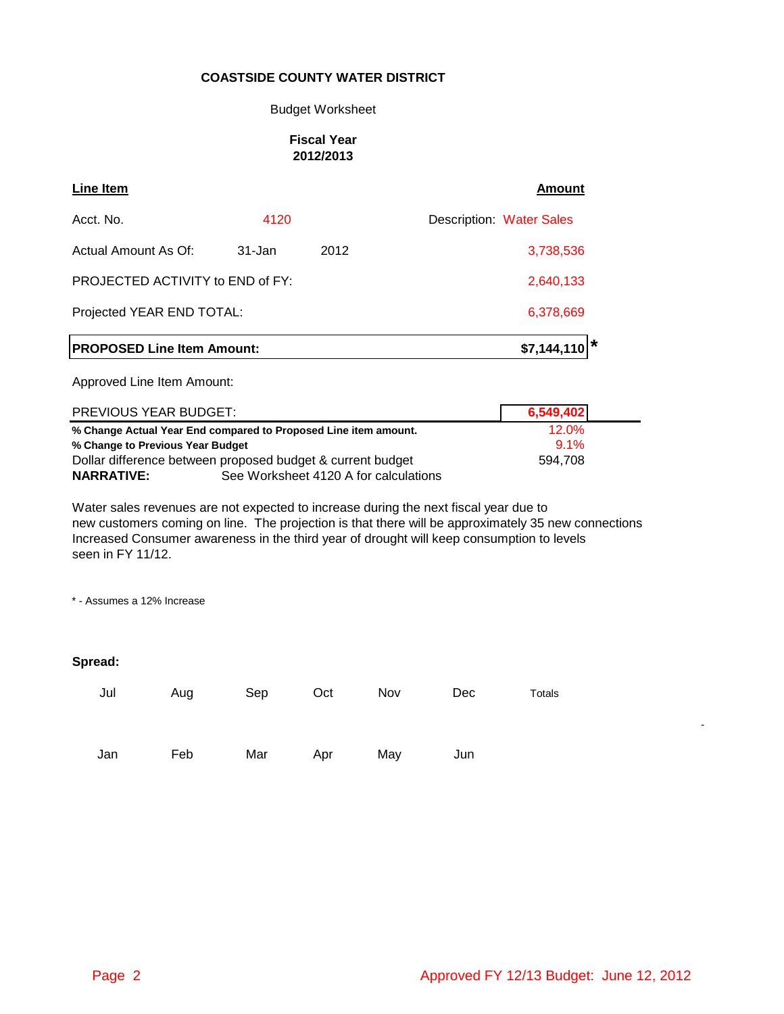#### Budget Worksheet

### **Fiscal Year 2012/2013**

| Line Item                         |            |           | Amount                          |
|-----------------------------------|------------|-----------|---------------------------------|
| Acct. No.                         | 4120       |           | <b>Description: Water Sales</b> |
| Actual Amount As Of:              | $31 - Jan$ | 2012      | 3,738,536                       |
| PROJECTED ACTIVITY to END of FY:  |            | 2,640,133 |                                 |
| Projected YEAR END TOTAL:         |            | 6,378,669 |                                 |
| <b>PROPOSED Line Item Amount:</b> |            |           | \$7,144,110                     |
| Approved Line Item Amount:        |            |           |                                 |

| PREVIOUS YEAR BUDGET:                                           |                                       | 6,549,402 |
|-----------------------------------------------------------------|---------------------------------------|-----------|
| % Change Actual Year End compared to Proposed Line item amount. | 12.0%                                 |           |
| % Change to Previous Year Budget                                | $91\%$                                |           |
| Dollar difference between proposed budget & current budget      | 594.708                               |           |
| <b>NARRATIVE:</b>                                               | See Worksheet 4120 A for calculations |           |

Water sales revenues are not expected to increase during the next fiscal year due to new customers coming on line. The projection is that there will be approximately 35 new connections Increased Consumer awareness in the third year of drought will keep consumption to levels seen in FY 11/12.

\* - Assumes a 12% Increase

### **Spread:**

| Jul | Aug | Sep | Oct | Nov | Dec | Totals |
|-----|-----|-----|-----|-----|-----|--------|
| Jan | Feb | Mar | Apr | May | Jun |        |

- 1990 - 1990 - 1990 - 1990 - 1990 - 1990 - 1990 - 1990 - 1990 - 1990 - 1990 - 1990 - 1990 - 1990 - 1990 - 199<br>1991 - 1992 - 1992 - 1992 - 1992 - 1992 - 1992 - 1992 - 1992 - 1992 - 1992 - 1992 - 1992 - 1992 - 1992 - 1992<br>1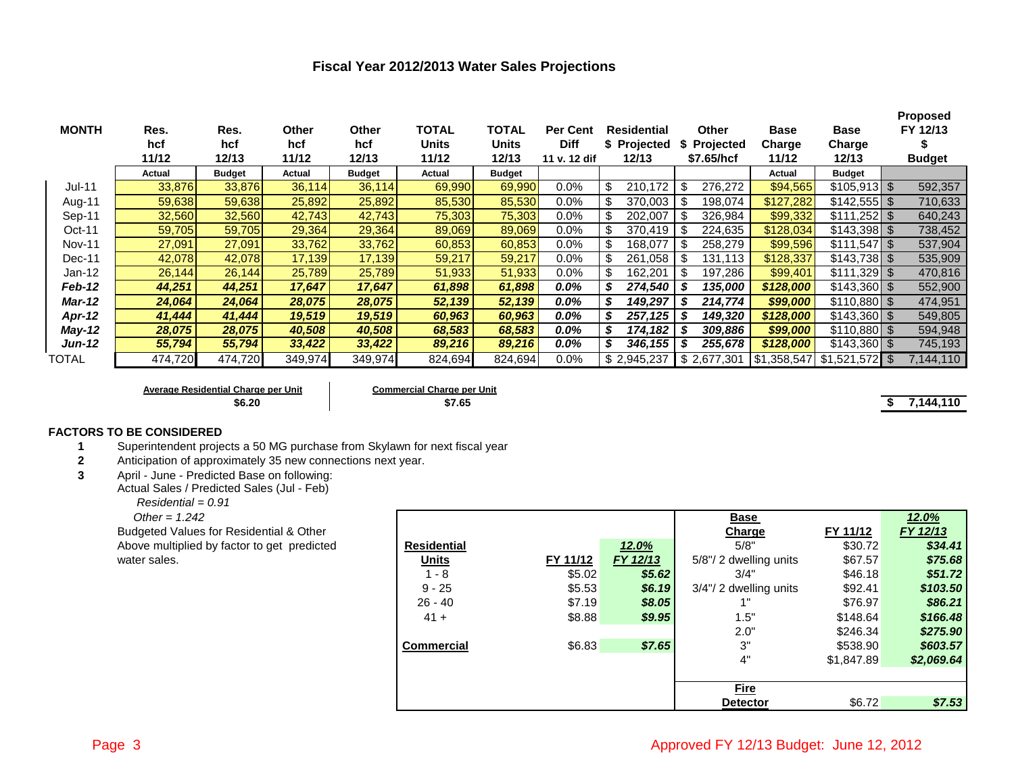### **Fiscal Year 2012/2013 Water Sales Projections**

| <b>MONTH</b>  | Res.    | Res.          | Other   | Other         | <b>TOTAL</b> | TOTAL         | <b>Per Cent</b> | Residential        | Other           | <b>Base</b>           | <b>Base</b>            | <b>Proposed</b><br>FY 12/13 |
|---------------|---------|---------------|---------|---------------|--------------|---------------|-----------------|--------------------|-----------------|-----------------------|------------------------|-----------------------------|
|               | hcf     | hcf           | hcf     | hcf           | <b>Units</b> | <b>Units</b>  | <b>Diff</b>     | \$ Projected       | \$ Projected    | Charge                | Charge                 |                             |
|               | 11/12   | 12/13         | 11/12   | 12/13         | 11/12        | 12/13         | 11 v. 12 dif    | 12/13              | \$7.65/hcf      | 11/12                 | 12/13                  | <b>Budget</b>               |
|               | Actual  | <b>Budget</b> | Actual  | <b>Budget</b> | Actual       | <b>Budget</b> |                 |                    |                 | Actual                | <b>Budget</b>          |                             |
| <b>Jul-11</b> | 33,876  | 33,876        | 36,114  | 36,114        | 69,990       | 69,990        | $0.0\%$         | 210,172<br>- \$    | 276,272         | \$94,565              | $$105,913$ \$          | 592,357                     |
| Aug-11        | 59,638  | 59,638        | 25,892  | 25,892        | 85,530       | 85,530        | $0.0\%$         | 370.003            | 198,074         | \$127,282             |                        | 710,633                     |
| Sep-11        | 32,560  | 32,560        | 42,743  | 42,743        | 75,303       | 75,303        | $0.0\%$         | 202.007            | 326,984         | \$99,332              |                        | 640,243                     |
| Oct-11        | 59,705  | 59,705        | 29,364  | 29,364        | 89,069       | 89,069        | 0.0%            | 370.419            | 224,635         | \$128,034             | $$143,398$ \$          | 738,452                     |
| <b>Nov-11</b> | 27,091  | 27,091        | 33,762  | 33,762        | 60,853       | 60,853        | $0.0\%$         | -\$<br>168,077     | 258,279         | \$99,596              |                        | 537,904                     |
| Dec-11        | 42,078  | 42,078        | 17,139  | 17,139        | 59,217       | 59,217        | $0.0\%$         | -\$<br>261,058     | 131.113         | \$128,337             | $$143,738$ \$          | 535,909                     |
| $Jan-12$      | 26,144  | 26,144        | 25,789  | 25,789        | 51,933       | 51,933        | 0.0%            | 162,201<br>- \$    | 197,286<br>- \$ | \$99,401              | $$111,329$ \$          | 470,816                     |
| Feb-12        | 44,251  | 44,251        | 17,647  | 17,647        | 61,898       | 61.898        | 0.0%            | \$<br>274,540      | 135,000         | \$128,000             | $$143,360$ \ \$        | 552,900                     |
| <b>Mar-12</b> | 24,064  | 24,064        | 28,075  | 28,075        | 52,139       | 52,139        | 0.0%            | 149,297<br>\$      | 214,774         | \$99,000              | $$110,880$ \$          | 474,951                     |
| <b>Apr-12</b> | 41,444  | 41,444        | 19,519  | 19,519        | 60,963       | 60,963        | $0.0\%$         | $257,125$ \$<br>\$ | 149.320         | \$128,000             | $$143,360$ \$          | 549,805                     |
| May-12        | 28,075  | 28,075        | 40,508  | 40,508        | 68,583       | 68,583        | $0.0\%$         | 174,182  <br>\$    | 309,886         | \$99,000              | $$110,880$ \ \$        | 594,948                     |
| Jun-12        | 55,794  | 55,794        | 33,422  | 33,422        | 89,216       | 89,216        | 0.0%            | \$<br>346,155      | 255,678         | \$128,000             | $$143,360$ \$          | 745,193                     |
| TOTAL         | 474,720 | 474,720       | 349,974 | 349,974       | 824,694      | 824,694       | 0.0%            | \$2.945.237        | \$2,677,301     | $$1,358,547$ $$1,521$ | $.572$ \ $\frac{1}{3}$ | 7,144,110                   |

**Average Residential Charge per Unit Commercial Charge per Unit**

**\$6.20 \$7.65 \$ 7,144,110**

#### **FACTORS TO BE CONSIDERED**

- **1** Superintendent projects a 50 MG purchase from Skylawn for next fiscal year<br>**2** Anticipation of approximately 35 new connections next year.
- **2** Anticipation of approximately 35 new connections next year.
- **3** April June Predicted Base on following:

Actual Sales / Predicted Sales (Jul - Feb)

 *Residential = 0.91*

Other = 
$$
1.242
$$

| Other = $1.242$                             |                    |          |          | <b>Base</b>            |            | <u>12.0%</u> |
|---------------------------------------------|--------------------|----------|----------|------------------------|------------|--------------|
| Budgeted Values for Residential & Other     |                    |          |          | Charge                 | FY 11/12   | FY 12/13     |
| Above multiplied by factor to get predicted | <b>Residential</b> |          | 12.0%    | 5/8"                   | \$30.72    | \$34.41      |
| water sales.                                | <b>Units</b>       | FY 11/12 | FY 12/13 | 5/8"/2 dwelling units  | \$67.57    | \$75.68      |
|                                             | 1 - 8              | \$5.02   | \$5.62   | 3/4"                   | \$46.18    | \$51.72      |
|                                             | $9 - 25$           | \$5.53   | \$6.19   | 3/4"/ 2 dwelling units | \$92.41    | \$103.50     |
|                                             | $26 - 40$          | \$7.19   | \$8.05   |                        | \$76.97    | \$86.21      |
|                                             | $41 +$             | \$8.88   | \$9.95   | 1.5"                   | \$148.64   | \$166.48     |
|                                             |                    |          |          | 2.0"                   | \$246.34   | \$275.90     |
|                                             | <b>Commercial</b>  | \$6.83   | \$7.65   | 3"                     | \$538.90   | \$603.57     |
|                                             |                    |          |          | 4"                     | \$1,847.89 | \$2,069.64   |
|                                             |                    |          |          |                        |            |              |
|                                             |                    |          |          | <b>Fire</b>            |            |              |
|                                             |                    |          |          | <b>Detector</b>        | \$6.72     | \$7.53       |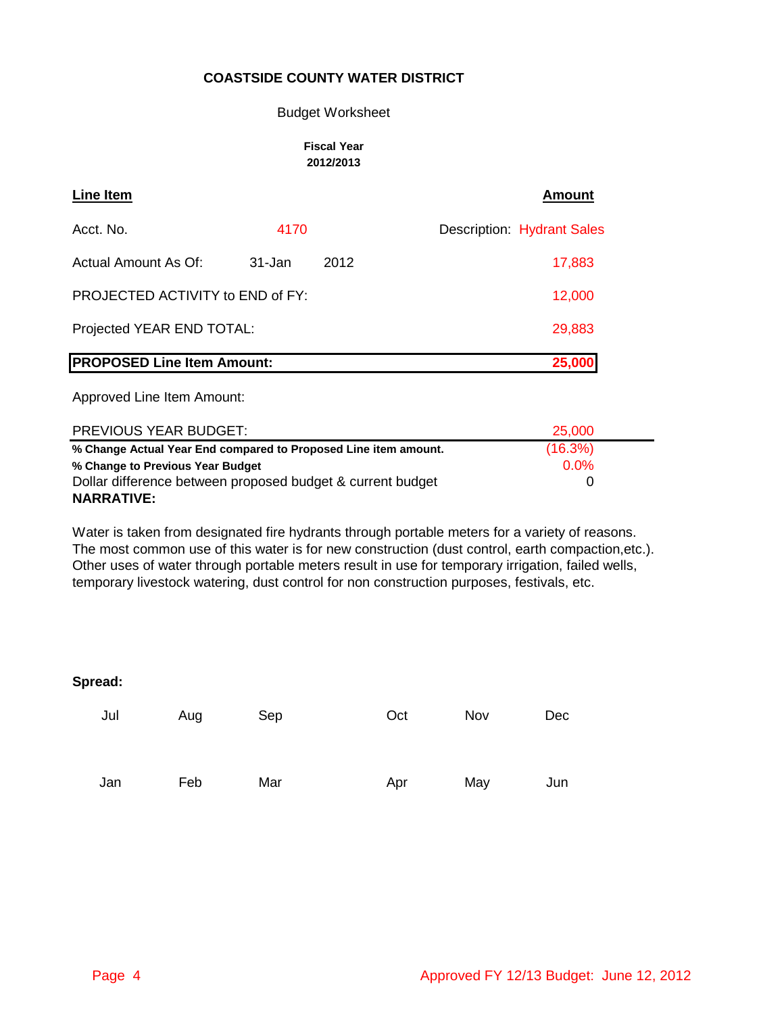#### Budget Worksheet

#### **Fiscal Year 2012/2013**

| Line Item                         |        |      | Amount                            |
|-----------------------------------|--------|------|-----------------------------------|
| Acct. No.                         | 4170   |      | <b>Description: Hydrant Sales</b> |
| Actual Amount As Of:              | 31-Jan | 2012 | 17,883                            |
| PROJECTED ACTIVITY to END of FY:  | 12,000 |      |                                   |
| Projected YEAR END TOTAL:         | 29,883 |      |                                   |
| <b>PROPOSED Line Item Amount:</b> |        |      | 25,000                            |

Approved Line Item Amount:

| PREVIOUS YEAR BUDGET:                                           | 25.000  |  |
|-----------------------------------------------------------------|---------|--|
| % Change Actual Year End compared to Proposed Line item amount. | (16.3%) |  |
| % Change to Previous Year Budget                                | $0.0\%$ |  |
| Dollar difference between proposed budget & current budget      |         |  |
| <b>NARRATIVE:</b>                                               |         |  |

Water is taken from designated fire hydrants through portable meters for a variety of reasons. The most common use of this water is for new construction (dust control, earth compaction,etc.). Other uses of water through portable meters result in use for temporary irrigation, failed wells, temporary livestock watering, dust control for non construction purposes, festivals, etc.

| Jul | Aug | Sep | Oct | Nov | Dec |
|-----|-----|-----|-----|-----|-----|
| Jan | Feb | Mar | Apr | May | Jun |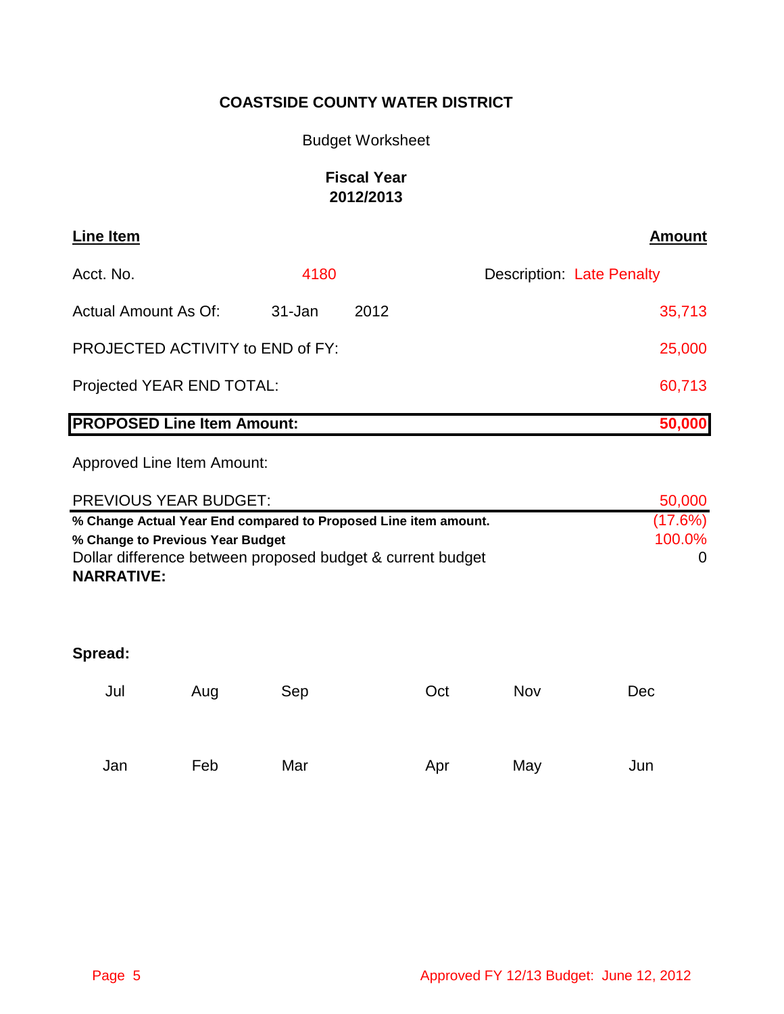# Budget Worksheet

# **Fiscal Year 2012/2013**

| <b>Line Item</b>                  |               |      | <b>Amount</b>                    |
|-----------------------------------|---------------|------|----------------------------------|
| Acct. No.                         | 4180          |      | <b>Description: Late Penalty</b> |
| Actual Amount As Of:              | $31 - Jan$    | 2012 | 35,713                           |
| PROJECTED ACTIVITY to END of FY:  | 25,000        |      |                                  |
| Projected YEAR END TOTAL:         | 60,713        |      |                                  |
| <b>PROPOSED Line Item Amount:</b> |               |      | 50,000                           |
| Approved Line Item Amount:        |               |      |                                  |
| DDEVIAUS VEAD DUNCET.             | <b>EN NAN</b> |      |                                  |

| <b>PREVIOUS YEAR BUDGET:</b>                                    | 50,000  |
|-----------------------------------------------------------------|---------|
| % Change Actual Year End compared to Proposed Line item amount. | (17.6%) |
| % Change to Previous Year Budget                                | 100.0%  |
| Dollar difference between proposed budget & current budget      |         |
| <b>NARRATIVE:</b>                                               |         |

| Jul | Aug | Sep | Oct | Nov | Dec |
|-----|-----|-----|-----|-----|-----|
| Jan | Feb | Mar | Apr | May | Jun |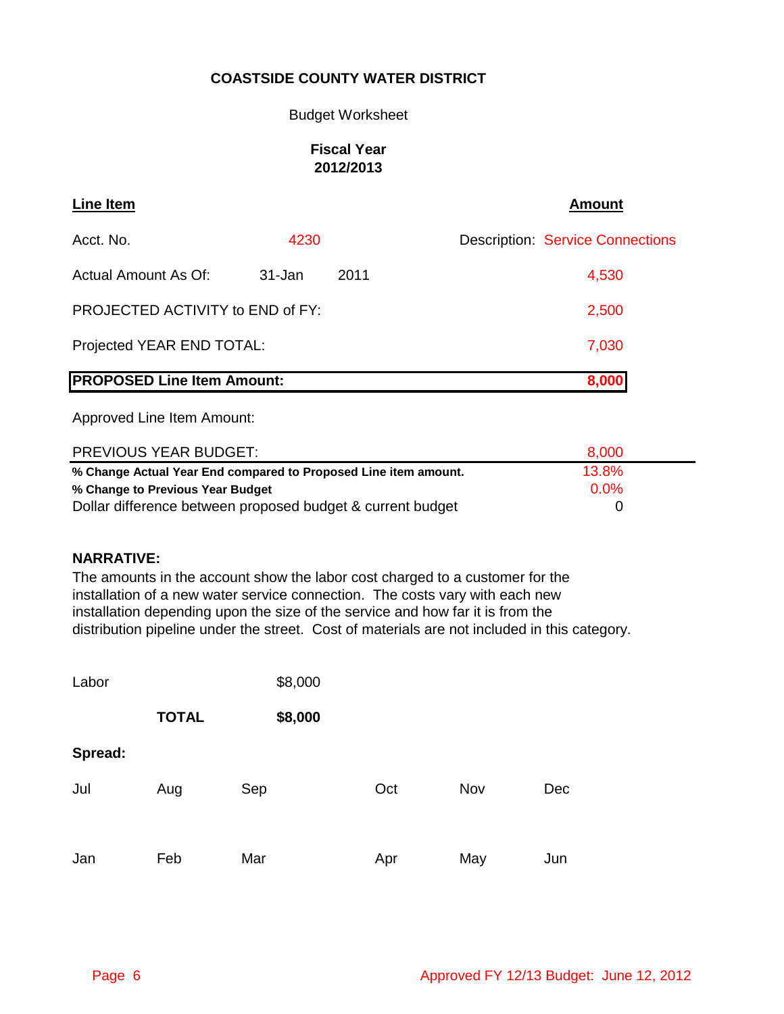### Budget Worksheet

### **Fiscal Year 2012/2013**

| Line Item                               |        |      | <b>Amount</b>                           |
|-----------------------------------------|--------|------|-----------------------------------------|
| Acct. No.                               | 4230   |      | <b>Description: Service Connections</b> |
| Actual Amount As Of:                    | 31-Jan | 2011 | 4,530                                   |
| <b>PROJECTED ACTIVITY to END of FY:</b> |        |      | 2,500                                   |
| Projected YEAR END TOTAL:               |        |      | 7,030                                   |
| <b>PROPOSED Line Item Amount:</b>       |        |      | 8,000                                   |

Approved Line Item Amount:

| <b>PREVIOUS YEAR BUDGET:</b>                                    | 8,000   |  |
|-----------------------------------------------------------------|---------|--|
| % Change Actual Year End compared to Proposed Line item amount. | 13.8%   |  |
| % Change to Previous Year Budget                                | $0.0\%$ |  |
| Dollar difference between proposed budget & current budget      |         |  |

### **NARRATIVE:**

The amounts in the account show the labor cost charged to a customer for the installation of a new water service connection. The costs vary with each new installation depending upon the size of the service and how far it is from the distribution pipeline under the street. Cost of materials are not included in this category.

| Labor   |              | \$8,000 |     |     |     |
|---------|--------------|---------|-----|-----|-----|
|         | <b>TOTAL</b> | \$8,000 |     |     |     |
| Spread: |              |         |     |     |     |
| Jul     | Aug          | Sep     | Oct | Nov | Dec |
|         |              |         |     |     |     |
| Jan     | Feb          | Mar     | Apr | May | Jun |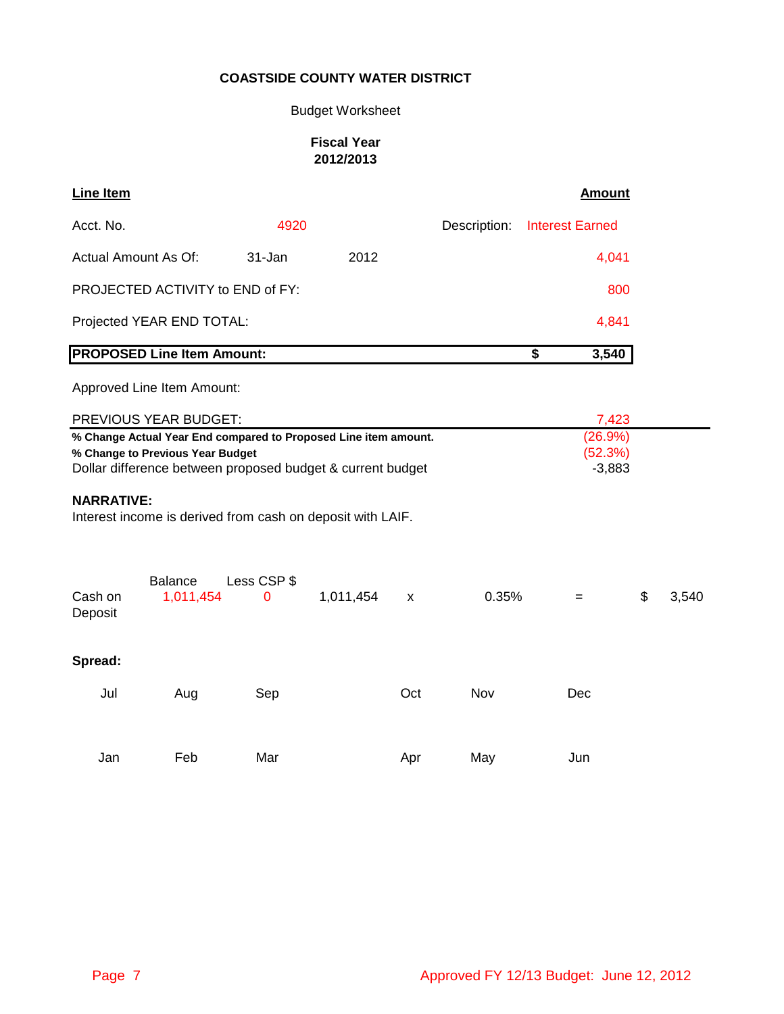# Budget Worksheet

### **Fiscal Year 2012/2013**

| <b>Line Item</b>                                                                                                                                                                                    |                                                            |                  |           |     |              | <b>Amount</b>                                 |       |       |
|-----------------------------------------------------------------------------------------------------------------------------------------------------------------------------------------------------|------------------------------------------------------------|------------------|-----------|-----|--------------|-----------------------------------------------|-------|-------|
| Acct. No.                                                                                                                                                                                           |                                                            | 4920             |           |     | Description: | <b>Interest Earned</b>                        |       |       |
| Actual Amount As Of:                                                                                                                                                                                |                                                            | 31-Jan           | 2012      |     |              |                                               | 4,041 |       |
|                                                                                                                                                                                                     | PROJECTED ACTIVITY to END of FY:                           |                  |           |     |              |                                               | 800   |       |
|                                                                                                                                                                                                     | Projected YEAR END TOTAL:                                  |                  |           |     |              |                                               | 4,841 |       |
|                                                                                                                                                                                                     | <b>PROPOSED Line Item Amount:</b>                          |                  |           |     |              | $\overline{\boldsymbol{\mathsf{s}}}$<br>3,540 |       |       |
|                                                                                                                                                                                                     | Approved Line Item Amount:                                 |                  |           |     |              |                                               |       |       |
|                                                                                                                                                                                                     | PREVIOUS YEAR BUDGET:                                      |                  |           |     |              |                                               | 7,423 |       |
| (26.9%)<br>% Change Actual Year End compared to Proposed Line item amount.<br>(52.3%)<br>% Change to Previous Year Budget<br>Dollar difference between proposed budget & current budget<br>$-3,883$ |                                                            |                  |           |     |              |                                               |       |       |
| <b>NARRATIVE:</b>                                                                                                                                                                                   | Interest income is derived from cash on deposit with LAIF. |                  |           |     |              |                                               |       |       |
| Cash on<br>Deposit                                                                                                                                                                                  | <b>Balance</b><br>1,011,454                                | Less CSP \$<br>0 | 1,011,454 | X   | 0.35%        | =                                             | \$    | 3,540 |
| Spread:                                                                                                                                                                                             |                                                            |                  |           |     |              |                                               |       |       |
| Jul                                                                                                                                                                                                 | Aug                                                        | Sep              |           | Oct | Nov          | Dec                                           |       |       |
|                                                                                                                                                                                                     |                                                            |                  |           |     |              |                                               |       |       |
| Jan                                                                                                                                                                                                 | Feb                                                        | Mar              |           | Apr | May          | Jun                                           |       |       |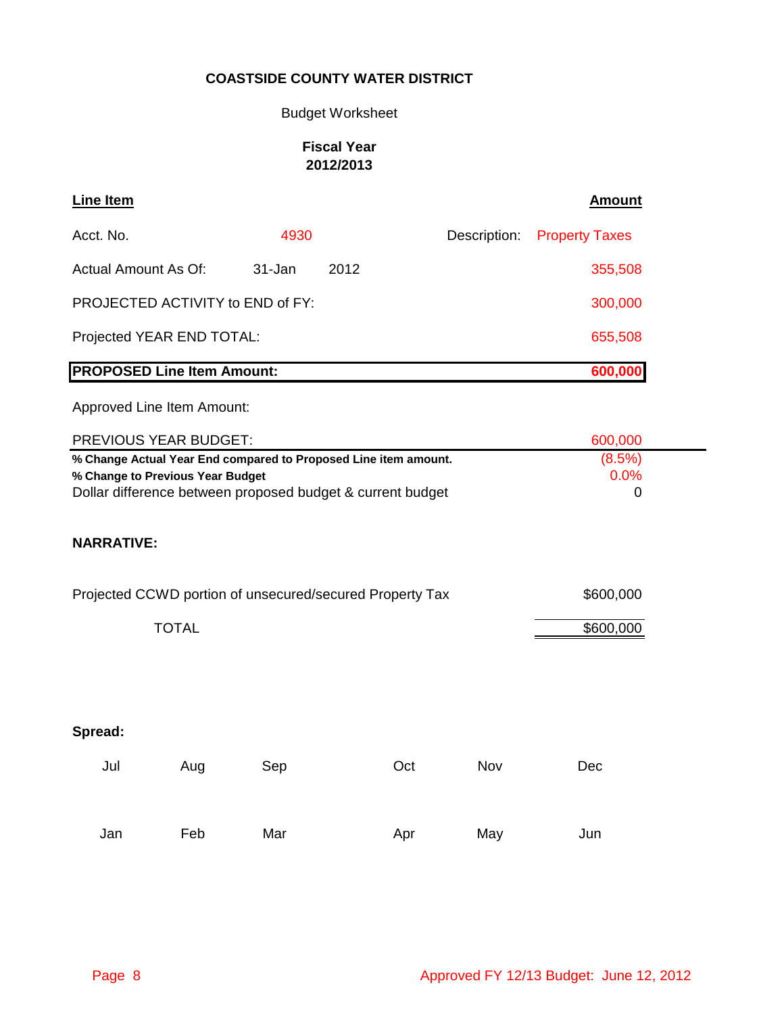# Budget Worksheet

# **Fiscal Year 2012/2013**

| <b>Line Item</b>                                                                               | <b>Amount</b>         |
|------------------------------------------------------------------------------------------------|-----------------------|
| Acct. No.<br>4930<br>Description:                                                              | <b>Property Taxes</b> |
| <b>Actual Amount As Of:</b><br>$31 - Jan$<br>2012                                              | 355,508               |
| PROJECTED ACTIVITY to END of FY:                                                               | 300,000               |
| Projected YEAR END TOTAL:                                                                      | 655,508               |
| <b>PROPOSED Line Item Amount:</b>                                                              | 600,000               |
| Approved Line Item Amount:                                                                     |                       |
| PREVIOUS YEAR BUDGET:                                                                          | 600,000               |
| % Change Actual Year End compared to Proposed Line item amount.                                | (8.5%)                |
| % Change to Previous Year Budget<br>Dollar difference between proposed budget & current budget | 0.0%<br>0             |
| <b>NARRATIVE:</b>                                                                              |                       |
| Projected CCWD portion of unsecured/secured Property Tax                                       | \$600,000             |
| <b>TOTAL</b>                                                                                   | \$600,000             |
|                                                                                                |                       |
|                                                                                                |                       |
| Spread:                                                                                        |                       |
| Jul<br>Nov<br>Aug<br>Sep<br>Oct                                                                | Dec                   |

Jan Feb Mar Apr May Jun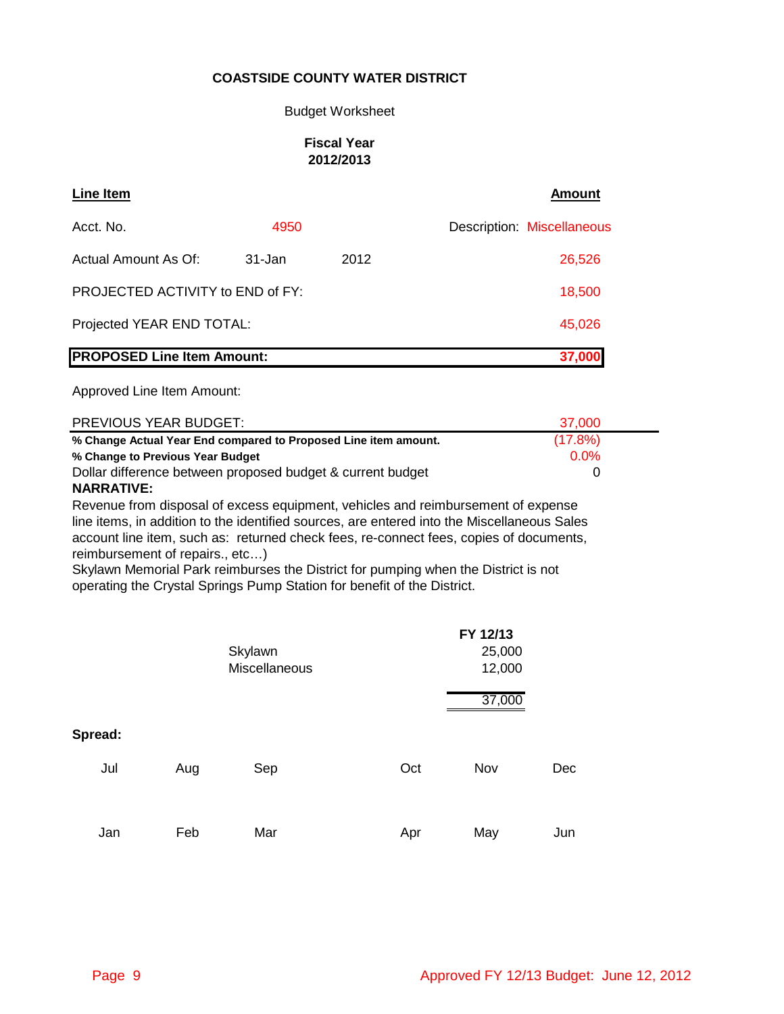### Budget Worksheet

### **Fiscal Year 2012/2013**

| Line Item                         |        |      | <b>Amount</b>              |
|-----------------------------------|--------|------|----------------------------|
| Acct. No.                         | 4950   |      | Description: Miscellaneous |
| Actual Amount As Of:              | 31-Jan | 2012 | 26,526                     |
| PROJECTED ACTIVITY to END of FY:  |        |      | 18,500                     |
| Projected YEAR END TOTAL:         |        |      | 45,026                     |
| <b>PROPOSED Line Item Amount:</b> |        |      | 37,000                     |

Approved Line Item Amount:

| <b>PREVIOUS YEAR BUDGET:</b>                                    | 37,000  |
|-----------------------------------------------------------------|---------|
| % Change Actual Year End compared to Proposed Line item amount. | (17.8%) |
| % Change to Previous Year Budget                                | $0.0\%$ |
| Dollar difference between proposed budget & current budget      |         |
|                                                                 |         |

### **NARRATIVE:**

Revenue from disposal of excess equipment, vehicles and reimbursement of expense line items, in addition to the identified sources, are entered into the Miscellaneous Sales account line item, such as: returned check fees, re-connect fees, copies of documents, reimbursement of repairs., etc…)

Skylawn Memorial Park reimburses the District for pumping when the District is not operating the Crystal Springs Pump Station for benefit of the District.

|                |     | Skylawn<br>Miscellaneous |     | FY 12/13<br>25,000<br>12,000 |     |
|----------------|-----|--------------------------|-----|------------------------------|-----|
| Spread:<br>Jul | Aug | Sep                      | Oct | 37,000<br>Nov                | Dec |
| Jan            | Feb | Mar                      | Apr | May                          | Jun |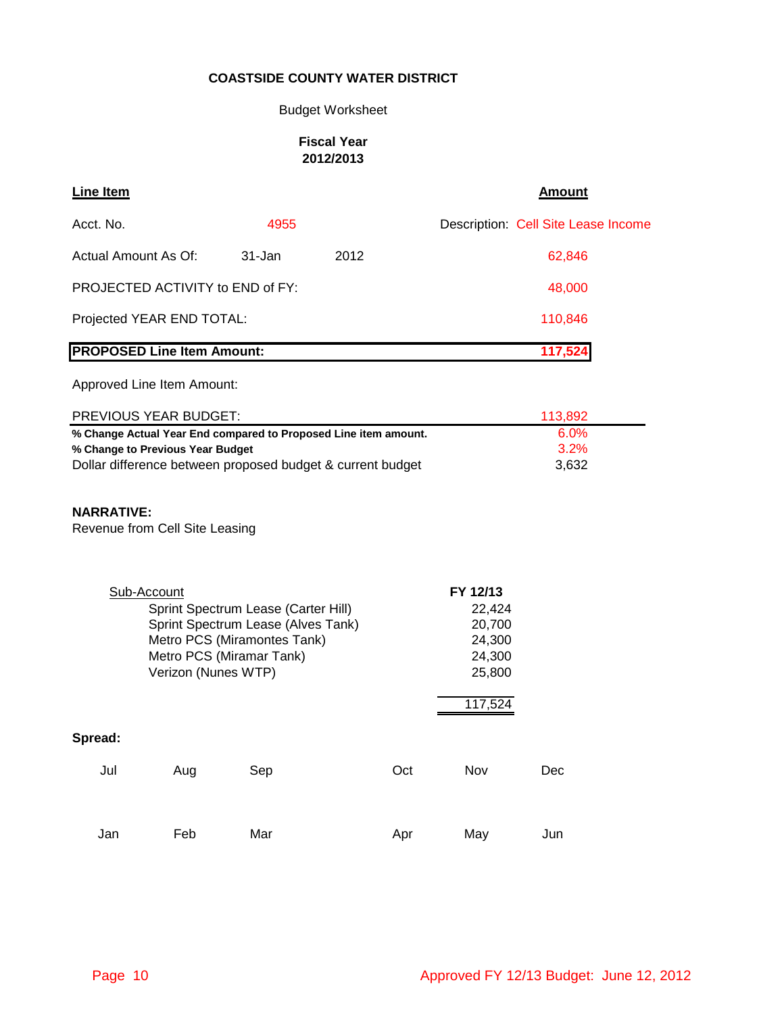# Budget Worksheet

### **Fiscal Year 2012/2013**

| <b>Line Item</b>                                                                        |                     |                                                                                                                                      |                                                                                                                               |                                                                       | <b>Amount</b>                       |
|-----------------------------------------------------------------------------------------|---------------------|--------------------------------------------------------------------------------------------------------------------------------------|-------------------------------------------------------------------------------------------------------------------------------|-----------------------------------------------------------------------|-------------------------------------|
| Acct. No.                                                                               |                     | 4955                                                                                                                                 |                                                                                                                               |                                                                       | Description: Cell Site Lease Income |
| Actual Amount As Of:                                                                    |                     | 31-Jan                                                                                                                               | 2012                                                                                                                          |                                                                       | 62,846                              |
| PROJECTED ACTIVITY to END of FY:                                                        |                     |                                                                                                                                      |                                                                                                                               |                                                                       | 48,000                              |
| Projected YEAR END TOTAL:                                                               |                     |                                                                                                                                      |                                                                                                                               |                                                                       | 110,846                             |
| <b>PROPOSED Line Item Amount:</b>                                                       |                     |                                                                                                                                      |                                                                                                                               |                                                                       | 117,524                             |
| Approved Line Item Amount:                                                              |                     |                                                                                                                                      |                                                                                                                               |                                                                       |                                     |
| PREVIOUS YEAR BUDGET:                                                                   |                     |                                                                                                                                      |                                                                                                                               |                                                                       | 113,892                             |
| % Change to Previous Year Budget<br><b>NARRATIVE:</b><br>Revenue from Cell Site Leasing |                     |                                                                                                                                      | % Change Actual Year End compared to Proposed Line item amount.<br>Dollar difference between proposed budget & current budget |                                                                       | 6.0%<br>3.2%<br>3,632               |
| Sub-Account                                                                             | Verizon (Nunes WTP) | Sprint Spectrum Lease (Carter Hill)<br>Sprint Spectrum Lease (Alves Tank)<br>Metro PCS (Miramontes Tank)<br>Metro PCS (Miramar Tank) |                                                                                                                               | FY 12/13<br>22,424<br>20,700<br>24,300<br>24,300<br>25,800<br>117,524 |                                     |
| Spread:                                                                                 |                     |                                                                                                                                      |                                                                                                                               |                                                                       |                                     |
| Jul                                                                                     | Aug                 | Sep                                                                                                                                  | Oct                                                                                                                           | Nov                                                                   | Dec                                 |
| Jan                                                                                     | Feb                 | Mar                                                                                                                                  | Apr                                                                                                                           | May                                                                   | Jun                                 |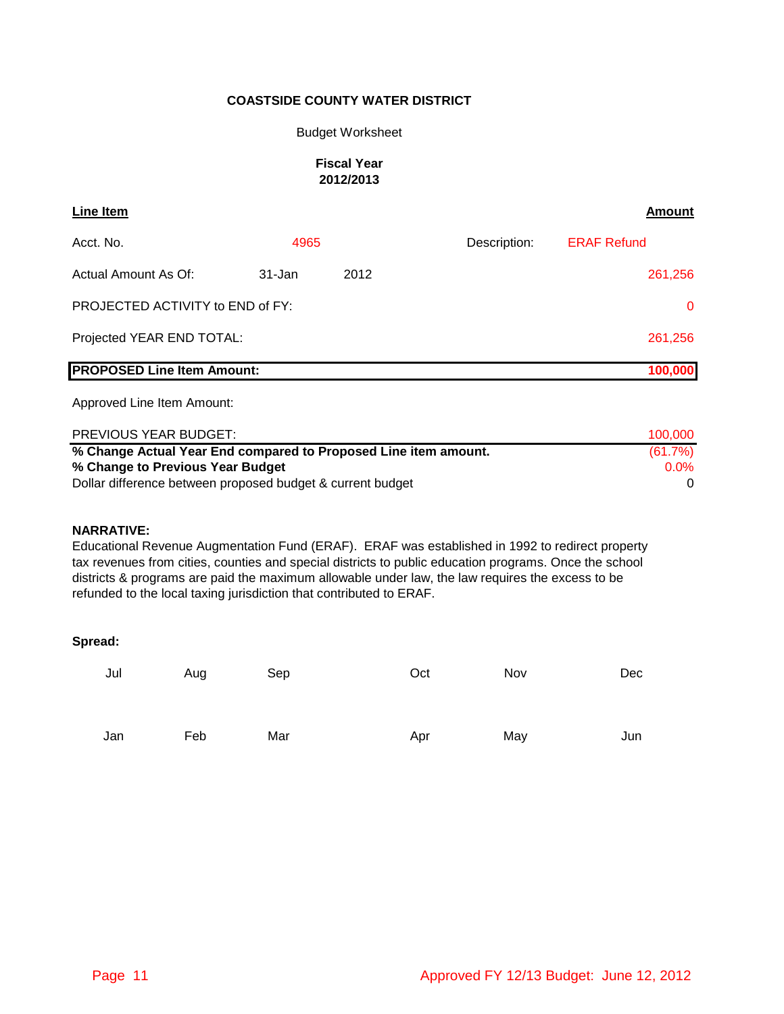#### Budget Worksheet

#### **Fiscal Year 2012/2013**

| <b>Line Item</b>                  |        |      |              | Amount             |
|-----------------------------------|--------|------|--------------|--------------------|
| Acct. No.                         | 4965   |      | Description: | <b>ERAF Refund</b> |
| Actual Amount As Of:              | 31-Jan | 2012 |              | 261,256            |
| PROJECTED ACTIVITY to END of FY:  |        |      |              | $\mathbf{0}$       |
| Projected YEAR END TOTAL:         |        |      |              | 261,256            |
| <b>PROPOSED Line Item Amount:</b> |        |      |              | 100,000            |

Approved Line Item Amount:

| <b>PREVIOUS YEAR BUDGET:</b>                                    | 100.000    |
|-----------------------------------------------------------------|------------|
| % Change Actual Year End compared to Proposed Line item amount. | $(61.7\%)$ |
| % Change to Previous Year Budget                                | $0.0\%$    |
| Dollar difference between proposed budget & current budget      |            |

#### **NARRATIVE:**

Educational Revenue Augmentation Fund (ERAF). ERAF was established in 1992 to redirect property tax revenues from cities, counties and special districts to public education programs. Once the school districts & programs are paid the maximum allowable under law, the law requires the excess to be refunded to the local taxing jurisdiction that contributed to ERAF.

| Jul | Aug | Sep | Oct | Nov | Dec |
|-----|-----|-----|-----|-----|-----|
| Jan | Feb | Mar | Apr | May | Jun |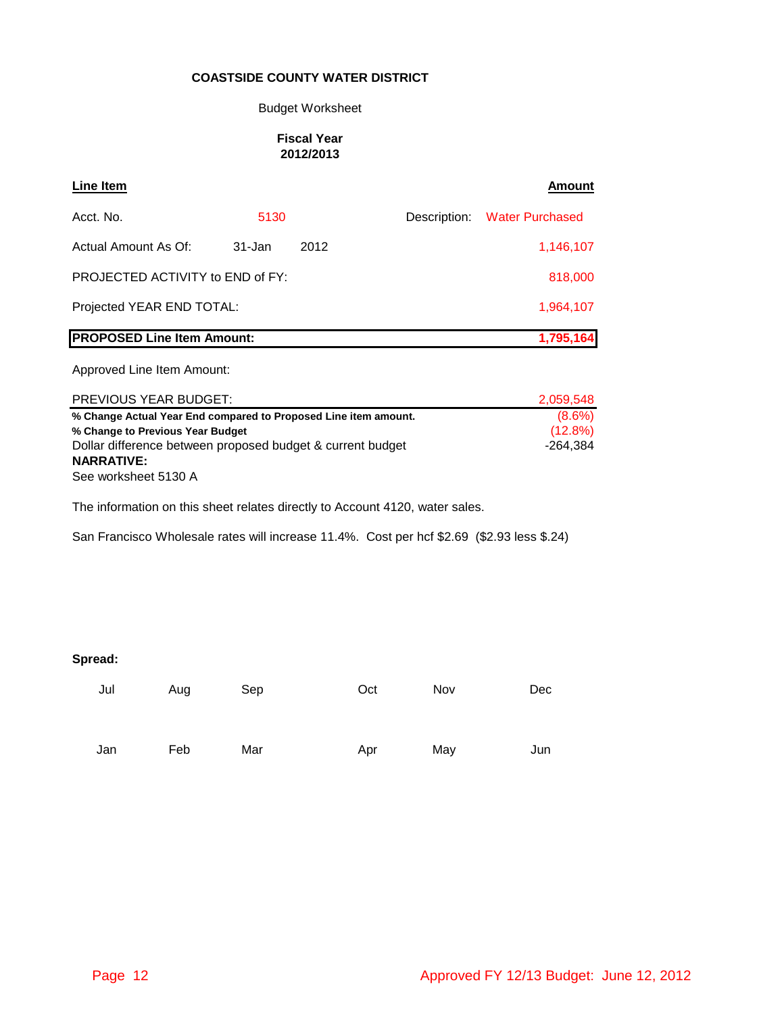#### Budget Worksheet

### **Fiscal Year 2012/2013**

| <b>Line Item</b>                                                |           |      |  | Amount                       |
|-----------------------------------------------------------------|-----------|------|--|------------------------------|
| Acct. No.                                                       | 5130      |      |  | Description: Water Purchased |
| Actual Amount As Of:                                            | 31-Jan    | 2012 |  | 1,146,107                    |
| PROJECTED ACTIVITY to END of FY:                                | 818,000   |      |  |                              |
| Projected YEAR END TOTAL:                                       | 1,964,107 |      |  |                              |
| <b>PROPOSED Line Item Amount:</b>                               |           |      |  | 1,795,164                    |
| Approved Line Item Amount:                                      |           |      |  |                              |
| <b>PREVIOUS YEAR BUDGET:</b>                                    |           |      |  | 2,059,548                    |
| % Change Actual Year End compared to Proposed Line item amount. | $(8.6\%)$ |      |  |                              |
| % Change to Previous Year Budget                                | (12.8%)   |      |  |                              |
| Dollar difference between proposed budget & current budget      |           |      |  | -264.384                     |

Dollar difference between proposed budget & current budget

The information on this sheet relates directly to Account 4120, water sales.

#### **Spread:**

**NARRATIVE:**

See worksheet 5130 A

| Jul | Aug | Sep | Oct | Nov | Dec |
|-----|-----|-----|-----|-----|-----|
|     |     |     |     |     |     |
| Jan | Feb | Mar | Apr | May | Jun |

San Francisco Wholesale rates will increase 11.4%. Cost per hcf \$2.69 (\$2.93 less \$.24)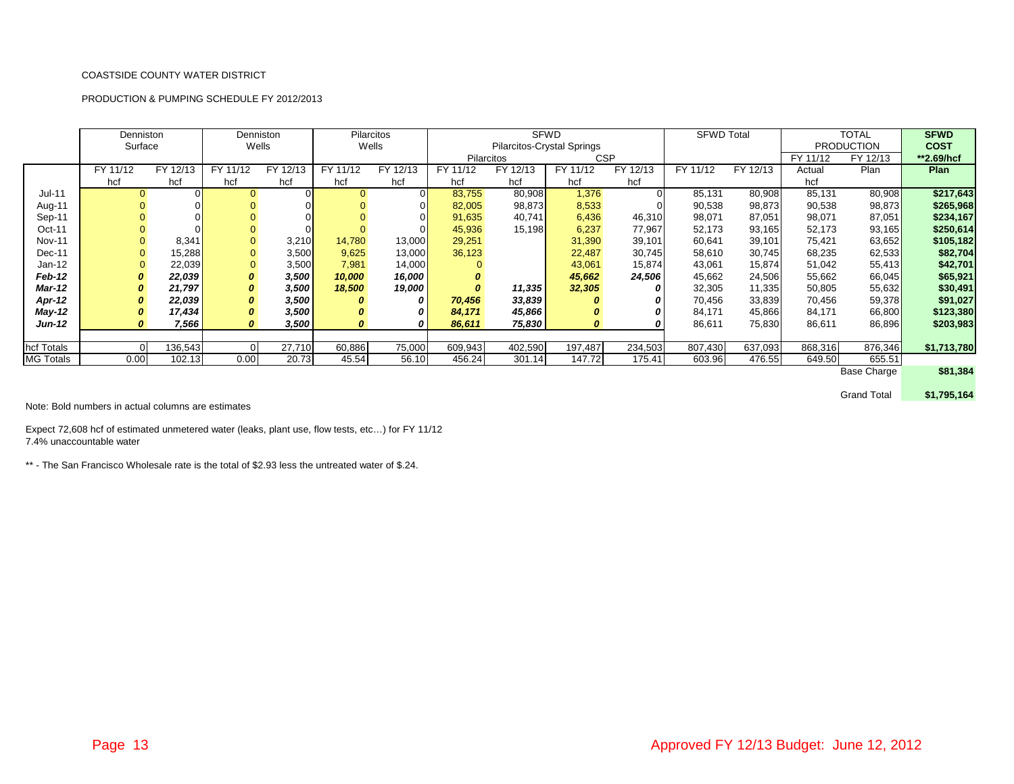#### PRODUCTION & PUMPING SCHEDULE FY 2012/2013

|                  | Denniston<br>Surface |                |          | <b>Denniston</b><br>Wells |             | <b>Pilarcitos</b><br>Wells |          | <b>SFWD</b><br><b>TOTAL</b><br><b>SFWD Total</b><br><b>Pilarcitos-Crystal Springs</b><br><b>PRODUCTION</b> |            |          |          |          |          |                    | <b>SFWD</b><br><b>COST</b> |
|------------------|----------------------|----------------|----------|---------------------------|-------------|----------------------------|----------|------------------------------------------------------------------------------------------------------------|------------|----------|----------|----------|----------|--------------------|----------------------------|
|                  |                      |                |          |                           |             |                            |          | Pilarcitos                                                                                                 | <b>CSP</b> |          |          |          | FY 11/12 | FY 12/13           | **2.69/hcf                 |
|                  | FY 11/12             | FY 12/13       | FY 11/12 | FY 12/13                  | FY 11/12    | FY 12/13                   | FY 11/12 | FY 12/13                                                                                                   | FY 11/12   | FY 12/13 | FY 11/12 | FY 12/13 | Actual   | Plan               | Plan                       |
|                  | hcf                  | hcf            | hcf      | hcf                       | hcf         | hcf                        | hcf      | hcf                                                                                                        | hcf        | hcf      |          |          | hcf      |                    |                            |
| $Jul-11$         | $\Omega$             | $\overline{0}$ |          |                           | $\mathbf 0$ |                            | 83,755   | 80,908                                                                                                     | 1,376      |          | 85,131   | 80,908   | 85,131   | 80,908             | \$217,643                  |
| Aug-11           |                      | 01             |          |                           |             |                            | 82,005   | 98,873                                                                                                     | 8,533      |          | 90,538   | 98,873   | 90,538   | 98,873             | \$265,968                  |
| Sep-11           |                      | 01             |          |                           |             |                            | 91,635   | 40,741                                                                                                     | 6,436      | 46,310   | 98,071   | 87,051   | 98,071   | 87,051             | \$234,167                  |
| Oct-11           |                      | $\Omega$       |          |                           |             |                            | 45,936   | 15,198                                                                                                     | 6,237      | 77,967   | 52,173   | 93,165   | 52,173   | 93,165             | \$250,614                  |
| <b>Nov-11</b>    |                      | 8,341          |          | 3,210                     | 14,780      | 13,000                     | 29,251   |                                                                                                            | 31,390     | 39,101   | 60,641   | 39,101   | 75,421   | 63,652             | \$105,182                  |
| Dec-11           |                      | 15,288         |          | 3,500                     | 9,625       | 13,000                     | 36,123   |                                                                                                            | 22,487     | 30,745   | 58,610   | 30,745   | 68,235   | 62,533             | \$82,704                   |
| Jan-12           | $\Omega$             | 22,039         |          | 3,500                     | 7,981       | 14,000                     |          |                                                                                                            | 43,061     | 15,874   | 43,061   | 15,874   | 51,042   | 55,413             | \$42,701                   |
| Feb-12           |                      | 22,039         | 0        | 3,500                     | 10,000      | 16,000                     |          |                                                                                                            | 45,662     | 24,506   | 45,662   | 24,506   | 55,662   | 66,045             | \$65,921                   |
| <b>Mar-12</b>    | 0                    | 21,797         | 0        | 3,500                     | 18,500      | 19,000                     |          | 11,335                                                                                                     | 32,305     |          | 32,305   | 11,335   | 50,805   | 55,632             | \$30,491                   |
| Apr-12           |                      | 22,039         | 0        | 3,500                     | 0           | 0                          | 70,456   | 33,839                                                                                                     |            |          | 70,456   | 33,839   | 70,456   | 59,378             | \$91,027                   |
| <b>May-12</b>    | 0                    | 17,434         |          | 3,500                     | 0           |                            | 84,171   | 45,866                                                                                                     |            |          | 84,171   | 45,866   | 84,171   | 66,800             | \$123,380                  |
| <b>Jun-12</b>    |                      | 7,566          |          | 3,500                     | 0           | 0                          | 86,611   | 75,830                                                                                                     |            |          | 86,611   | 75,830   | 86,611   | 86,896             | \$203,983                  |
|                  |                      |                |          |                           |             |                            |          |                                                                                                            |            |          |          |          |          |                    |                            |
| hcf Totals       | $\Omega$             | 136,543        |          | 27,710                    | 60,886      | 75,000                     | 609,943  | 402,590                                                                                                    | 197,487    | 234,503  | 807,430  | 637,093  | 868,316  | 876,346            | \$1,713,780                |
| <b>MG Totals</b> | 0.00                 | 102.13         | 0.00     | 20.73                     | 45.54       | 56.10                      | 456.24   | 301.14                                                                                                     | 147.72     | 175.41   | 603.96   | 476.55   | 649.50   | 655.51             |                            |
|                  |                      |                |          |                           |             |                            |          |                                                                                                            |            |          |          |          |          | <b>Base Charge</b> | \$81,384                   |

Grand Total **\$1,795,164**

Note: Bold numbers in actual columns are estimates

Expect 72,608 hcf of estimated unmetered water (leaks, plant use, flow tests, etc…) for FY 11/12 7.4% unaccountable water

\*\* - The San Francisco Wholesale rate is the total of \$2.93 less the untreated water of \$.24.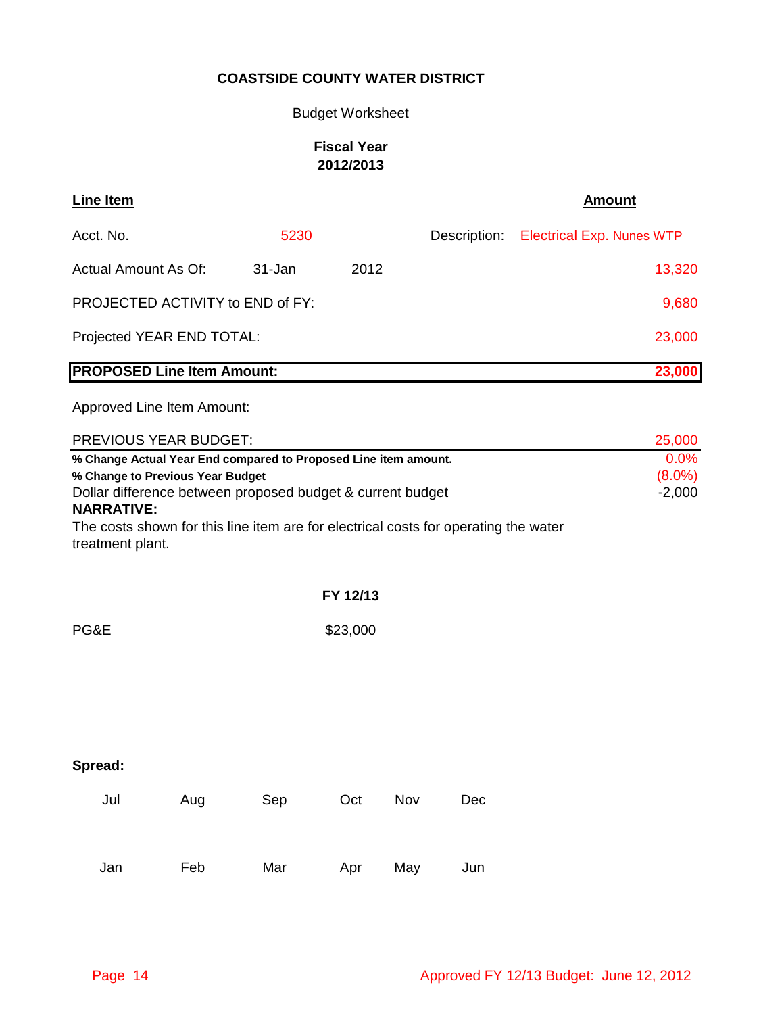Budget Worksheet

# **Fiscal Year 2012/2013**

| <b>Line Item</b>                                                                                                                                                                                                                                                                                                                   |     |        |          |     |              | <b>Amount</b>                    |  |  |
|------------------------------------------------------------------------------------------------------------------------------------------------------------------------------------------------------------------------------------------------------------------------------------------------------------------------------------|-----|--------|----------|-----|--------------|----------------------------------|--|--|
| Acct. No.                                                                                                                                                                                                                                                                                                                          |     | 5230   |          |     | Description: | <b>Electrical Exp. Nunes WTP</b> |  |  |
| Actual Amount As Of:                                                                                                                                                                                                                                                                                                               |     | 31-Jan | 2012     |     |              | 13,320                           |  |  |
| PROJECTED ACTIVITY to END of FY:                                                                                                                                                                                                                                                                                                   |     |        |          |     |              | 9,680                            |  |  |
| Projected YEAR END TOTAL:<br>23,000                                                                                                                                                                                                                                                                                                |     |        |          |     |              |                                  |  |  |
| <b>PROPOSED Line Item Amount:</b>                                                                                                                                                                                                                                                                                                  |     |        |          |     |              | 23,000                           |  |  |
| Approved Line Item Amount:                                                                                                                                                                                                                                                                                                         |     |        |          |     |              |                                  |  |  |
| PREVIOUS YEAR BUDGET:                                                                                                                                                                                                                                                                                                              |     |        |          |     |              | 25,000                           |  |  |
| 0.0%<br>% Change Actual Year End compared to Proposed Line item amount.<br>$(8.0\%)$<br>% Change to Previous Year Budget<br>Dollar difference between proposed budget & current budget<br>$-2,000$<br><b>NARRATIVE:</b><br>The costs shown for this line item are for electrical costs for operating the water<br>treatment plant. |     |        |          |     |              |                                  |  |  |
|                                                                                                                                                                                                                                                                                                                                    |     |        | FY 12/13 |     |              |                                  |  |  |
| PG&E                                                                                                                                                                                                                                                                                                                               |     |        | \$23,000 |     |              |                                  |  |  |
|                                                                                                                                                                                                                                                                                                                                    |     |        |          |     |              |                                  |  |  |
| Spread:                                                                                                                                                                                                                                                                                                                            |     |        |          |     |              |                                  |  |  |
| Jul                                                                                                                                                                                                                                                                                                                                | Aug | Sep    | Oct      | Nov | Dec          |                                  |  |  |
| Jan                                                                                                                                                                                                                                                                                                                                | Feb | Mar    | Apr      | May | Jun          |                                  |  |  |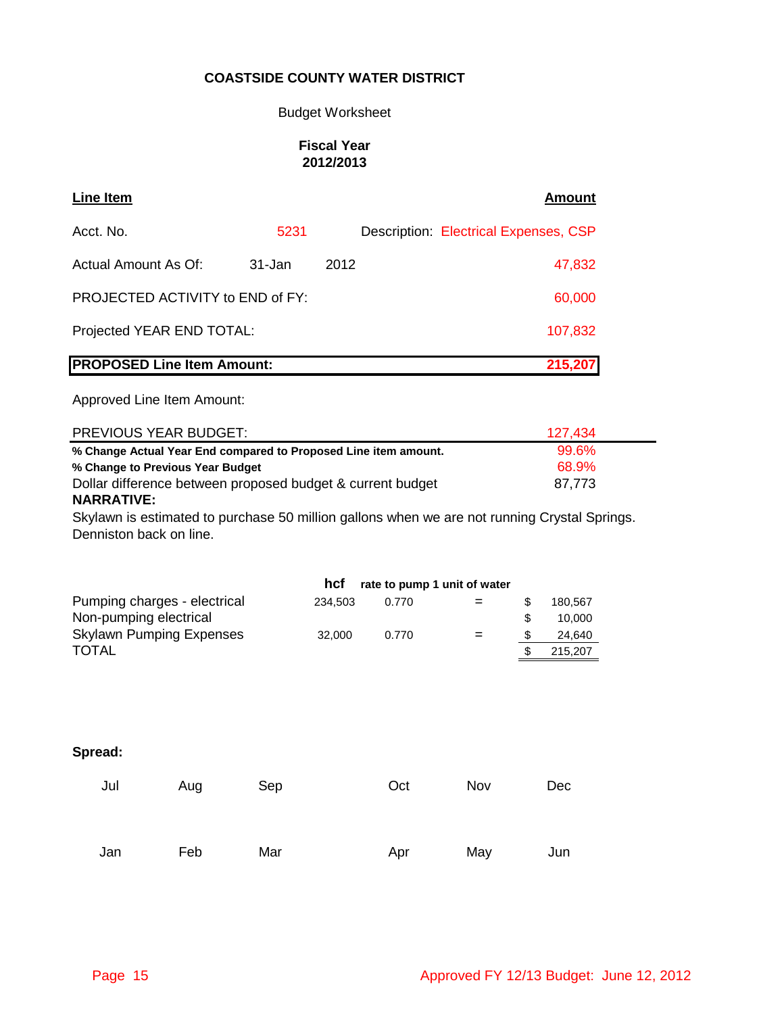### Budget Worksheet

### **Fiscal Year 2012/2013**

| Line Item                         |        |      | <b>Amount</b>                         |
|-----------------------------------|--------|------|---------------------------------------|
| Acct. No.                         | 5231   |      | Description: Electrical Expenses, CSP |
| Actual Amount As Of:              | 31-Jan | 2012 | 47,832                                |
| PROJECTED ACTIVITY to END of FY:  |        |      | 60,000                                |
| Projected YEAR END TOTAL:         |        |      | 107,832                               |
| <b>PROPOSED Line Item Amount:</b> |        |      | 215,207                               |

Approved Line Item Amount:

| PREVIOUS YEAR BUDGET:                                           | 127.434 |
|-----------------------------------------------------------------|---------|
| % Change Actual Year End compared to Proposed Line item amount. | 99.6%   |
| % Change to Previous Year Budget                                | 68.9%   |
| Dollar difference between proposed budget & current budget      | 87.773  |
| <b>NARRATIVE:</b>                                               |         |

Skylawn is estimated to purchase 50 million gallons when we are not running Crystal Springs. Denniston back on line.

| 0.770 |     |     | 180.567 |
|-------|-----|-----|---------|
|       |     | \$. | 10.000  |
| 0.770 | $=$ |     | 24,640  |
|       |     |     | 215,207 |
|       |     |     |         |

| Jul | Aug | Sep | Oct | Nov | Dec |
|-----|-----|-----|-----|-----|-----|
| Jan | Feb | Mar | Apr | May | Jun |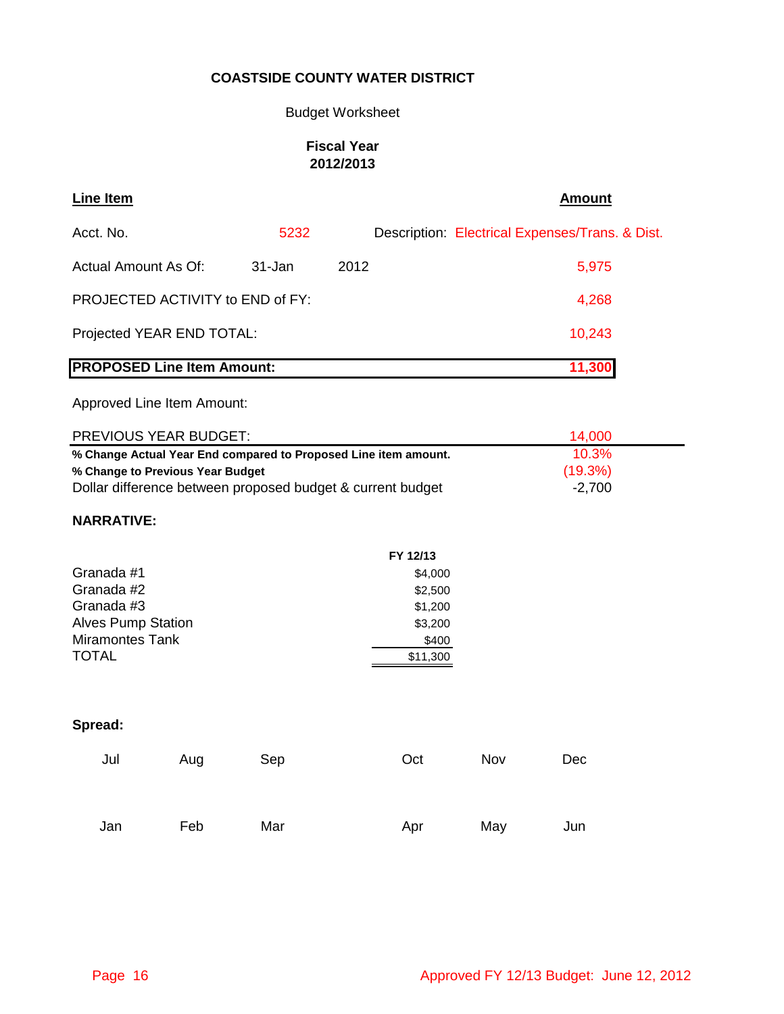# Budget Worksheet

# **Fiscal Year 2012/2013**

| Line Item                               |            |      | Amount                                          |
|-----------------------------------------|------------|------|-------------------------------------------------|
| Acct. No.                               | 5232       |      | Description: Electrical Expenses/Trans. & Dist. |
| Actual Amount As Of:                    | $31 - Jan$ | 2012 | 5,975                                           |
| <b>PROJECTED ACTIVITY to END of FY:</b> |            |      | 4,268                                           |
| Projected YEAR END TOTAL:               |            |      | 10,243                                          |
| <b>PROPOSED Line Item Amount:</b>       |            |      | 11,300                                          |
|                                         |            |      |                                                 |

Approved Line Item Amount:

| <b>PREVIOUS YEAR BUDGET:</b>                                    | 14.000   |  |
|-----------------------------------------------------------------|----------|--|
| % Change Actual Year End compared to Proposed Line item amount. | 10.3%    |  |
| % Change to Previous Year Budget                                | (19.3%)  |  |
| Dollar difference between proposed budget & current budget      | $-2,700$ |  |

# **NARRATIVE:**

|                           | FY 12/13 |
|---------------------------|----------|
| Granada #1                | \$4,000  |
| Granada #2                | \$2,500  |
| Granada #3                | \$1,200  |
| <b>Alves Pump Station</b> | \$3,200  |
| <b>Miramontes Tank</b>    | \$400    |
| <b>TOTAL</b>              | \$11,300 |

| Jul | Aug | Sep | Oct | Nov | Dec |
|-----|-----|-----|-----|-----|-----|
| Jan | Feb | Mar | Apr | May | Jun |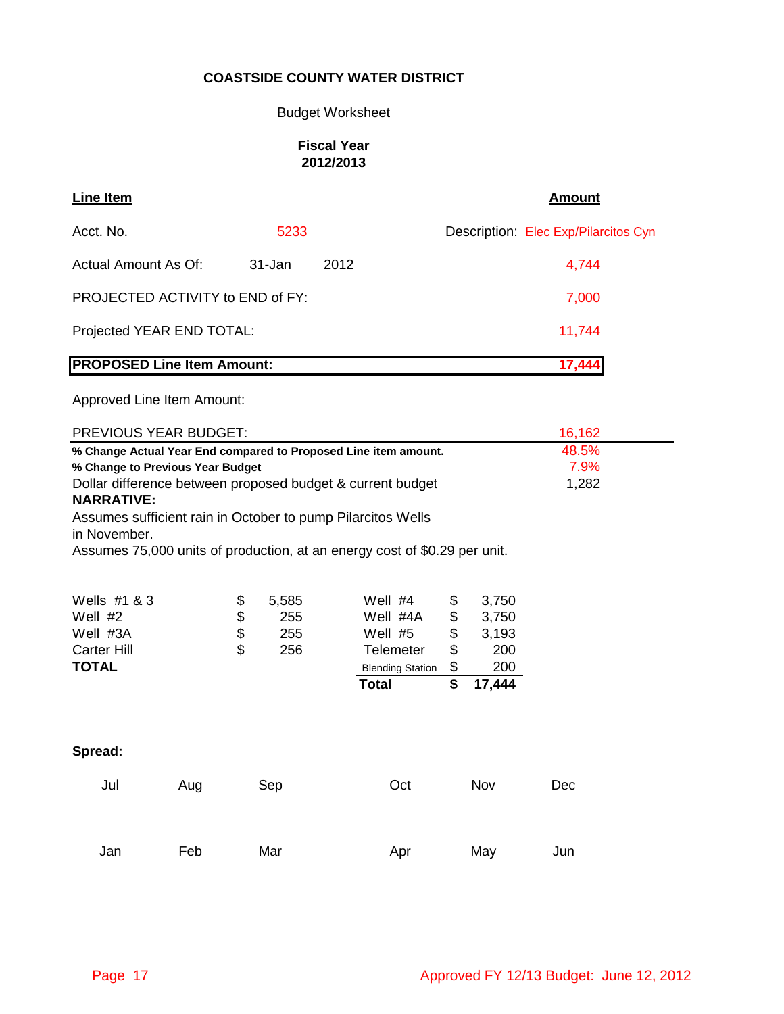### Budget Worksheet

### **Fiscal Year 2012/2013**

| Line Item                         |        |      | <b>Amount</b>                        |
|-----------------------------------|--------|------|--------------------------------------|
| Acct. No.                         | 5233   |      | Description: Elec Exp/Pilarcitos Cyn |
| Actual Amount As Of:              | 31-Jan | 2012 | 4,744                                |
| PROJECTED ACTIVITY to END of FY:  |        |      | 7,000                                |
| Projected YEAR END TOTAL:         |        |      | 11,744                               |
| <b>PROPOSED Line Item Amount:</b> |        |      | 17,444                               |

|                                                                                                                                      | <b>PREVIOUS YEAR BUDGET:</b><br>16,162 |                                                                                                                                          |                                                                                                 |                                  |                                                 |     |  |
|--------------------------------------------------------------------------------------------------------------------------------------|----------------------------------------|------------------------------------------------------------------------------------------------------------------------------------------|-------------------------------------------------------------------------------------------------|----------------------------------|-------------------------------------------------|-----|--|
| 48.5%<br>% Change Actual Year End compared to Proposed Line item amount.                                                             |                                        |                                                                                                                                          |                                                                                                 |                                  |                                                 |     |  |
| 7.9%<br>% Change to Previous Year Budget<br>Dollar difference between proposed budget & current budget<br>1,282<br><b>NARRATIVE:</b> |                                        |                                                                                                                                          |                                                                                                 |                                  |                                                 |     |  |
| in November.                                                                                                                         |                                        | Assumes sufficient rain in October to pump Pilarcitos Wells<br>Assumes 75,000 units of production, at an energy cost of \$0.29 per unit. |                                                                                                 |                                  |                                                 |     |  |
| Wells #1 & 3<br>Well $#2$<br>Well #3A<br><b>Carter Hill</b><br><b>TOTAL</b>                                                          | \$<br>\$<br>\$                         | 5,585<br>255<br>255<br>256                                                                                                               | Well $#4$<br>Well #4A<br>Well #5<br><b>Telemeter</b><br><b>Blending Station</b><br><b>Total</b> | \$<br>\$<br>\$<br>\$<br>\$<br>\$ | 3,750<br>3,750<br>3,193<br>200<br>200<br>17,444 |     |  |
| Spread:                                                                                                                              |                                        |                                                                                                                                          |                                                                                                 |                                  |                                                 |     |  |
| Jul                                                                                                                                  | Aug                                    | Sep                                                                                                                                      | Oct                                                                                             |                                  | Nov                                             | Dec |  |
| Jan                                                                                                                                  | Feb                                    | Mar                                                                                                                                      | Apr                                                                                             |                                  | May                                             | Jun |  |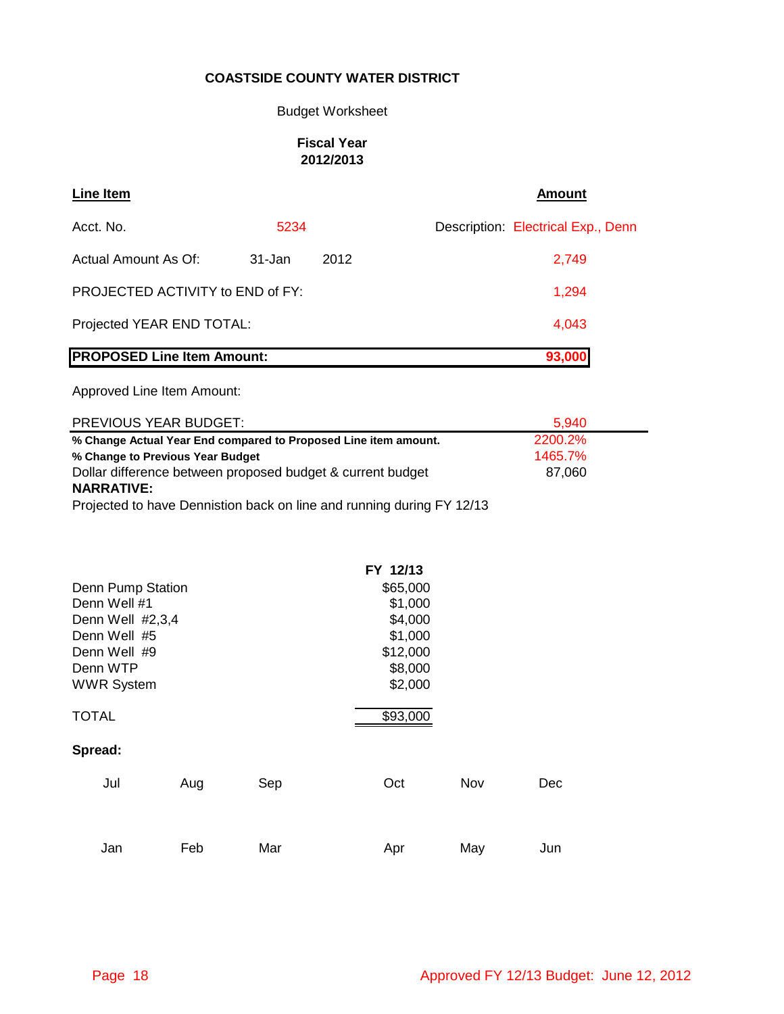### Budget Worksheet

### **Fiscal Year 2012/2013**

| Line Item                         |        |      | Amount                             |
|-----------------------------------|--------|------|------------------------------------|
| Acct. No.                         | 5234   |      | Description: Electrical Exp., Denn |
| Actual Amount As Of:              | 31-Jan | 2012 | 2,749                              |
| PROJECTED ACTIVITY to END of FY:  |        |      | 1,294                              |
| Projected YEAR END TOTAL:         |        |      | 4,043                              |
| <b>PROPOSED Line Item Amount:</b> |        |      | 93,000                             |

Approved Line Item Amount:

| <b>PREVIOUS YEAR BUDGET:</b>                                    | 5.940   |
|-----------------------------------------------------------------|---------|
| % Change Actual Year End compared to Proposed Line item amount. | 2200.2% |
| % Change to Previous Year Budget                                | 1465.7% |
| Dollar difference between proposed budget & current budget      | 87.060  |
| <b>NARRATIVE:</b>                                               |         |

Projected to have Dennistion back on line and running during FY 12/13

|                   |     |     | FY 12/13 |     |     |
|-------------------|-----|-----|----------|-----|-----|
| Denn Pump Station |     |     | \$65,000 |     |     |
| Denn Well #1      |     |     | \$1,000  |     |     |
| Denn Well #2,3,4  |     |     | \$4,000  |     |     |
| Denn Well #5      |     |     | \$1,000  |     |     |
| Denn Well #9      |     |     | \$12,000 |     |     |
| Denn WTP          |     |     | \$8,000  |     |     |
| <b>WWR System</b> |     |     | \$2,000  |     |     |
| TOTAL             |     |     | \$93,000 |     |     |
| Spread:           |     |     |          |     |     |
| Jul               | Aug | Sep | Oct      | Nov | Dec |
| Jan               | Feb | Mar | Apr      | May | Jun |
|                   |     |     |          |     |     |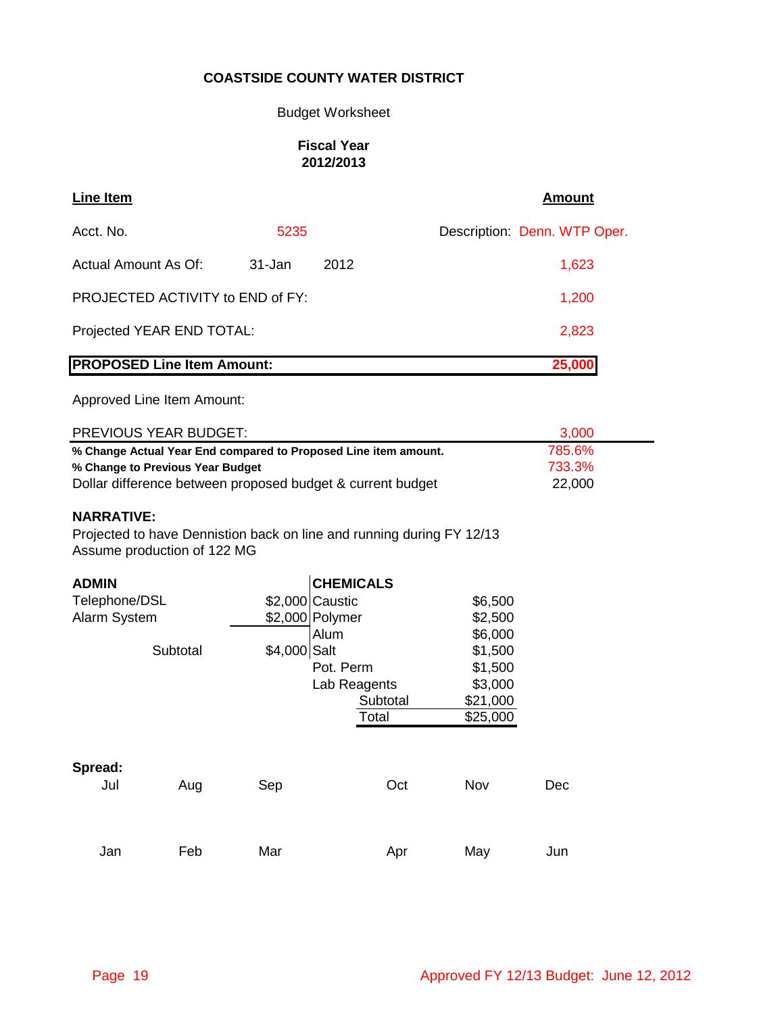### Budget Worksheet

### **Fiscal Year 2012/2013**

| Line Item                         |            |      | Amount                       |
|-----------------------------------|------------|------|------------------------------|
| Acct. No.                         | 5235       |      | Description: Denn. WTP Oper. |
| Actual Amount As Of:              | $31 - Jan$ | 2012 | 1,623                        |
| PROJECTED ACTIVITY to END of FY:  |            |      | 1,200                        |
| Projected YEAR END TOTAL:         |            |      | 2,823                        |
| <b>PROPOSED Line Item Amount:</b> |            |      | 25,000                       |

Approved Line Item Amount:

| PREVIOUS YEAR BUDGET:                                           | 3.000  |  |
|-----------------------------------------------------------------|--------|--|
| % Change Actual Year End compared to Proposed Line item amount. | 785.6% |  |
| % Change to Previous Year Budget                                | 733.3% |  |
| Dollar difference between proposed budget & current budget      | 22,000 |  |

### **NARRATIVE:**

Projected to have Dennistion back on line and running during FY 12/13 Assume production of 122 MG

| <b>ADMIN</b>  |          |                 | <b>CHEMICALS</b> |          |     |
|---------------|----------|-----------------|------------------|----------|-----|
| Telephone/DSL |          | \$2,000 Caustic |                  | \$6,500  |     |
| Alarm System  |          | \$2,000 Polymer |                  | \$2,500  |     |
|               |          | Alum            |                  | \$6,000  |     |
|               | Subtotal | \$4,000 Salt    |                  | \$1,500  |     |
|               |          |                 | Pot. Perm        | \$1,500  |     |
|               |          |                 | Lab Reagents     | \$3,000  |     |
|               |          |                 | Subtotal         | \$21,000 |     |
|               |          |                 | Total            | \$25,000 |     |
|               |          |                 |                  |          |     |
| Spread:       |          |                 |                  |          |     |
| Jul           | Aug      | Sep             | Oct              | Nov      | Dec |
|               |          |                 |                  |          |     |
|               |          |                 |                  |          |     |
| Jan           | Feb      | Mar             | Apr              | May      | Jun |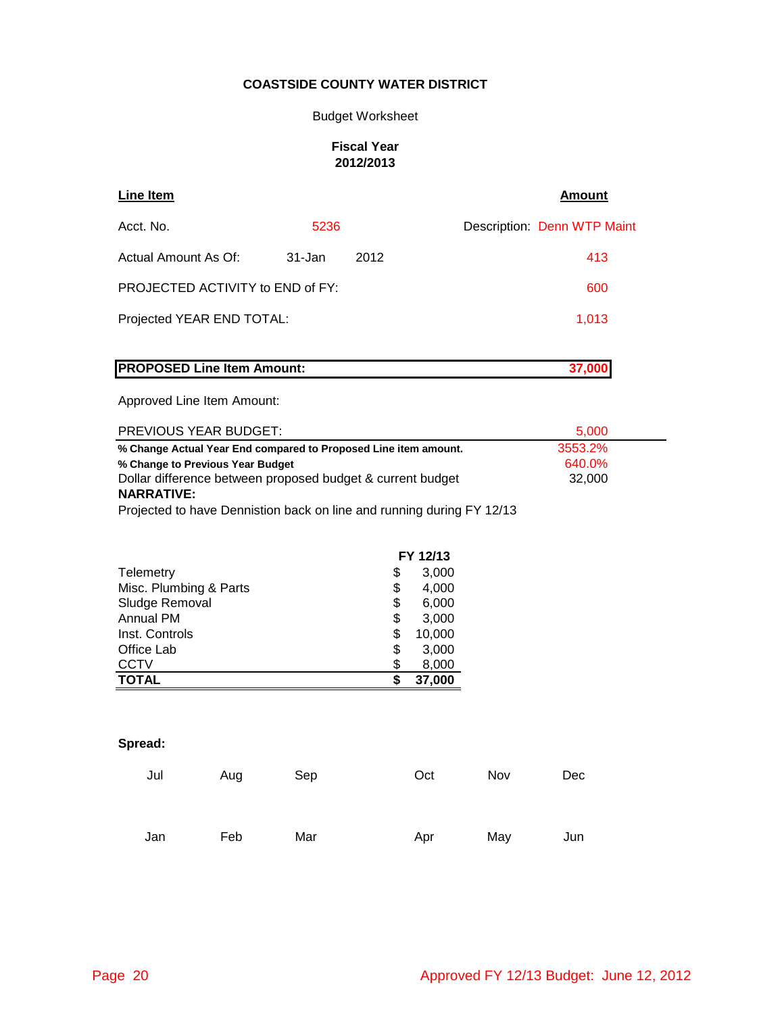#### Budget Worksheet

#### **Fiscal Year 2012/2013**

| Line Item                        |        |      | Amount                      |
|----------------------------------|--------|------|-----------------------------|
| Acct. No.                        | 5236   |      | Description: Denn WTP Maint |
| Actual Amount As Of:             | 31-Jan | 2012 | 413                         |
| PROJECTED ACTIVITY to END of FY: |        |      | 600                         |
| Projected YEAR END TOTAL:        |        |      | 1,013                       |
|                                  |        |      |                             |

# **PROPOSED Line Item Amount: 37,000**

#### Approved Line Item Amount:

| <b>PREVIOUS YEAR BUDGET:</b>                                    | 5.000   |  |
|-----------------------------------------------------------------|---------|--|
| % Change Actual Year End compared to Proposed Line item amount. | 3553.2% |  |
| % Change to Previous Year Budget                                | 640.0%  |  |
| Dollar difference between proposed budget & current budget      | 32,000  |  |
| <b>NARRATIVE:</b>                                               |         |  |
|                                                                 |         |  |

Projected to have Dennistion back on line and running during FY 12/13

|                        |    | FY 12/13 |
|------------------------|----|----------|
| Telemetry              | \$ | 3,000    |
| Misc. Plumbing & Parts | \$ | 4,000    |
| Sludge Removal         | \$ | 6,000    |
| <b>Annual PM</b>       | \$ | 3,000    |
| Inst. Controls         | \$ | 10,000   |
| Office Lab             | \$ | 3,000    |
| <b>CCTV</b>            | \$ | 8,000    |
| <b>TOTAL</b>           | S  | 37,000   |

| Jul | Aug | Sep | Oct | Nov | Dec |
|-----|-----|-----|-----|-----|-----|
|     |     |     |     |     |     |
| Jan | Feb | Mar | Apr | May | Jun |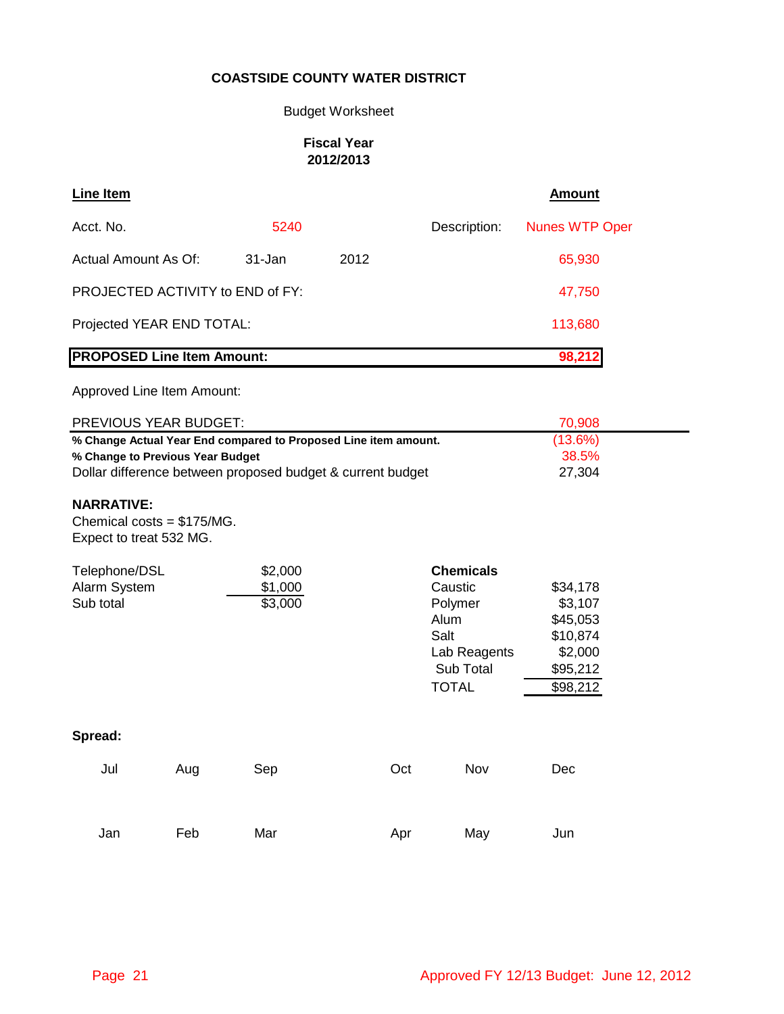# Budget Worksheet

### **Fiscal Year 2012/2013**

| <b>Line Item</b>                                                                                    |     |                    |      |                           | <b>Amount</b>         |
|-----------------------------------------------------------------------------------------------------|-----|--------------------|------|---------------------------|-----------------------|
| Acct. No.                                                                                           |     | 5240               |      | Description:              | <b>Nunes WTP Oper</b> |
| Actual Amount As Of:                                                                                |     | 31-Jan             | 2012 |                           | 65,930                |
| PROJECTED ACTIVITY to END of FY:                                                                    |     |                    |      |                           | 47,750                |
| Projected YEAR END TOTAL:                                                                           |     |                    |      |                           | 113,680               |
| <b>PROPOSED Line Item Amount:</b>                                                                   |     |                    |      |                           | 98,212                |
| Approved Line Item Amount:                                                                          |     |                    |      |                           |                       |
| PREVIOUS YEAR BUDGET:                                                                               |     |                    |      |                           | 70,908                |
| % Change Actual Year End compared to Proposed Line item amount.<br>% Change to Previous Year Budget |     |                    |      |                           | (13.6%)<br>38.5%      |
| Dollar difference between proposed budget & current budget                                          |     |                    |      |                           | 27,304                |
| <b>NARRATIVE:</b><br>Chemical costs = $$175/MG$ .<br>Expect to treat 532 MG.                        |     |                    |      |                           |                       |
| Telephone/DSL                                                                                       |     | \$2,000            |      | <b>Chemicals</b>          |                       |
| Alarm System<br>Sub total                                                                           |     | \$1,000<br>\$3,000 |      | Caustic<br>Polymer        | \$34,178<br>\$3,107   |
|                                                                                                     |     |                    |      | Alum                      | \$45,053              |
|                                                                                                     |     |                    |      | Salt                      | \$10,874              |
|                                                                                                     |     |                    |      | Lab Reagents<br>Sub Total | \$2,000               |
|                                                                                                     |     |                    |      | <b>TOTAL</b>              | \$95,212<br>\$98,212  |
|                                                                                                     |     |                    |      |                           |                       |
| Spread:                                                                                             |     |                    |      |                           |                       |
| Jul                                                                                                 | Aug | Sep                | Oct  | Nov                       | Dec                   |
|                                                                                                     |     |                    |      |                           |                       |
| Jan                                                                                                 | Feb | Mar                | Apr  | May                       | Jun                   |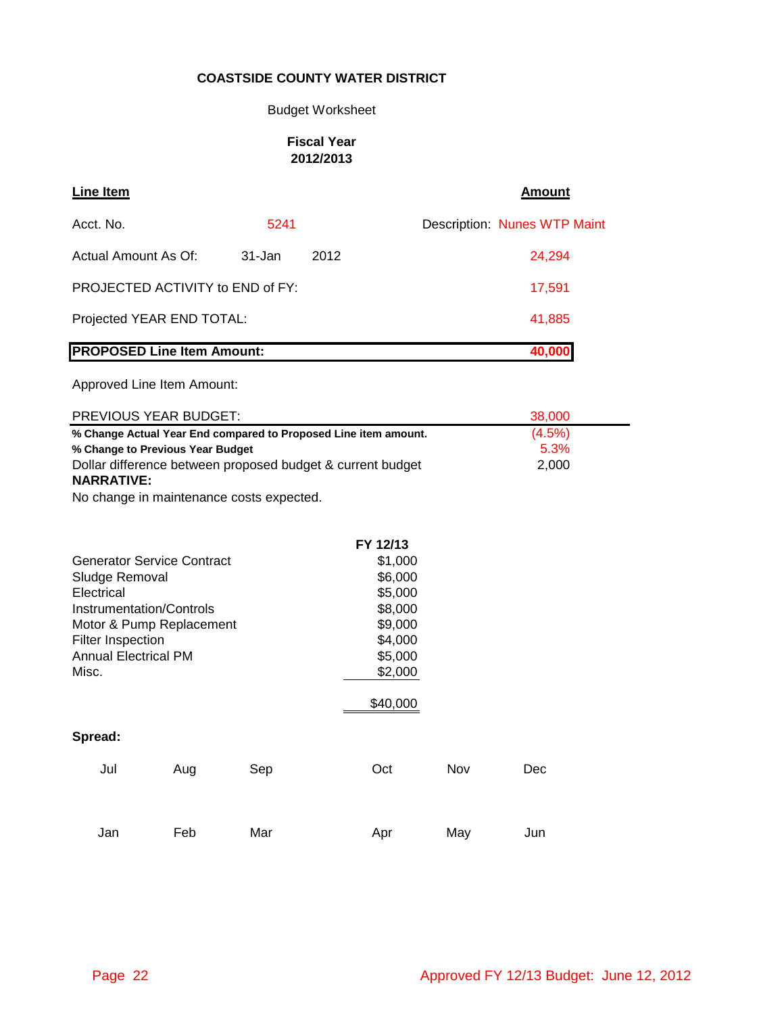# Budget Worksheet

### **Fiscal Year 2012/2013**

| <b>Line Item</b>                  |        |      | <b>Amount</b>                       |
|-----------------------------------|--------|------|-------------------------------------|
| Acct. No.                         | 5241   |      | <b>Description: Nunes WTP Maint</b> |
| Actual Amount As Of:              | 31-Jan | 2012 | 24,294                              |
| PROJECTED ACTIVITY to END of FY:  |        |      | 17,591                              |
| Projected YEAR END TOTAL:         |        |      | 41,885                              |
| <b>PROPOSED Line Item Amount:</b> |        |      | 40,000                              |

Approved Line Item Amount:

| PREVIOUS YEAR BUDGET:                                           | 38,000    |
|-----------------------------------------------------------------|-----------|
| % Change Actual Year End compared to Proposed Line item amount. | $(4.5\%)$ |
| % Change to Previous Year Budget                                | 5.3%      |
| Dollar difference between proposed budget & current budget      | 2.000     |
| <b>NARRATIVE:</b>                                               |           |

No change in maintenance costs expected.

|                                   |                          |     | FY 12/13 |     |     |
|-----------------------------------|--------------------------|-----|----------|-----|-----|
| <b>Generator Service Contract</b> |                          |     | \$1,000  |     |     |
| Sludge Removal                    |                          |     | \$6,000  |     |     |
| Electrical                        |                          |     | \$5,000  |     |     |
| <b>Instrumentation/Controls</b>   |                          |     | \$8,000  |     |     |
|                                   | Motor & Pump Replacement |     | \$9,000  |     |     |
| <b>Filter Inspection</b>          |                          |     | \$4,000  |     |     |
| Annual Electrical PM              |                          |     | \$5,000  |     |     |
| Misc.                             |                          |     | \$2,000  |     |     |
|                                   |                          |     | \$40,000 |     |     |
| Spread:                           |                          |     |          |     |     |
| Jul                               | Aug                      | Sep | Oct      | Nov | Dec |
|                                   |                          |     |          |     |     |
| Jan                               | Feb                      | Mar | Apr      | May | Jun |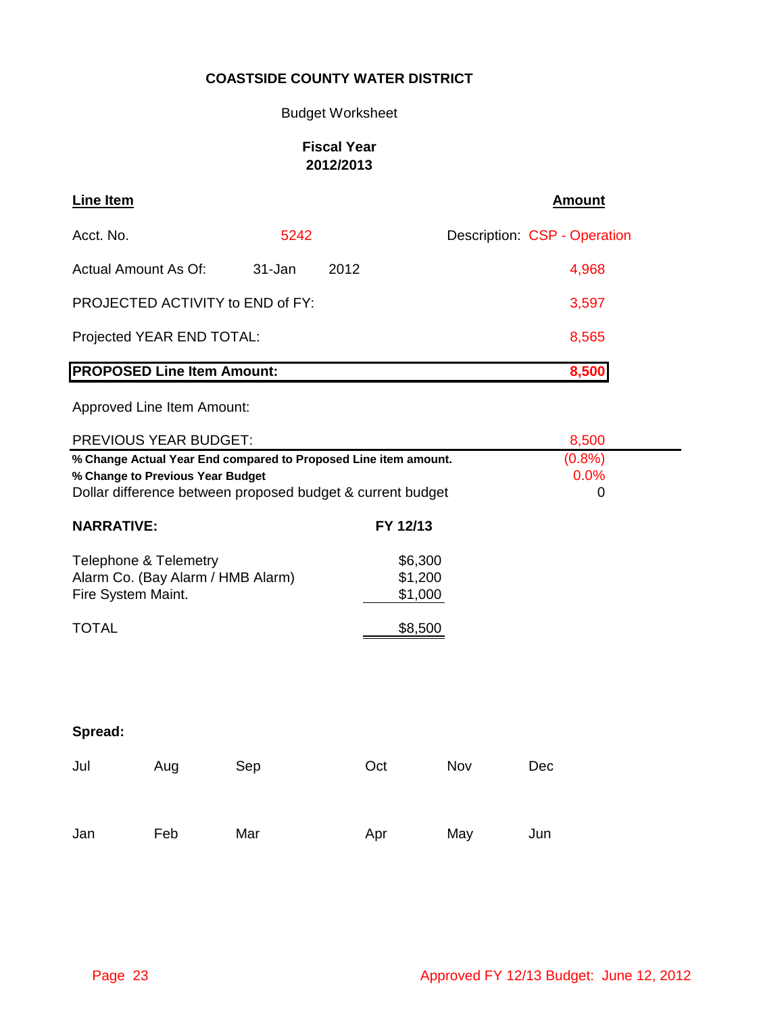# Budget Worksheet

# **Fiscal Year 2012/2013**

| Line Item                               |            |      | Amount                       |
|-----------------------------------------|------------|------|------------------------------|
| Acct. No.                               | 5242       |      | Description: CSP - Operation |
| Actual Amount As Of:                    | $31 - Jan$ | 2012 | 4,968                        |
| <b>PROJECTED ACTIVITY to END of FY:</b> |            |      | 3,597                        |
| Projected YEAR END TOTAL:               |            |      | 8,565                        |
| <b>PROPOSED Line Item Amount:</b>       |            |      | 8,500                        |

Approved Line Item Amount:

|                                                                                                                                                                   | PREVIOUS YEAR BUDGET: |     | 8,500                                    |     |                            |
|-------------------------------------------------------------------------------------------------------------------------------------------------------------------|-----------------------|-----|------------------------------------------|-----|----------------------------|
| % Change Actual Year End compared to Proposed Line item amount.<br>% Change to Previous Year Budget<br>Dollar difference between proposed budget & current budget |                       |     |                                          |     | (0.8%)<br>0.0%<br>$\Omega$ |
| <b>NARRATIVE:</b>                                                                                                                                                 |                       |     | FY 12/13                                 |     |                            |
| Telephone & Telemetry<br>Alarm Co. (Bay Alarm / HMB Alarm)<br>Fire System Maint.<br><b>TOTAL</b>                                                                  |                       |     | \$6,300<br>\$1,200<br>\$1,000<br>\$8,500 |     |                            |
| Spread:                                                                                                                                                           |                       |     |                                          |     |                            |
| Jul                                                                                                                                                               | Aug                   | Sep | Oct                                      | Nov | Dec                        |

Jan Feb Mar Apr May Jun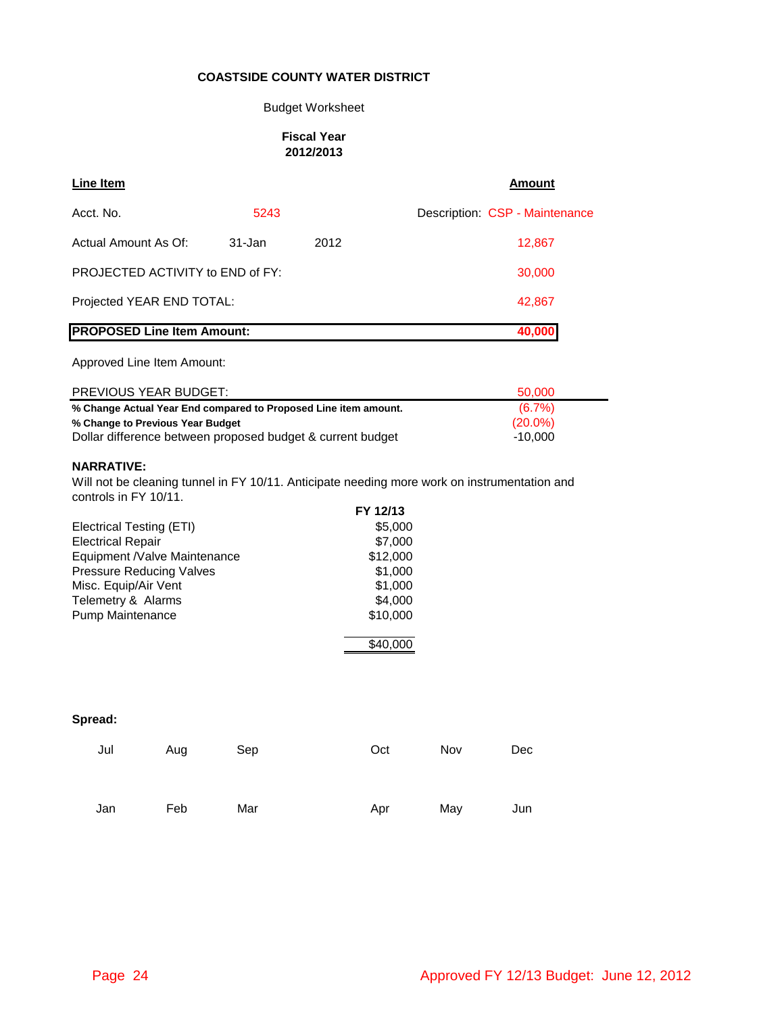#### Budget Worksheet

#### **Fiscal Year 2012/2013**

| Line Item                         |            |        | <b>Amount</b>                  |
|-----------------------------------|------------|--------|--------------------------------|
| Acct. No.                         | 5243       |        | Description: CSP - Maintenance |
| Actual Amount As Of:              | $31 - Jan$ | 2012   | 12,867                         |
| PROJECTED ACTIVITY to END of FY:  |            |        | 30,000                         |
| Projected YEAR END TOTAL:         |            | 42,867 |                                |
| <b>PROPOSED Line Item Amount:</b> |            |        | 40,000                         |

#### Approved Line Item Amount:

| <b>PREVIOUS YEAR BUDGET:</b>                                    | 50.000     |
|-----------------------------------------------------------------|------------|
| % Change Actual Year End compared to Proposed Line item amount. | $(6.7\%)$  |
| % Change to Previous Year Budget                                | $(20.0\%)$ |
| Dollar difference between proposed budget & current budget      | $-10.000$  |

#### **NARRATIVE:**

Will not be cleaning tunnel in FY 10/11. Anticipate needing more work on instrumentation and controls in FY 10/11.

|                                 | FY 12/13 |
|---------------------------------|----------|
| Electrical Testing (ETI)        | \$5,000  |
| <b>Electrical Repair</b>        | \$7,000  |
| Equipment /Valve Maintenance    | \$12,000 |
| <b>Pressure Reducing Valves</b> | \$1,000  |
| Misc. Equip/Air Vent            | \$1,000  |
| Telemetry & Alarms              | \$4,000  |
| <b>Pump Maintenance</b>         | \$10,000 |
|                                 |          |
|                                 |          |

| Jul | Aug | Sep | Oct | Nov | <b>Dec</b> |
|-----|-----|-----|-----|-----|------------|
| Jan | Feb | Mar | Apr | May | Jun        |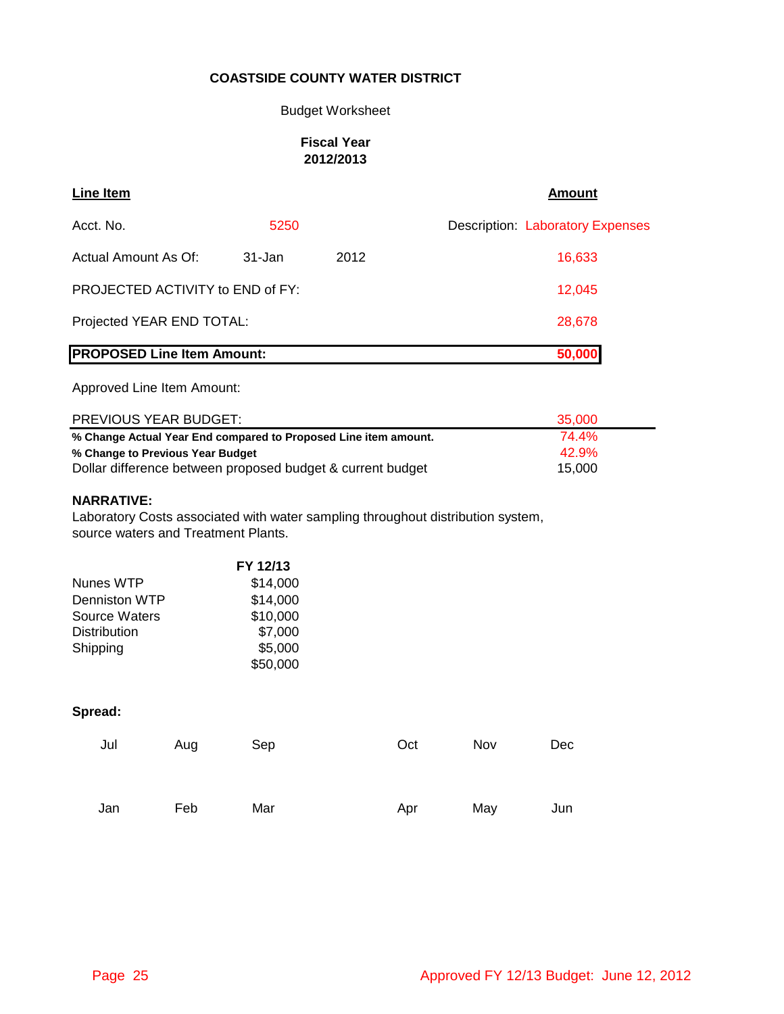#### Budget Worksheet

### **Fiscal Year 2012/2013**

| <b>Line Item</b>                        |            |      | <b>Amount</b>                           |
|-----------------------------------------|------------|------|-----------------------------------------|
| Acct. No.                               | 5250       |      | <b>Description: Laboratory Expenses</b> |
| Actual Amount As Of:                    | $31 - Jan$ | 2012 | 16,633                                  |
| <b>PROJECTED ACTIVITY to END of FY:</b> |            |      | 12,045                                  |
| Projected YEAR END TOTAL:               |            |      | 28,678                                  |
| <b>PROPOSED Line Item Amount:</b>       |            |      | 50,000                                  |

Approved Line Item Amount:

| PREVIOUS YEAR BUDGET:                                           | 35.000 |
|-----------------------------------------------------------------|--------|
| % Change Actual Year End compared to Proposed Line item amount. | 74.4%  |
| % Change to Previous Year Budget                                | 42.9%  |
| Dollar difference between proposed budget & current budget      | 15.000 |

### **NARRATIVE:**

Laboratory Costs associated with water sampling throughout distribution system, source waters and Treatment Plants.

|                      | FY 12/13 |
|----------------------|----------|
| Nunes WTP            | \$14,000 |
| Denniston WTP        | \$14,000 |
| <b>Source Waters</b> | \$10,000 |
| <b>Distribution</b>  | \$7,000  |
| Shipping             | \$5,000  |
|                      | \$50,000 |

| Jul | Aug | Sep | Oct | Nov | Dec |
|-----|-----|-----|-----|-----|-----|
|     |     |     |     |     |     |
| Jan | Feb | Mar | Apr | May | Jun |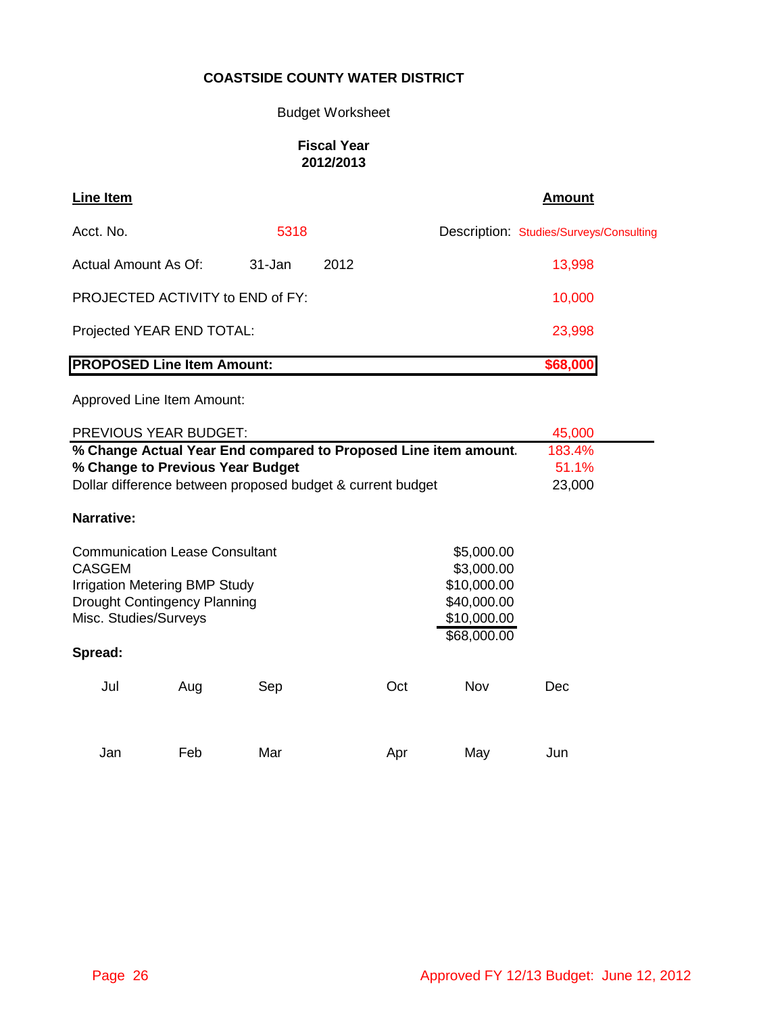# Budget Worksheet

### **Fiscal Year 2012/2013**

| <b>Line Item</b>                        |            |      | Amount                                  |
|-----------------------------------------|------------|------|-----------------------------------------|
| Acct. No.                               | 5318       |      | Description: Studies/Surveys/Consulting |
| Actual Amount As Of:                    | $31 - Jan$ | 2012 | 13,998                                  |
| <b>PROJECTED ACTIVITY to END of FY:</b> |            |      | 10,000                                  |
| Projected YEAR END TOTAL:               |            |      | 23,998                                  |
| <b>PROPOSED Line Item Amount:</b>       |            |      | \$68,000                                |
| Approved Line Item Amount:              |            |      |                                         |

|                       | PREVIOUS YEAR BUDGET:                                           |     |                                                            |             | 45,000 |  |
|-----------------------|-----------------------------------------------------------------|-----|------------------------------------------------------------|-------------|--------|--|
|                       | % Change Actual Year End compared to Proposed Line item amount. |     |                                                            |             |        |  |
|                       | % Change to Previous Year Budget                                |     |                                                            |             | 51.1%  |  |
|                       |                                                                 |     | Dollar difference between proposed budget & current budget |             | 23,000 |  |
| Narrative:            |                                                                 |     |                                                            |             |        |  |
|                       | <b>Communication Lease Consultant</b>                           |     |                                                            | \$5,000.00  |        |  |
| <b>CASGEM</b>         |                                                                 |     |                                                            | \$3,000.00  |        |  |
|                       | <b>Irrigation Metering BMP Study</b>                            |     |                                                            | \$10,000.00 |        |  |
|                       | <b>Drought Contingency Planning</b>                             |     |                                                            | \$40,000.00 |        |  |
| Misc. Studies/Surveys |                                                                 |     |                                                            | \$10,000.00 |        |  |
|                       |                                                                 |     |                                                            | \$68,000.00 |        |  |
| Spread:               |                                                                 |     |                                                            |             |        |  |
| Jul                   | Aug                                                             | Sep | Oct                                                        | Nov         | Dec    |  |
| Jan                   | Feb                                                             | Mar | Apr                                                        | May         | Jun    |  |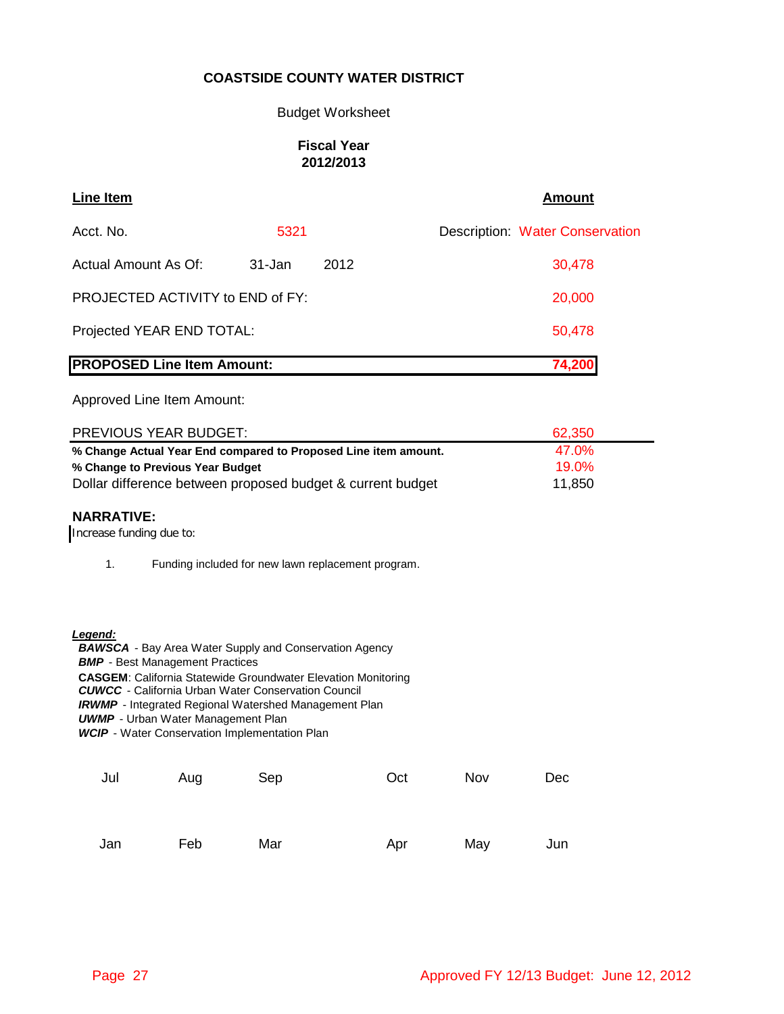#### Budget Worksheet

### **Fiscal Year 2012/2013**

| <b>Line Item</b>                  |        |      | <b>Amount</b>                          |
|-----------------------------------|--------|------|----------------------------------------|
| Acct. No.                         | 5321   |      | <b>Description: Water Conservation</b> |
| Actual Amount As Of:              | 31-Jan | 2012 | 30,478                                 |
| PROJECTED ACTIVITY to END of FY:  |        |      | 20,000                                 |
| Projected YEAR END TOTAL:         |        |      | 50,478                                 |
| <b>PROPOSED Line Item Amount:</b> |        |      | 74,200                                 |

### Approved Line Item Amount:

| PREVIOUS YEAR BUDGET:                                           | 62,350   |
|-----------------------------------------------------------------|----------|
| % Change Actual Year End compared to Proposed Line item amount. | 47.0%    |
| % Change to Previous Year Budget                                | $19.0\%$ |
| Dollar difference between proposed budget & current budget      | 11.850   |

#### **NARRATIVE:**

Increase funding due to:

1. Funding included for new lawn replacement program.

#### *Legend:*

 *BAWSCA* - Bay Area Water Supply and Conservation Agency **BMP** - Best Management Practices **CASGEM**: California Statewide Groundwater Elevation Monitoring  *CUWCC* - California Urban Water Conservation Council **IRWMP** - Integrated Regional Watershed Management Plan **UWMP** - Urban Water Management Plan  *WCIP* - Water Conservation Implementation Plan

| Jul | Aug | Sep | Oct | Nov | Dec |
|-----|-----|-----|-----|-----|-----|
| Jan | Feb | Mar | Apr | May | Jun |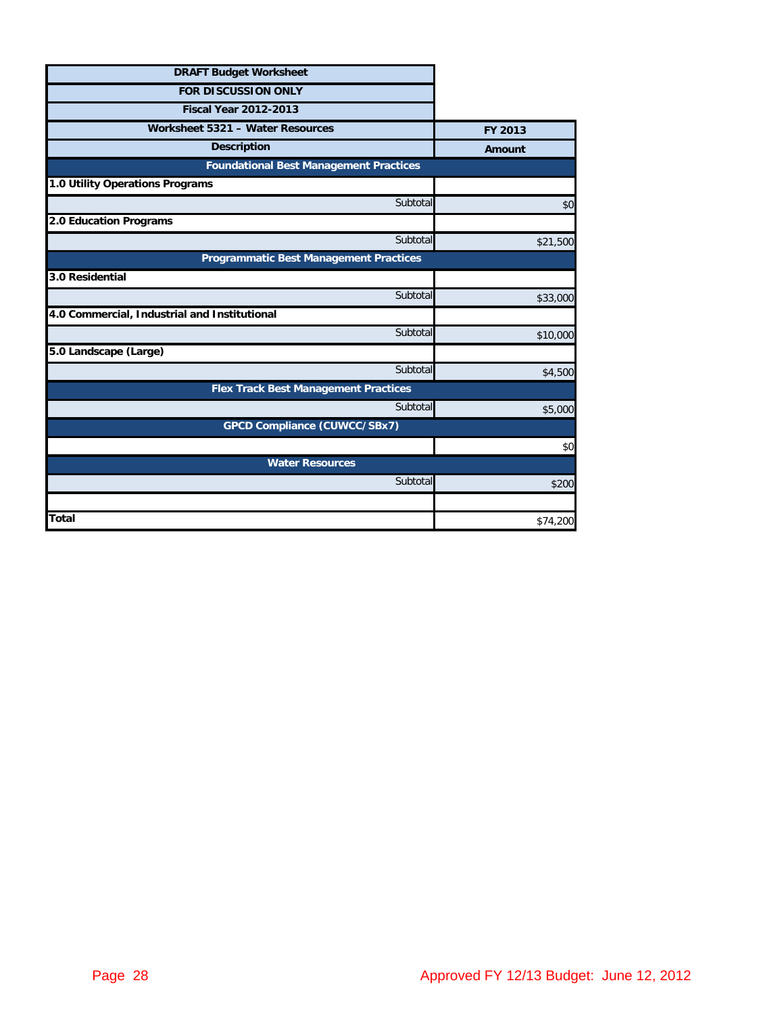| <b>DRAFT Budget Worksheet</b>                 |          |
|-----------------------------------------------|----------|
| <b>FOR DISCUSSION ONLY</b>                    |          |
| <b>Fiscal Year 2012-2013</b>                  |          |
| Worksheet 5321 - Water Resources              | FY 2013  |
| <b>Description</b>                            | Amount   |
| <b>Foundational Best Management Practices</b> |          |
| 1.0 Utility Operations Programs               |          |
| Subtotal                                      | \$0      |
| 2.0 Education Programs                        |          |
| Subtotal                                      | \$21,500 |
| <b>Programmatic Best Management Practices</b> |          |
| 3.0 Residential                               |          |
| Subtotal                                      | \$33,000 |
| 4.0 Commercial, Industrial and Institutional  |          |
| Subtotal                                      | \$10,000 |
| 5.0 Landscape (Large)                         |          |
| Subtotal                                      | \$4,500  |
| <b>Flex Track Best Management Practices</b>   |          |
| Subtotal                                      | \$5,000  |
| <b>GPCD Compliance (CUWCC/SBx7)</b>           |          |
|                                               | \$0      |
| <b>Water Resources</b>                        |          |
| Subtotal                                      | \$200    |
|                                               |          |
| <b>Total</b>                                  | \$74,200 |
|                                               |          |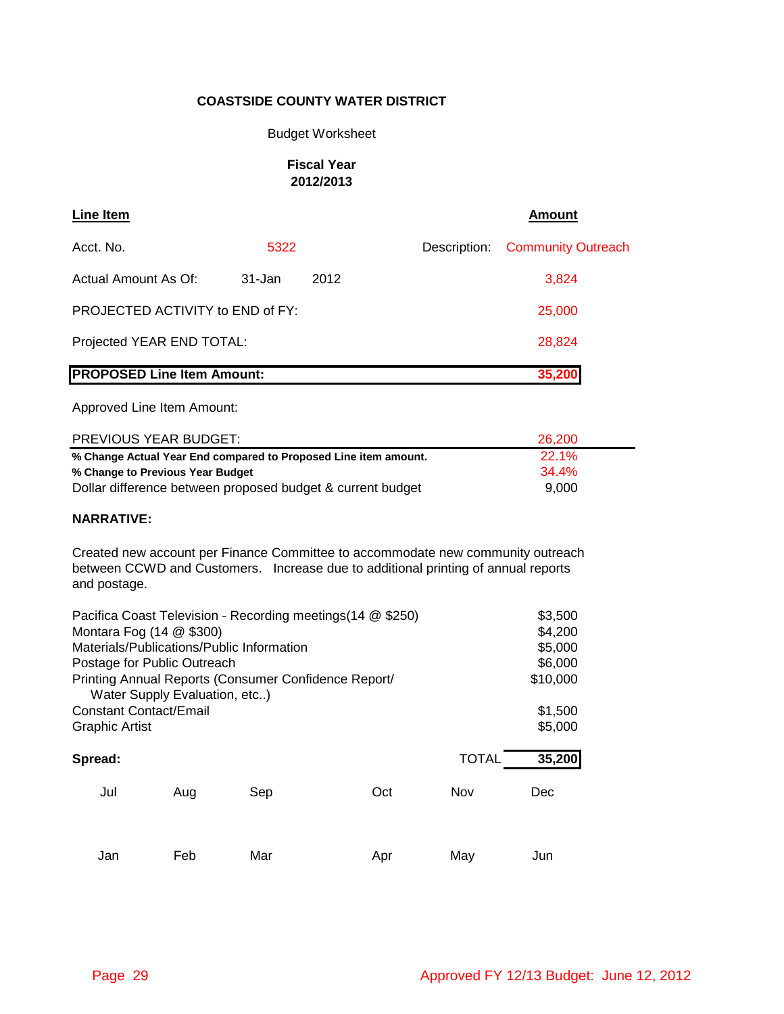#### Budget Worksheet

### **Fiscal Year 2012/2013**

| Line Item                               |        |      |  | <b>Amount</b>                   |  |
|-----------------------------------------|--------|------|--|---------------------------------|--|
| Acct. No.                               | 5322   |      |  | Description: Community Outreach |  |
| Actual Amount As Of:                    | 31-Jan | 2012 |  | 3,824                           |  |
| <b>PROJECTED ACTIVITY to END of FY:</b> |        |      |  | 25,000                          |  |
| Projected YEAR END TOTAL:               |        |      |  | 28,824                          |  |
| <b>PROPOSED Line Item Amount:</b>       |        |      |  | 35,200                          |  |

#### Approved Line Item Amount:

| PREVIOUS YEAR BUDGET:                                           | 26,200       |  |
|-----------------------------------------------------------------|--------------|--|
| % Change Actual Year End compared to Proposed Line item amount. | <b>22.1%</b> |  |
| % Change to Previous Year Budget                                | $34.4\%$     |  |
| Dollar difference between proposed budget & current budget      | 9.000        |  |

### **NARRATIVE:**

Created new account per Finance Committee to accommodate new community outreach between CCWD and Customers. Increase due to additional printing of annual reports and postage.

| Pacifica Coast Television - Recording meetings (14 @ \$250) |     |                                                                     |                                                      |                     |  |  |  |
|-------------------------------------------------------------|-----|---------------------------------------------------------------------|------------------------------------------------------|---------------------|--|--|--|
| Montara Fog (14 @ \$300)                                    |     |                                                                     |                                                      |                     |  |  |  |
| Materials/Publications/Public Information                   |     |                                                                     |                                                      |                     |  |  |  |
|                                                             |     |                                                                     |                                                      | \$6,000             |  |  |  |
|                                                             |     |                                                                     |                                                      | \$10,000            |  |  |  |
| <b>Constant Contact/Email</b>                               |     |                                                                     |                                                      | \$1,500             |  |  |  |
|                                                             |     |                                                                     |                                                      | \$5,000             |  |  |  |
|                                                             |     |                                                                     |                                                      |                     |  |  |  |
|                                                             |     |                                                                     |                                                      | 35,200              |  |  |  |
| Aug                                                         | Sep | Oct                                                                 | Nov                                                  | Dec                 |  |  |  |
|                                                             |     |                                                                     |                                                      |                     |  |  |  |
|                                                             |     | Postage for Public Outreach<br>Water Supply Evaluation, etc)<br>Feb | Printing Annual Reports (Consumer Confidence Report/ | <b>TOTAL</b><br>May |  |  |  |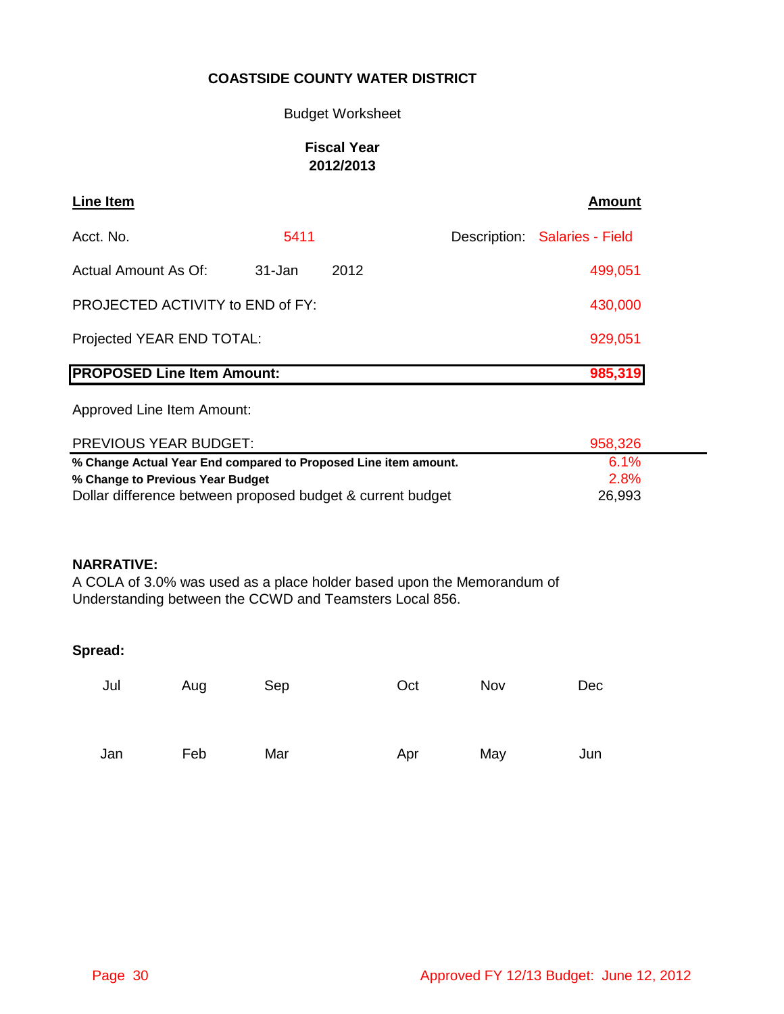### Budget Worksheet

### **Fiscal Year 2012/2013**

| Line Item                         |        |      | <b>Amount</b>                 |
|-----------------------------------|--------|------|-------------------------------|
| Acct. No.                         | 5411   |      | Description: Salaries - Field |
| Actual Amount As Of:              | 31-Jan | 2012 | 499,051                       |
| PROJECTED ACTIVITY to END of FY:  |        |      | 430,000                       |
| Projected YEAR END TOTAL:         |        |      | 929,051                       |
| <b>PROPOSED Line Item Amount:</b> |        |      | 985,319                       |

Approved Line Item Amount:

| <b>PREVIOUS YEAR BUDGET:</b>                                    | 958,326 |  |
|-----------------------------------------------------------------|---------|--|
| % Change Actual Year End compared to Proposed Line item amount. | $6.1\%$ |  |
| % Change to Previous Year Budget                                | 2.8%    |  |
| Dollar difference between proposed budget & current budget      | 26,993  |  |

### **NARRATIVE:**

A COLA of 3.0% was used as a place holder based upon the Memorandum of Understanding between the CCWD and Teamsters Local 856.

| Jul | Aug | Sep | Oct | Nov | Dec |
|-----|-----|-----|-----|-----|-----|
| Jan | Feb | Mar | Apr | May | Jun |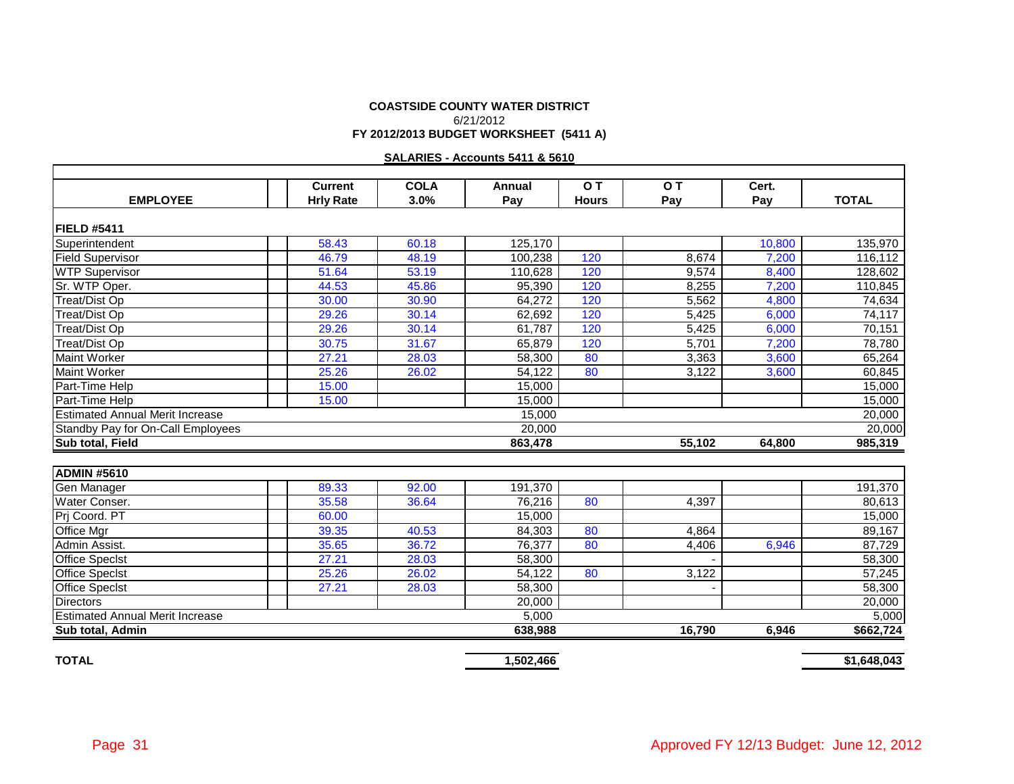#### **COASTSIDE COUNTY WATER DISTRICT FY 2012/2013 BUDGET WORKSHEET (5411 A)** 6/21/2012

#### **SALARIES - Accounts 5411 & 5610**

|                                        | <b>Current</b>     | <b>COLA</b> | Annual  | OT           | O T    | Cert.  |              |
|----------------------------------------|--------------------|-------------|---------|--------------|--------|--------|--------------|
| <b>EMPLOYEE</b>                        | <b>Hrly Rate</b>   | 3.0%        | Pay     | <b>Hours</b> | Pay    | Pay    | <b>TOTAL</b> |
|                                        |                    |             |         |              |        |        |              |
| FIELD #5411                            |                    |             |         |              |        |        |              |
| Superintendent                         | 58.43              | 60.18       | 125,170 |              |        | 10,800 | 135,970      |
| <b>Field Supervisor</b>                | 46.79              | 48.19       | 100,238 | 120          | 8,674  | 7,200  | 116,112      |
| <b>WTP Supervisor</b>                  | 51.64              | 53.19       | 110.628 | 120          | 9,574  | 8,400  | 128.602      |
| Sr. WTP Oper.                          | 44.53              | 45.86       | 95.390  | 120          | 8,255  | 7,200  | 110,845      |
| Treat/Dist Op                          | 30.00              | 30.90       | 64,272  | 120          | 5,562  | 4,800  | 74,634       |
| Treat/Dist Op                          | 29.26              | 30.14       | 62,692  | 120          | 5,425  | 6,000  | 74,117       |
| Treat/Dist Op                          | 29.26              | 30.14       | 61,787  | 120          | 5,425  | 6,000  | 70,151       |
| Treat/Dist Op                          | 30.75              | 31.67       | 65.879  | 120          | 5.701  | 7.200  | 78,780       |
| <b>Maint Worker</b>                    | 27.21              | 28.03       | 58,300  | 80           | 3,363  | 3,600  | 65,264       |
| <b>Maint Worker</b>                    | 25.26              | 26.02       | 54,122  | 80           | 3,122  | 3,600  | 60,845       |
| Part-Time Help                         | 15.00              |             | 15,000  |              |        |        | 15,000       |
| Part-Time Help                         | 15.00              |             | 15,000  |              |        |        | 15,000       |
| <b>Estimated Annual Merit Increase</b> |                    |             | 15,000  |              |        |        | 20,000       |
| Standby Pay for On-Call Employees      |                    |             | 20,000  |              |        |        | 20,000       |
| Sub total, Field                       |                    |             | 863,478 |              | 55,102 | 64,800 | 985,319      |
|                                        |                    |             |         |              |        |        |              |
| <b>ADMIN #5610</b>                     |                    |             |         |              |        |        |              |
| Gen Manager                            | 89.33              | 92.00       | 191.370 |              |        |        | 191,370      |
| Water Conser.                          | 35.58              | 36.64       | 76,216  | 80           | 4,397  |        | 80,613       |
| Prj Coord. PT                          | 60.00              |             | 15.000  |              |        |        | 15,000       |
| Office Mgr                             | 39.35              | 40.53       | 84,303  | 80           | 4,864  |        | 89,167       |
| Admin Assist.                          | 35.65              | 36.72       | 76,377  | 80           | 4,406  | 6,946  | 87,729       |
| <b>Office Specist</b>                  | $\overline{27.21}$ | 28.03       | 58,300  |              |        |        | 58,300       |
| <b>Office Specist</b>                  | 25.26              | 26.02       | 54.122  | 80           | 3,122  |        | 57,245       |
| <b>Office Specist</b>                  | 27.21              | 28.03       | 58,300  |              |        |        | 58,300       |
| <b>Directors</b>                       |                    |             | 20,000  |              |        |        | 20,000       |
| <b>Estimated Annual Merit Increase</b> |                    |             | 5,000   |              |        |        | 5,000        |
| Sub total, Admin                       |                    |             | 638,988 |              | 16,790 | 6,946  | \$662,724    |

**TOTAL 1,502,466 \$1,648,043**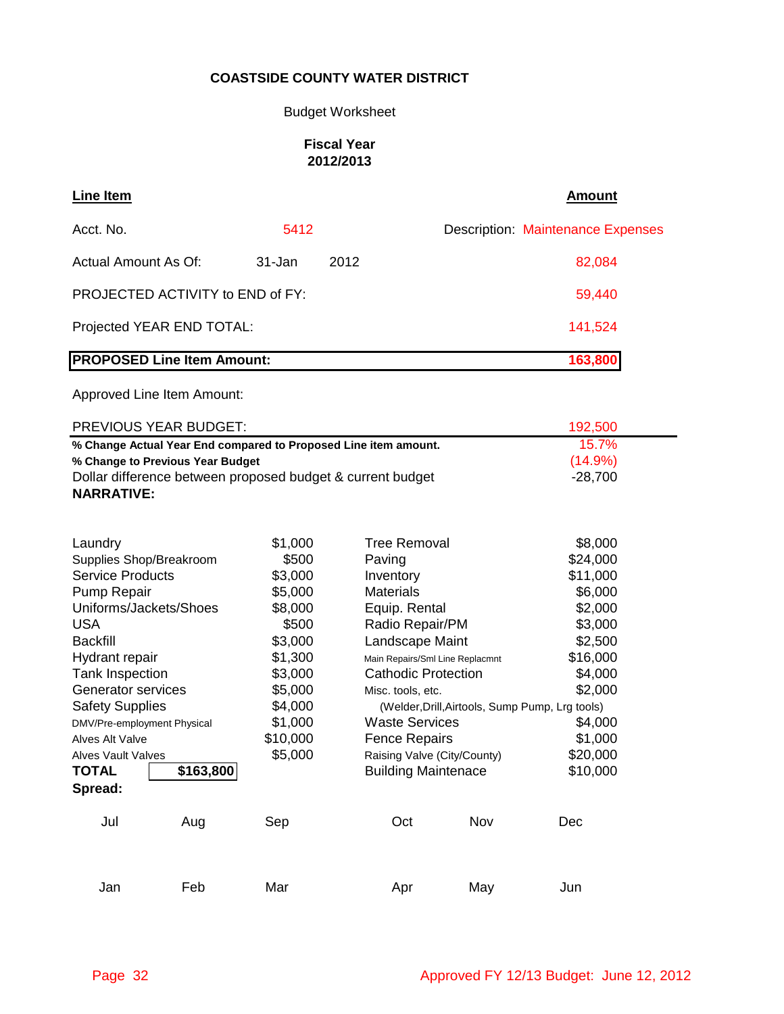# Budget Worksheet

### **Fiscal Year 2012/2013**

| Line Item                               |        |      | Amount                                   |
|-----------------------------------------|--------|------|------------------------------------------|
| Acct. No.                               | 5412   |      | <b>Description: Maintenance Expenses</b> |
| Actual Amount As Of:                    | 31-Jan | 2012 | 82,084                                   |
| <b>PROJECTED ACTIVITY to END of FY:</b> |        |      | 59,440                                   |
| Projected YEAR END TOTAL:               |        |      | 141,524                                  |
| <b>PROPOSED Line Item Amount:</b>       |        |      | 163,800                                  |

| <b>PREVIOUS YEAR BUDGET:</b>                                    | 192.500    |
|-----------------------------------------------------------------|------------|
| % Change Actual Year End compared to Proposed Line item amount. | 157%       |
| % Change to Previous Year Budget                                | $(14.9\%)$ |
| Dollar difference between proposed budget & current budget      | -28.700    |
| <b>NARRATIVE:</b>                                               |            |

| Laundry                     |           | \$1,000  | Tree Removal                    |                                                 | \$8,000  |
|-----------------------------|-----------|----------|---------------------------------|-------------------------------------------------|----------|
| Supplies Shop/Breakroom     |           | \$500    | Paving                          |                                                 | \$24,000 |
| <b>Service Products</b>     |           | \$3,000  | Inventory                       |                                                 | \$11,000 |
| Pump Repair                 |           | \$5,000  | <b>Materials</b>                |                                                 | \$6,000  |
| Uniforms/Jackets/Shoes      |           | \$8,000  | Equip. Rental                   |                                                 | \$2,000  |
| <b>USA</b>                  |           | \$500    | Radio Repair/PM                 |                                                 | \$3,000  |
| <b>Backfill</b>             |           | \$3,000  | Landscape Maint                 |                                                 | \$2,500  |
| Hydrant repair              |           | \$1,300  | Main Repairs/Sml Line Replacmnt |                                                 | \$16,000 |
| <b>Tank Inspection</b>      |           | \$3,000  | <b>Cathodic Protection</b>      |                                                 | \$4,000  |
| Generator services          |           | \$5,000  | Misc. tools, etc.               |                                                 | \$2,000  |
| <b>Safety Supplies</b>      |           | \$4,000  |                                 | (Welder, Drill, Airtools, Sump Pump, Lrg tools) |          |
| DMV/Pre-employment Physical |           | \$1,000  | <b>Waste Services</b>           |                                                 | \$4,000  |
| Alves Alt Valve             |           | \$10,000 | <b>Fence Repairs</b>            |                                                 | \$1,000  |
| <b>Alves Vault Valves</b>   |           | \$5,000  | Raising Valve (City/County)     |                                                 | \$20,000 |
| <b>TOTAL</b>                | \$163,800 |          | <b>Building Maintenace</b>      |                                                 | \$10,000 |
| Spread:                     |           |          |                                 |                                                 |          |
| Jul                         | Aug       | Sep      | Oct                             | Nov                                             | Dec      |
| Jan                         | Feb       | Mar      | Apr                             | May                                             | Jun      |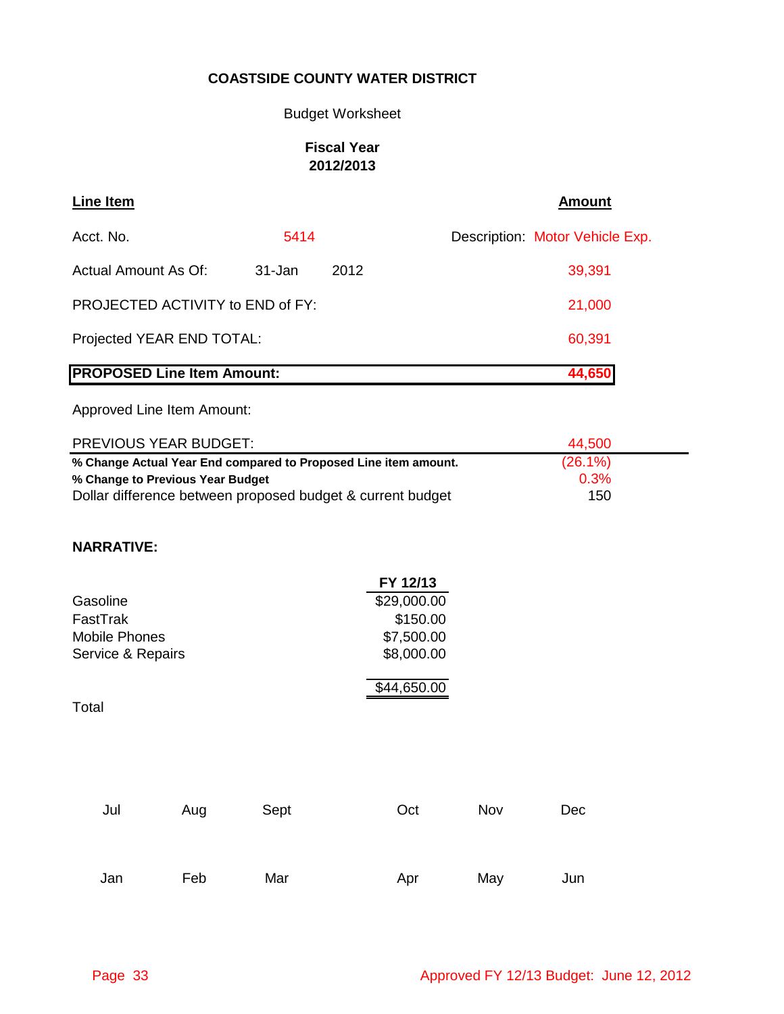Budget Worksheet

# **Fiscal Year 2012/2013**

| Line Item                         |        |      | <b>Amount</b>                   |
|-----------------------------------|--------|------|---------------------------------|
| Acct. No.                         | 5414   |      | Description: Motor Vehicle Exp. |
| Actual Amount As Of:              | 31-Jan | 2012 | 39,391                          |
| PROJECTED ACTIVITY to END of FY:  |        |      | 21,000                          |
| Projected YEAR END TOTAL:         |        |      | 60,391                          |
| <b>PROPOSED Line Item Amount:</b> |        |      | 44,650                          |

Approved Line Item Amount:

| PREVIOUS YEAR BUDGET:                                           | 44.500     |  |
|-----------------------------------------------------------------|------------|--|
| % Change Actual Year End compared to Proposed Line item amount. | $(26.1\%)$ |  |
| % Change to Previous Year Budget                                | 0.3%       |  |
| Dollar difference between proposed budget & current budget      | 150        |  |

# **NARRATIVE:**

|                      | FY 12/13    |
|----------------------|-------------|
| Gasoline             | \$29,000.00 |
| FastTrak             | \$150.00    |
| <b>Mobile Phones</b> | \$7,500.00  |
| Service & Repairs    | \$8,000.00  |
|                      | \$44,650.00 |

Total

| Jul | Aug | Sept | Oct | Nov | Dec |
|-----|-----|------|-----|-----|-----|
|     |     |      |     |     |     |
| Jan | Feb | Mar  | Apr | May | Jun |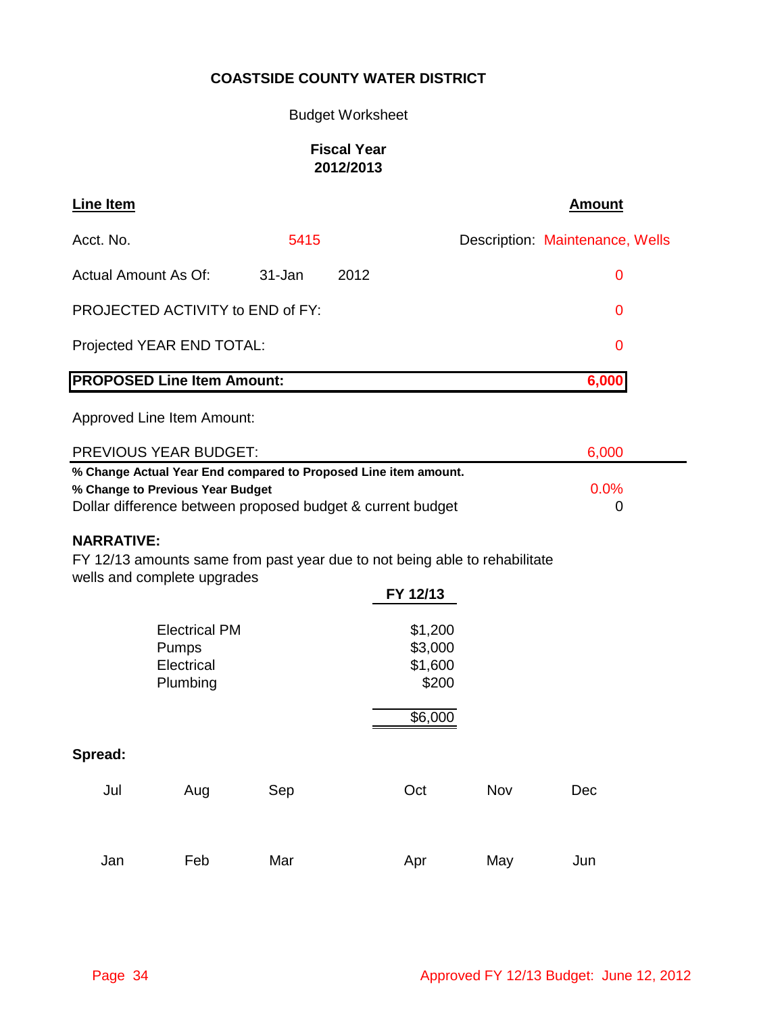# Budget Worksheet

# **Fiscal Year 2012/2013**

| <b>Line Item</b>                                                                                                                                                               |                                                         |        |      |                                                   | <b>Amount</b>                   |
|--------------------------------------------------------------------------------------------------------------------------------------------------------------------------------|---------------------------------------------------------|--------|------|---------------------------------------------------|---------------------------------|
| Acct. No.                                                                                                                                                                      |                                                         | 5415   |      |                                                   | Description: Maintenance, Wells |
| <b>Actual Amount As Of:</b>                                                                                                                                                    |                                                         | 31-Jan | 2012 |                                                   | $\mathbf 0$                     |
|                                                                                                                                                                                | PROJECTED ACTIVITY to END of FY:                        |        |      |                                                   | 0                               |
|                                                                                                                                                                                | Projected YEAR END TOTAL:                               |        |      |                                                   | 0                               |
|                                                                                                                                                                                | <b>PROPOSED Line Item Amount:</b>                       |        |      |                                                   | 6,000                           |
|                                                                                                                                                                                | Approved Line Item Amount:                              |        |      |                                                   |                                 |
|                                                                                                                                                                                | <b>PREVIOUS YEAR BUDGET:</b>                            |        |      |                                                   | 6,000                           |
| % Change Actual Year End compared to Proposed Line item amount.<br>0.0%<br>% Change to Previous Year Budget<br>Dollar difference between proposed budget & current budget<br>0 |                                                         |        |      |                                                   |                                 |
| <b>NARRATIVE:</b><br>FY 12/13 amounts same from past year due to not being able to rehabilitate<br>wells and complete upgrades<br>FY 12/13                                     |                                                         |        |      |                                                   |                                 |
|                                                                                                                                                                                | <b>Electrical PM</b><br>Pumps<br>Electrical<br>Plumbing |        |      | \$1,200<br>\$3,000<br>\$1,600<br>\$200<br>\$6,000 |                                 |
| Spread:                                                                                                                                                                        |                                                         |        |      |                                                   |                                 |
| Jul                                                                                                                                                                            | Aug                                                     | Sep    | Oct  | Nov                                               | Dec                             |
| Jan                                                                                                                                                                            | Feb                                                     | Mar    | Apr  | May                                               | Jun                             |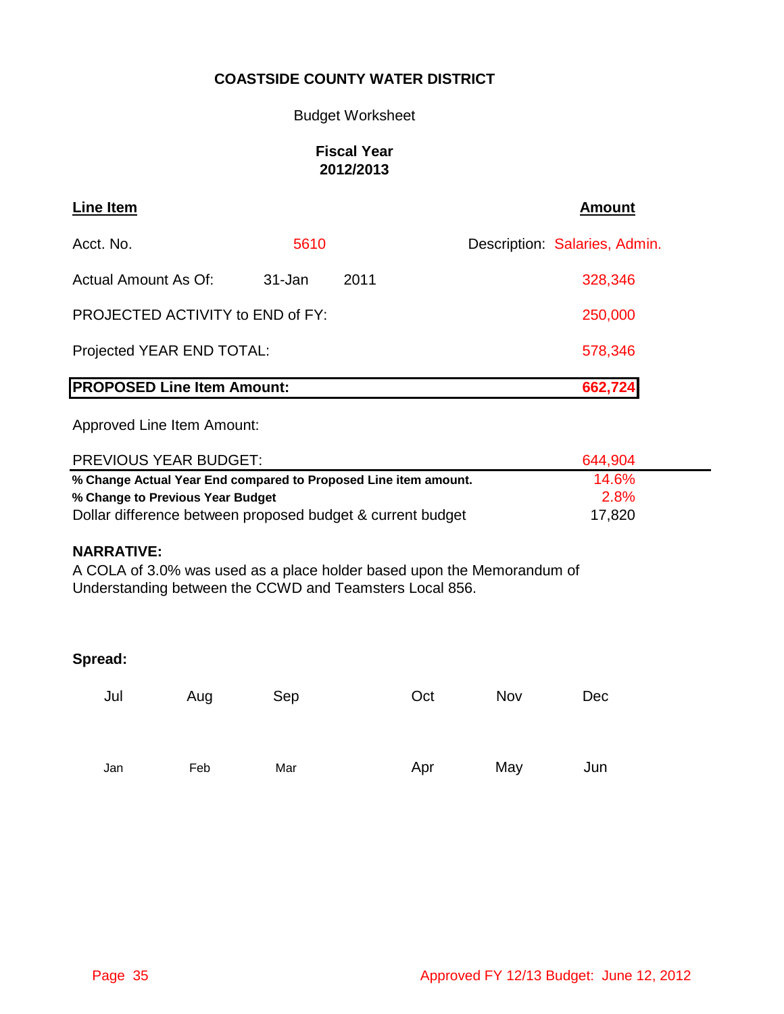### Budget Worksheet

# **Fiscal Year 2012/2013**

| Line Item                         |         |      | <b>Amount</b>                 |
|-----------------------------------|---------|------|-------------------------------|
| Acct. No.                         | 5610    |      | Description: Salaries, Admin. |
| Actual Amount As Of:              | 31-Jan  | 2011 | 328,346                       |
| PROJECTED ACTIVITY to END of FY:  | 250,000 |      |                               |
| Projected YEAR END TOTAL:         | 578,346 |      |                               |
| <b>PROPOSED Line Item Amount:</b> |         |      | 662,724                       |

Approved Line Item Amount:

| <b>PREVIOUS YEAR BUDGET:</b>                                    | 644.904 |  |
|-----------------------------------------------------------------|---------|--|
| % Change Actual Year End compared to Proposed Line item amount. | 14.6%   |  |
| % Change to Previous Year Budget                                | 2.8%    |  |
| Dollar difference between proposed budget & current budget      | 17,820  |  |

### **NARRATIVE:**

A COLA of 3.0% was used as a place holder based upon the Memorandum of Understanding between the CCWD and Teamsters Local 856.

| Jul | Aug | Sep | Oct | Nov | Dec |
|-----|-----|-----|-----|-----|-----|
| Jan | Feb | Mar | Apr | May | Jun |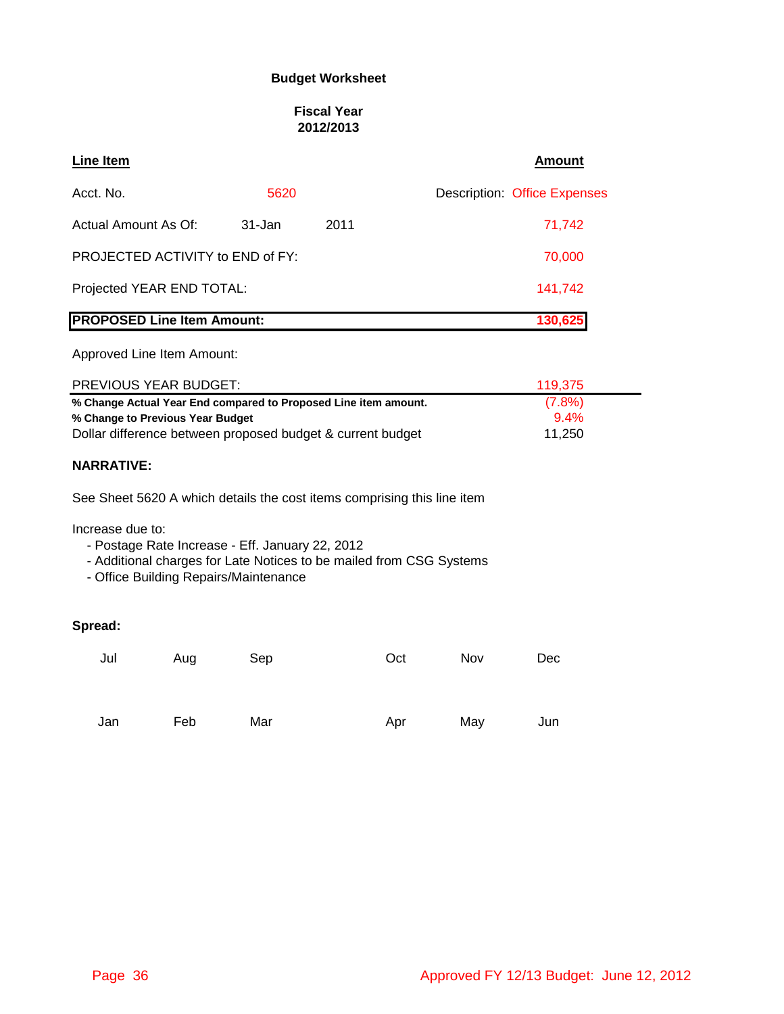### **Budget Worksheet**

### **Fiscal Year 2012/2013**

| <b>Line Item</b>                                                        |         |      | <b>Amount</b>                       |
|-------------------------------------------------------------------------|---------|------|-------------------------------------|
| Acct. No.                                                               | 5620    |      | <b>Description: Office Expenses</b> |
| Actual Amount As Of:                                                    | 31-Jan  | 2011 | 71,742                              |
| PROJECTED ACTIVITY to END of FY:                                        |         |      | 70,000                              |
| Projected YEAR END TOTAL:                                               | 141,742 |      |                                     |
| <b>PROPOSED Line Item Amount:</b>                                       |         |      | 130,625                             |
| Approved Line Item Amount:                                              |         |      |                                     |
| <b>PREVIOUS YEAR BUDGET:</b>                                            |         |      | 119,375                             |
| % Change Actual Year End compared to Proposed Line item amount.         |         |      | (7.8%)                              |
| % Change to Previous Year Budget                                        | $9.4\%$ |      |                                     |
| Dollar difference between proposed budget & current budget              | 11,250  |      |                                     |
| <b>NARRATIVE:</b>                                                       |         |      |                                     |
| See Sheet 5620 A which details the cost items comprising this line item |         |      |                                     |
| Increase due to:<br>- Postage Rate Increase - Eff. January 22, 2012     |         |      |                                     |

- Additional charges for Late Notices to be mailed from CSG Systems

- Office Building Repairs/Maintenance

| Jul | Aug | Sep | Oct | Nov | Dec |
|-----|-----|-----|-----|-----|-----|
|     |     |     |     |     |     |
| Jan | Feb | Mar | Apr | May | Jun |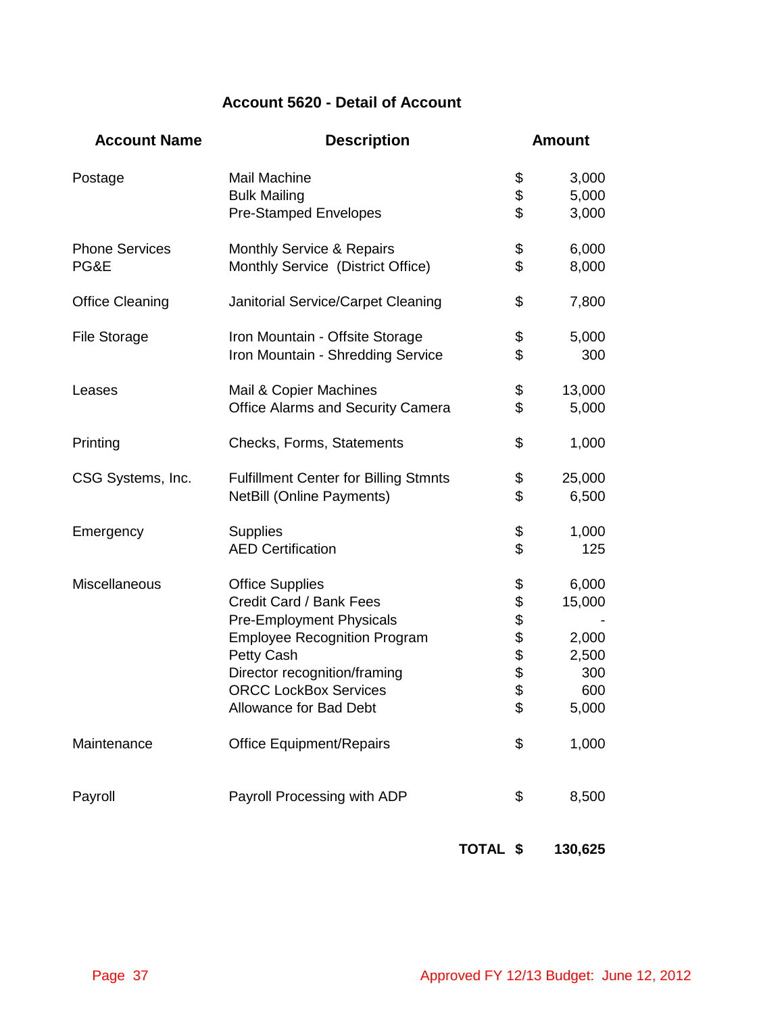# **Account 5620 - Detail of Account**

| <b>Account Name</b>           | <b>Description</b>                                                                                                                                                                                                                  |          | <b>Amount</b>                                                                          |
|-------------------------------|-------------------------------------------------------------------------------------------------------------------------------------------------------------------------------------------------------------------------------------|----------|----------------------------------------------------------------------------------------|
| Postage                       | Mail Machine<br><b>Bulk Mailing</b><br><b>Pre-Stamped Envelopes</b>                                                                                                                                                                 |          | 3,000<br>\$<br>\$<br>5,000<br>\$<br>3,000                                              |
| <b>Phone Services</b><br>PG&E | <b>Monthly Service &amp; Repairs</b><br>Monthly Service (District Office)                                                                                                                                                           |          | \$<br>6,000<br>\$<br>8,000                                                             |
| <b>Office Cleaning</b>        | Janitorial Service/Carpet Cleaning                                                                                                                                                                                                  |          | \$<br>7,800                                                                            |
| <b>File Storage</b>           | Iron Mountain - Offsite Storage<br>Iron Mountain - Shredding Service                                                                                                                                                                |          | \$<br>5,000<br>\$<br>300                                                               |
| Leases                        | Mail & Copier Machines<br><b>Office Alarms and Security Camera</b>                                                                                                                                                                  |          | \$<br>13,000<br>\$<br>5,000                                                            |
| Printing                      | Checks, Forms, Statements                                                                                                                                                                                                           |          | \$<br>1,000                                                                            |
| CSG Systems, Inc.             | <b>Fulfillment Center for Billing Stmnts</b><br><b>NetBill (Online Payments)</b>                                                                                                                                                    |          | \$<br>25,000<br>\$<br>6,500                                                            |
| Emergency                     | <b>Supplies</b><br><b>AED Certification</b>                                                                                                                                                                                         |          | \$<br>1,000<br>\$<br>125                                                               |
| Miscellaneous                 | <b>Office Supplies</b><br>Credit Card / Bank Fees<br><b>Pre-Employment Physicals</b><br><b>Employee Recognition Program</b><br>Petty Cash<br>Director recognition/framing<br><b>ORCC LockBox Services</b><br>Allowance for Bad Debt |          | \$<br>6,000<br>\$\$\$\$\$\$\$<br>15,000<br>2,000<br>2,500<br>300<br>600<br>5,000<br>\$ |
| Maintenance                   | <b>Office Equipment/Repairs</b>                                                                                                                                                                                                     |          | \$<br>1,000                                                                            |
| Payroll                       | Payroll Processing with ADP                                                                                                                                                                                                         |          | \$<br>8,500                                                                            |
|                               |                                                                                                                                                                                                                                     | TOTAL \$ | 130,625                                                                                |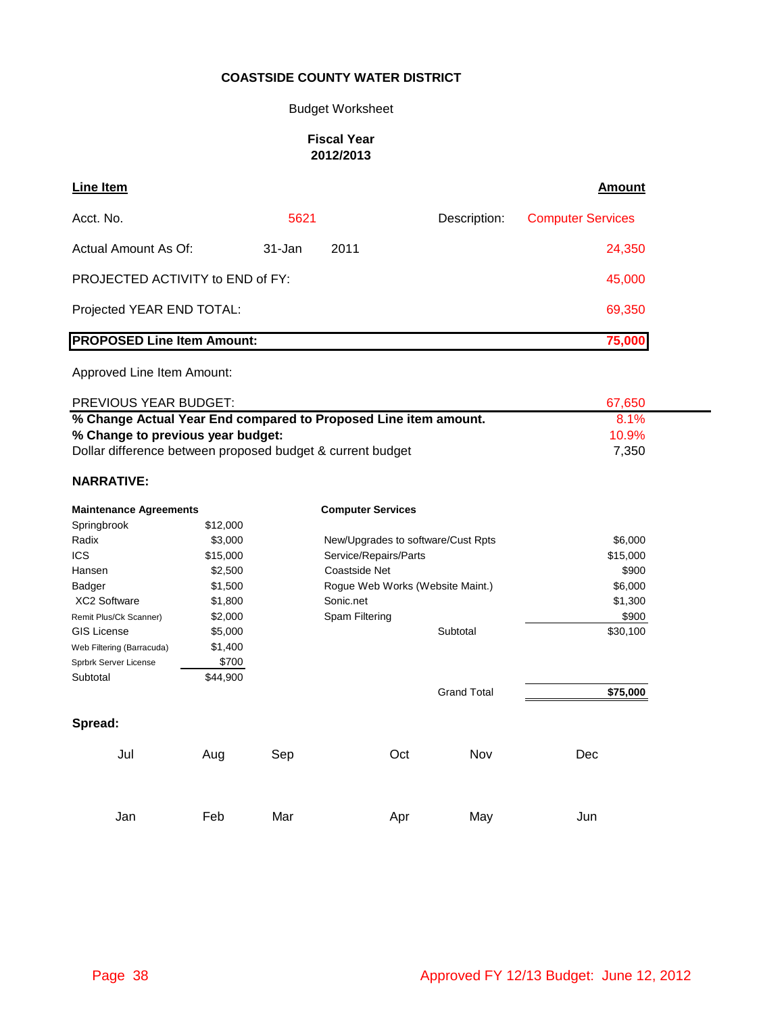#### Budget Worksheet

#### **Fiscal Year 2012/2013**

| Line Item                               |            |        |              | Amount                   |
|-----------------------------------------|------------|--------|--------------|--------------------------|
| Acct. No.                               | 5621       |        | Description: | <b>Computer Services</b> |
| Actual Amount As Of:                    | $31 - Jan$ | 2011   |              | 24,350                   |
| <b>PROJECTED ACTIVITY to END of FY:</b> |            | 45,000 |              |                          |
| Projected YEAR END TOTAL:               |            | 69,350 |              |                          |
| <b>PROPOSED Line Item Amount:</b>       |            |        |              | 75,000                   |

#### Approved Line Item Amount:

| <b>PREVIOUS YEAR BUDGET:</b>                                    | 67.650   |  |
|-----------------------------------------------------------------|----------|--|
| % Change Actual Year End compared to Proposed Line item amount. | 8.1%     |  |
| % Change to previous year budget:                               | $10.9\%$ |  |
| Dollar difference between proposed budget & current budget      | 7.350    |  |

#### **NARRATIVE:**

| <b>Maintenance Agreements</b> |          |     | <b>Computer Services</b>           |                    |          |
|-------------------------------|----------|-----|------------------------------------|--------------------|----------|
| Springbrook                   | \$12,000 |     |                                    |                    |          |
| Radix                         | \$3,000  |     | New/Upgrades to software/Cust Rpts |                    | \$6,000  |
| <b>ICS</b>                    | \$15,000 |     | Service/Repairs/Parts              |                    | \$15,000 |
| Hansen                        | \$2,500  |     | Coastside Net                      |                    | \$900    |
| Badger                        | \$1,500  |     | Rogue Web Works (Website Maint.)   |                    | \$6,000  |
| <b>XC2 Software</b>           | \$1,800  |     | Sonic.net                          |                    | \$1,300  |
| Remit Plus/Ck Scanner)        | \$2,000  |     | Spam Filtering                     |                    | \$900    |
| <b>GIS License</b>            | \$5,000  |     |                                    | Subtotal           | \$30,100 |
| Web Filtering (Barracuda)     | \$1,400  |     |                                    |                    |          |
| Sprbrk Server License         | \$700    |     |                                    |                    |          |
| Subtotal                      | \$44,900 |     |                                    |                    |          |
|                               |          |     |                                    | <b>Grand Total</b> | \$75,000 |
| Spread:                       |          |     |                                    |                    |          |
| Jul                           | Aug      | Sep | Oct                                | Nov                | Dec      |
|                               |          |     |                                    |                    |          |
| Jan                           | Feb      | Mar | Apr                                | May                | Jun      |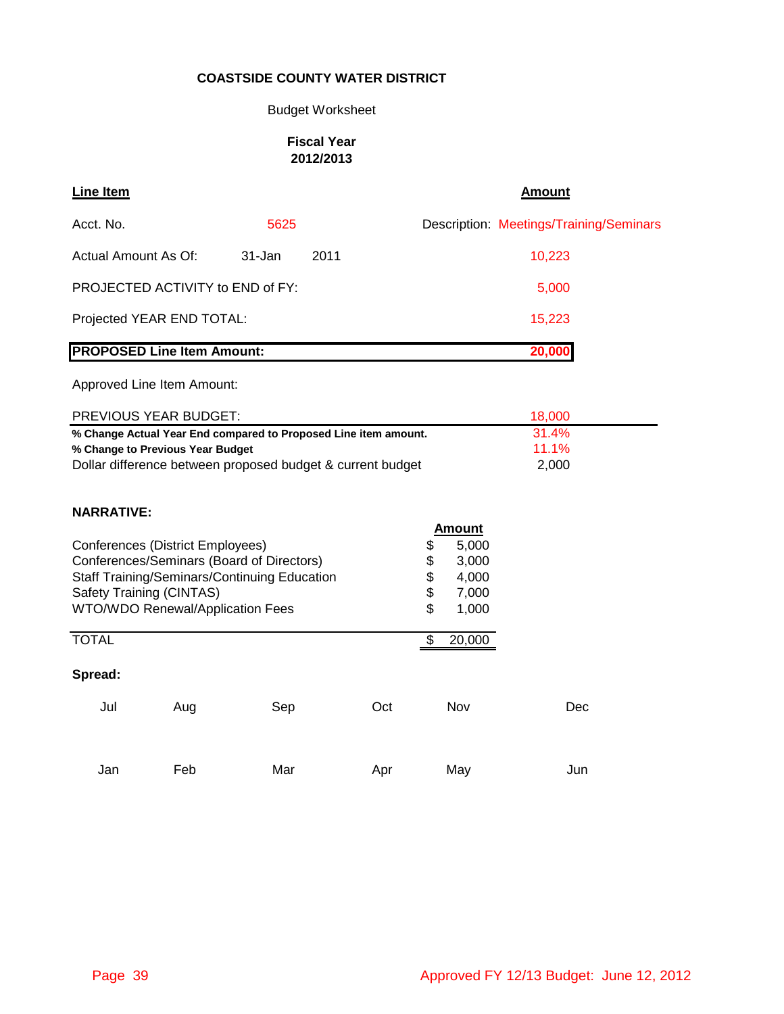# Budget Worksheet

### **Fiscal Year 2012/2013**

| Line Item                         |                                                                                                                                                                                 |        |      |     |                            |                                                            | <b>Amount</b>                           |
|-----------------------------------|---------------------------------------------------------------------------------------------------------------------------------------------------------------------------------|--------|------|-----|----------------------------|------------------------------------------------------------|-----------------------------------------|
| Acct. No.                         |                                                                                                                                                                                 | 5625   |      |     |                            |                                                            | Description: Meetings/Training/Seminars |
| Actual Amount As Of:              |                                                                                                                                                                                 | 31-Jan | 2011 |     |                            |                                                            | 10,223                                  |
|                                   | PROJECTED ACTIVITY to END of FY:                                                                                                                                                |        |      |     |                            |                                                            | 5,000                                   |
|                                   | Projected YEAR END TOTAL:                                                                                                                                                       |        |      |     |                            |                                                            | 15,223                                  |
| <b>PROPOSED Line Item Amount:</b> |                                                                                                                                                                                 |        |      |     |                            |                                                            | 20,000                                  |
|                                   | Approved Line Item Amount:                                                                                                                                                      |        |      |     |                            |                                                            |                                         |
|                                   | PREVIOUS YEAR BUDGET:                                                                                                                                                           |        |      |     |                            |                                                            | 18,000                                  |
| <b>NARRATIVE:</b>                 | % Change to Previous Year Budget<br>Dollar difference between proposed budget & current budget                                                                                  |        |      |     |                            |                                                            | 11.1%<br>2,000                          |
| Safety Training (CINTAS)          | <b>Conferences (District Employees)</b><br>Conferences/Seminars (Board of Directors)<br><b>Staff Training/Seminars/Continuing Education</b><br>WTO/WDO Renewal/Application Fees |        |      |     | \$<br>\$<br>\$<br>\$<br>\$ | <b>Amount</b><br>5,000<br>3,000<br>4,000<br>7,000<br>1,000 |                                         |
| <b>TOTAL</b>                      |                                                                                                                                                                                 |        |      |     | \$                         | 20,000                                                     |                                         |
| Spread:                           |                                                                                                                                                                                 |        |      |     |                            |                                                            |                                         |
| Jul                               | Aug                                                                                                                                                                             | Sep    |      | Oct |                            | Nov                                                        | Dec                                     |
| Jan                               | Feb                                                                                                                                                                             | Mar    |      | Apr |                            | May                                                        | Jun                                     |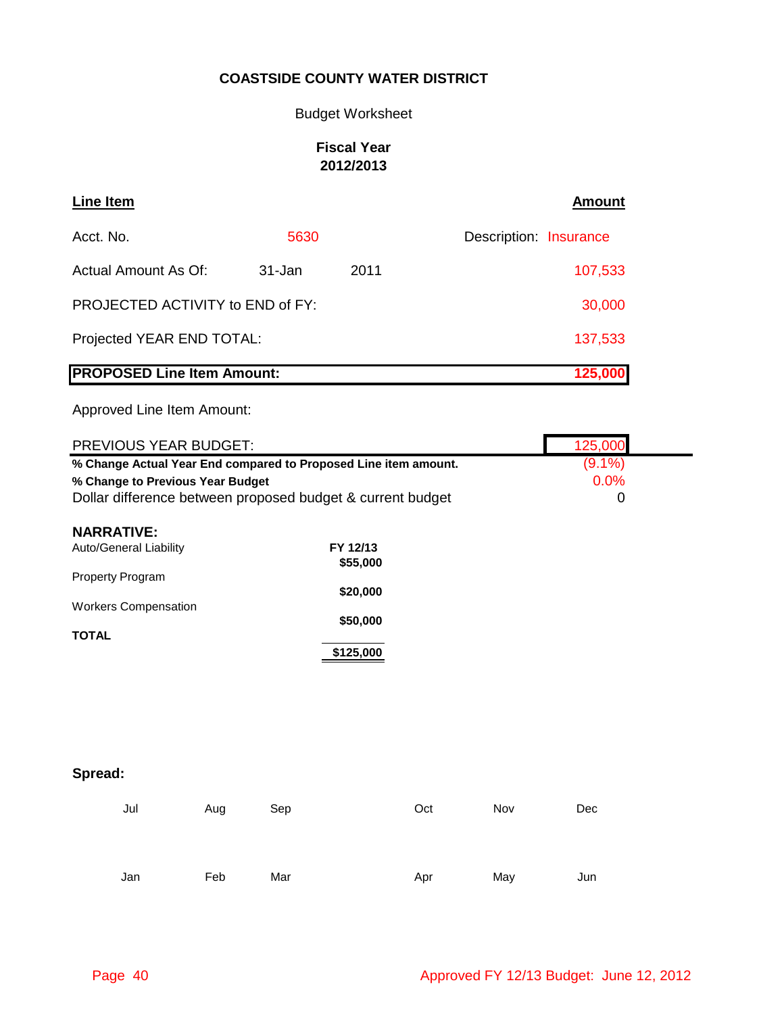Budget Worksheet

# **Fiscal Year 2012/2013**

| Line Item                         |         |      | <b>Amount</b>          |
|-----------------------------------|---------|------|------------------------|
| Acct. No.                         | 5630    |      | Description: Insurance |
| Actual Amount As Of:              | 31-Jan  | 2011 | 107,533                |
| PROJECTED ACTIVITY to END of FY:  |         |      | 30,000                 |
| Projected YEAR END TOTAL:         |         |      | 137,533                |
| <b>PROPOSED Line Item Amount:</b> | 125,000 |      |                        |

| PREVIOUS YEAR BUDGET:                                           |     |     |           |     |            | 125,000   |  |
|-----------------------------------------------------------------|-----|-----|-----------|-----|------------|-----------|--|
| % Change Actual Year End compared to Proposed Line item amount. |     |     |           |     |            | $(9.1\%)$ |  |
| % Change to Previous Year Budget                                |     |     |           |     |            | 0.0%      |  |
| Dollar difference between proposed budget & current budget      |     |     |           |     |            | 0         |  |
| <b>NARRATIVE:</b>                                               |     |     |           |     |            |           |  |
| Auto/General Liability                                          |     |     | FY 12/13  |     |            |           |  |
|                                                                 |     |     | \$55,000  |     |            |           |  |
| Property Program                                                |     |     |           |     |            |           |  |
| <b>Workers Compensation</b>                                     |     |     | \$20,000  |     |            |           |  |
|                                                                 |     |     | \$50,000  |     |            |           |  |
| <b>TOTAL</b>                                                    |     |     |           |     |            |           |  |
|                                                                 |     |     | \$125,000 |     |            |           |  |
|                                                                 |     |     |           |     |            |           |  |
|                                                                 |     |     |           |     |            |           |  |
|                                                                 |     |     |           |     |            |           |  |
|                                                                 |     |     |           |     |            |           |  |
|                                                                 |     |     |           |     |            |           |  |
|                                                                 |     |     |           |     |            |           |  |
| Spread:                                                         |     |     |           |     |            |           |  |
|                                                                 |     |     |           | Oct | <b>Nov</b> | Dec       |  |
| Jul                                                             | Aug | Sep |           |     |            |           |  |
|                                                                 |     |     |           |     |            |           |  |

|  | Jan Feb Mar |  |  | Apr May Jun |  |
|--|-------------|--|--|-------------|--|
|--|-------------|--|--|-------------|--|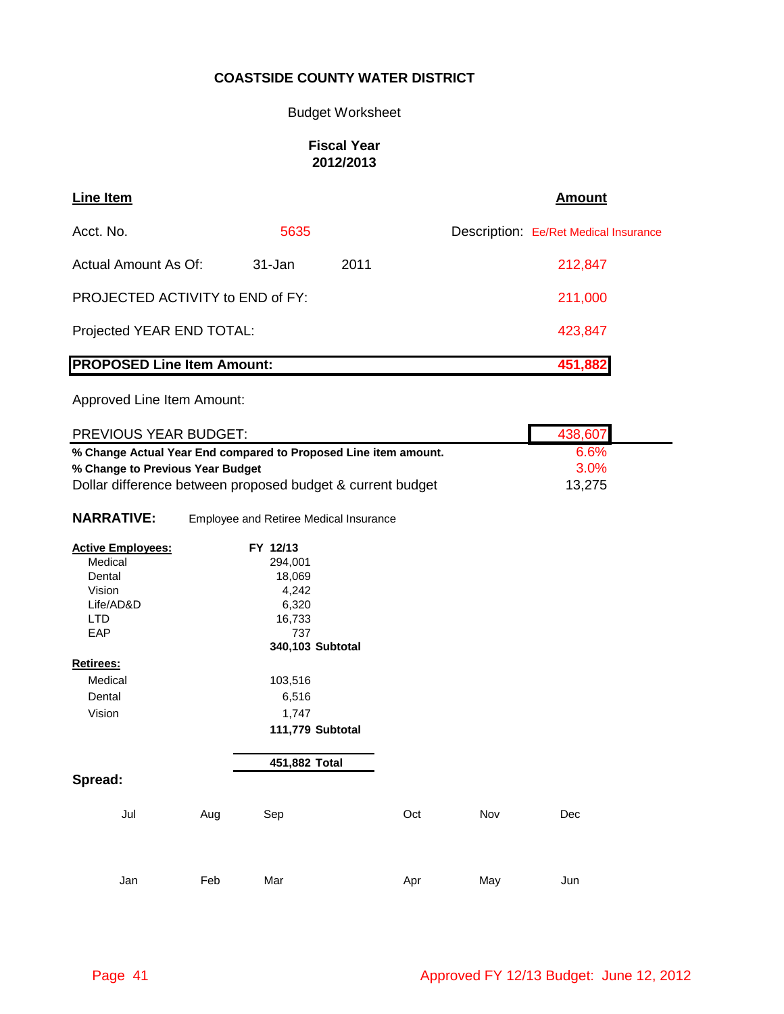### Budget Worksheet

### **Fiscal Year 2012/2013**

| <b>Line Item</b>                        |        |      | <b>Amount</b>                         |
|-----------------------------------------|--------|------|---------------------------------------|
| Acct. No.                               | 5635   |      | Description: Ee/Ret Medical Insurance |
| Actual Amount As Of:                    | 31-Jan | 2011 | 212,847                               |
| <b>PROJECTED ACTIVITY to END of FY:</b> |        |      | 211,000                               |
| Projected YEAR END TOTAL:               |        |      | 423,847                               |
| <b>PROPOSED Line Item Amount:</b>       |        |      | 451,882                               |

| PREVIOUS YEAR BUDGET:                                           |                                  |                                                            |     |     | 438,607 |  |
|-----------------------------------------------------------------|----------------------------------|------------------------------------------------------------|-----|-----|---------|--|
| % Change Actual Year End compared to Proposed Line item amount. | 6.6%                             |                                                            |     |     |         |  |
|                                                                 | % Change to Previous Year Budget |                                                            |     |     |         |  |
|                                                                 |                                  | Dollar difference between proposed budget & current budget |     |     | 13,275  |  |
|                                                                 |                                  |                                                            |     |     |         |  |
| <b>NARRATIVE:</b>                                               |                                  | Employee and Retiree Medical Insurance                     |     |     |         |  |
| <b>Active Employees:</b>                                        |                                  | FY 12/13                                                   |     |     |         |  |
| Medical                                                         |                                  | 294,001                                                    |     |     |         |  |
| Dental                                                          |                                  | 18,069                                                     |     |     |         |  |
| Vision                                                          |                                  | 4,242                                                      |     |     |         |  |
| Life/AD&D                                                       |                                  | 6,320                                                      |     |     |         |  |
| <b>LTD</b>                                                      |                                  | 16,733                                                     |     |     |         |  |
| EAP                                                             |                                  | 737                                                        |     |     |         |  |
|                                                                 |                                  | 340,103 Subtotal                                           |     |     |         |  |
| Retirees:                                                       |                                  |                                                            |     |     |         |  |
| Medical                                                         |                                  | 103,516                                                    |     |     |         |  |
| Dental                                                          |                                  | 6,516                                                      |     |     |         |  |
| Vision                                                          |                                  | 1,747                                                      |     |     |         |  |
|                                                                 |                                  | 111,779 Subtotal                                           |     |     |         |  |
|                                                                 |                                  |                                                            |     |     |         |  |
|                                                                 |                                  |                                                            |     |     |         |  |
|                                                                 |                                  | 451,882 Total                                              |     |     |         |  |
| Spread:                                                         |                                  |                                                            |     |     |         |  |
|                                                                 |                                  |                                                            |     |     |         |  |
| Jul                                                             | Aug                              | Sep                                                        | Oct | Nov | Dec     |  |
|                                                                 |                                  |                                                            |     |     |         |  |
|                                                                 |                                  |                                                            |     |     |         |  |
|                                                                 |                                  |                                                            |     |     |         |  |
| Jan                                                             | Feb                              | Mar                                                        |     |     | Jun     |  |
|                                                                 |                                  |                                                            | Apr | May |         |  |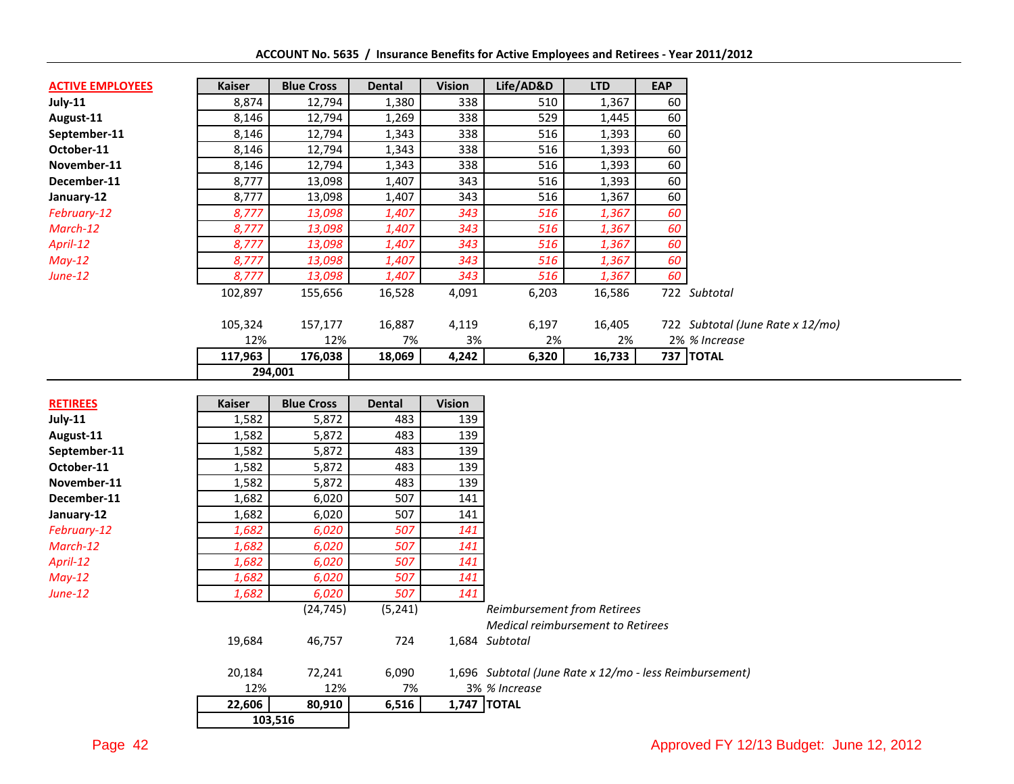| <b>ACTIVE EMPLOYEES</b> | <b>Kaiser</b> | <b>Blue Cross</b> | <b>Dental</b> | <b>Vision</b> | Life/AD&D | <b>LTD</b> | <b>EAP</b> |                                  |
|-------------------------|---------------|-------------------|---------------|---------------|-----------|------------|------------|----------------------------------|
| July-11                 | 8,874         | 12,794            | 1,380         | 338           | 510       | 1,367      | 60         |                                  |
| August-11               | 8,146         | 12,794            | 1,269         | 338           | 529       | 1,445      | 60         |                                  |
| September-11            | 8,146         | 12,794            | 1,343         | 338           | 516       | 1,393      | 60         |                                  |
| October-11              | 8,146         | 12,794            | 1,343         | 338           | 516       | 1,393      | 60         |                                  |
| November-11             | 8,146         | 12,794            | 1,343         | 338           | 516       | 1,393      | 60         |                                  |
| December-11             | 8,777         | 13,098            | 1,407         | 343           | 516       | 1,393      | 60         |                                  |
| January-12              | 8,777         | 13,098            | 1,407         | 343           | 516       | 1,367      | 60         |                                  |
| February-12             | 8,777         | 13,098            | 1,407         | 343           | 516       | 1,367      | 60         |                                  |
| March-12                | 8,777         | 13,098            | 1,407         | 343           | 516       | 1,367      | 60         |                                  |
| April-12                | 8,777         | 13,098            | 1,407         | 343           | 516       | 1,367      | 60         |                                  |
| $May-12$                | 8,777         | 13,098            | 1,407         | 343           | 516       | 1,367      | 60         |                                  |
| June-12                 | 8,777         | 13,098            | 1,407         | 343           | 516       | 1,367      | 60         |                                  |
|                         | 102,897       | 155,656           | 16,528        | 4,091         | 6,203     | 16,586     |            | 722 Subtotal                     |
|                         | 105,324       | 157,177           | 16,887        | 4,119         | 6,197     | 16,405     |            | 722 Subtotal (June Rate x 12/mo) |
|                         | 12%           | 12%               | 7%            | 3%            | 2%        | 2%         |            | 2% % Increase                    |
|                         | 117,963       | 176,038           | 18,069        | 4,242         | 6,320     | 16,733     |            | 737 TOTAL                        |
|                         |               | 294,001           |               |               |           |            |            |                                  |

| <b>RETIREES</b> | <b>Kaiser</b> | <b>Blue Cross</b> | Dental   | <b>Vision</b> |                                                                                |
|-----------------|---------------|-------------------|----------|---------------|--------------------------------------------------------------------------------|
| July-11         | 1,582         | 5,872             | 483      | 139           |                                                                                |
| August-11       | 1,582         | 5,872             | 483      | 139           |                                                                                |
| September-11    | 1,582         | 5,872             | 483      | 139           |                                                                                |
| October-11      | 1,582         | 5,872             | 483      | 139           |                                                                                |
| November-11     | 1,582         | 5,872             | 483      | 139           |                                                                                |
| December-11     | 1,682         | 6,020             | 507      | 141           |                                                                                |
| January-12      | 1,682         | 6,020             | 507      | 141           |                                                                                |
| February-12     | 1,682         | 6,020             | 507      | 141           |                                                                                |
| March-12        | 1,682         | 6,020             | 507      | 141           |                                                                                |
| April-12        | 1,682         | 6,020             | 507      | 141           |                                                                                |
| May-12          | 1,682         | 6,020             | 507      | 141           |                                                                                |
| <b>June-12</b>  | 1,682         | 6,020             | 507      | 141           |                                                                                |
|                 |               | (24, 745)         | (5, 241) |               | <b>Reimbursement from Retirees</b><br><b>Medical reimbursement to Retirees</b> |
|                 | 19,684        | 46,757            | 724      |               | 1,684 Subtotal                                                                 |
|                 | 20,184        | 72,241            | 6,090    |               | 1,696 Subtotal (June Rate x 12/mo - less Reimbursement)                        |
|                 | 12%           | 12%               | 7%       |               | 3% % Increase                                                                  |
|                 | 22,606        | 80,910            | 6,516    |               | 1,747 TOTAL                                                                    |
|                 |               | 103,516           |          |               |                                                                                |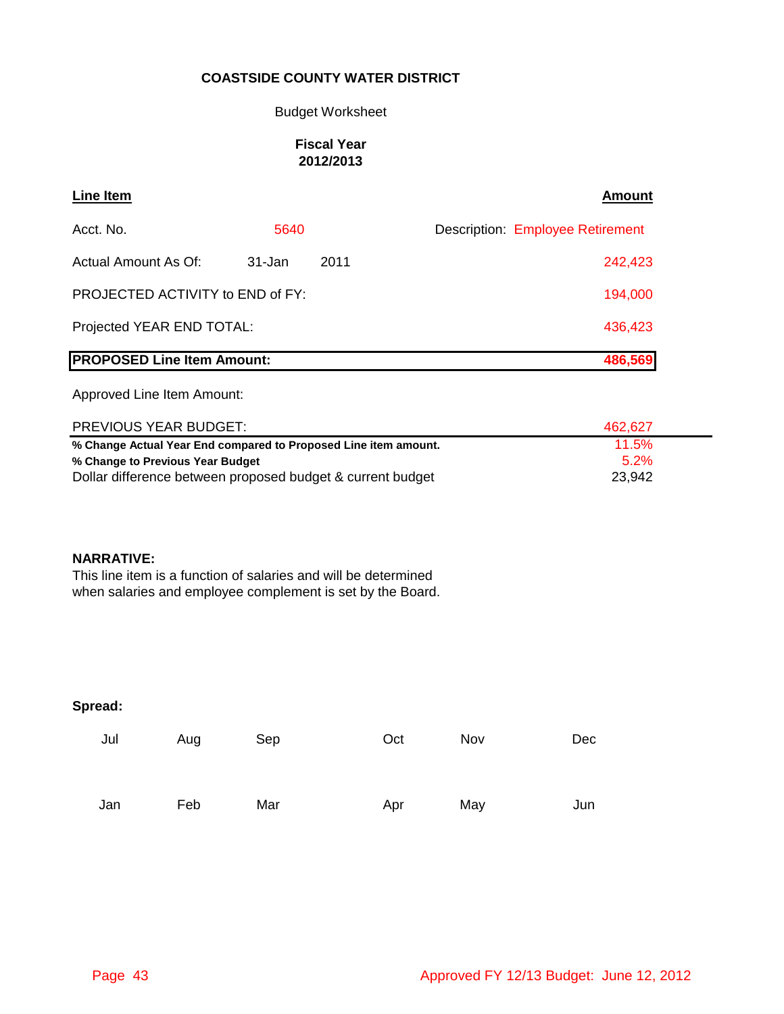### Budget Worksheet

### **Fiscal Year 2012/2013**

| Line Item                               |        |      | <b>Amount</b>                           |
|-----------------------------------------|--------|------|-----------------------------------------|
| Acct. No.                               | 5640   |      | <b>Description: Employee Retirement</b> |
| Actual Amount As Of:                    | 31-Jan | 2011 | 242,423                                 |
| <b>PROJECTED ACTIVITY to END of FY:</b> |        |      | 194,000                                 |
| Projected YEAR END TOTAL:               |        |      | 436,423                                 |
| <b>PROPOSED Line Item Amount:</b>       |        |      | 486,569                                 |

Approved Line Item Amount:

| <b>PREVIOUS YEAR BUDGET:</b>                                    | 462.627 |
|-----------------------------------------------------------------|---------|
| % Change Actual Year End compared to Proposed Line item amount. | 11.5%   |
| % Change to Previous Year Budget                                | $5.2\%$ |
| Dollar difference between proposed budget & current budget      | 23,942  |

### **NARRATIVE:**

This line item is a function of salaries and will be determined when salaries and employee complement is set by the Board.

| Jul | Aug | Sep | Oct | Nov | Dec |
|-----|-----|-----|-----|-----|-----|
| Jan | Feb | Mar | Apr | May | Jun |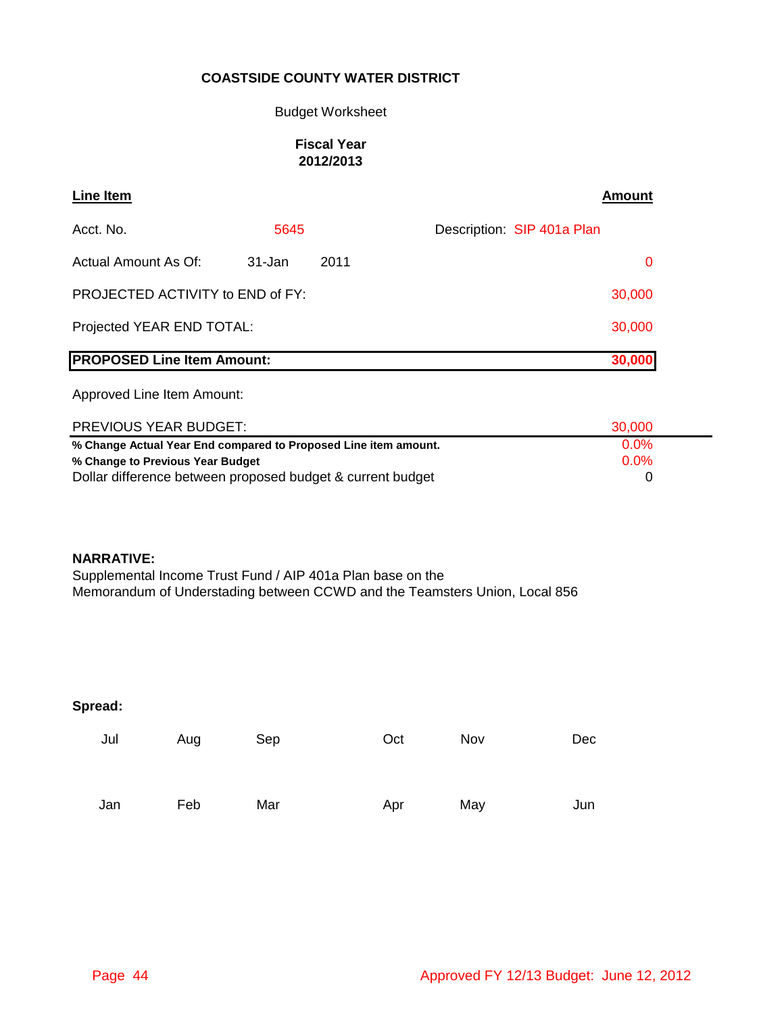### Budget Worksheet

### **Fiscal Year 2012/2013**

| <b>Line Item</b>                  |            |      | Amount                     |
|-----------------------------------|------------|------|----------------------------|
| Acct. No.                         | 5645       |      | Description: SIP 401a Plan |
| Actual Amount As Of:              | $31 - Jan$ | 2011 | $\mathbf{0}$               |
| PROJECTED ACTIVITY to END of FY:  |            |      | 30,000                     |
| Projected YEAR END TOTAL:         |            |      | 30,000                     |
| <b>PROPOSED Line Item Amount:</b> |            |      | 30,000                     |

Approved Line Item Amount:

| <b>PREVIOUS YEAR BUDGET:</b>                                    | 30,000  |
|-----------------------------------------------------------------|---------|
| % Change Actual Year End compared to Proposed Line item amount. | $0.0\%$ |
| % Change to Previous Year Budget                                | $0.0\%$ |
| Dollar difference between proposed budget & current budget      |         |

#### **NARRATIVE:**

Supplemental Income Trust Fund / AIP 401a Plan base on the Memorandum of Understading between CCWD and the Teamsters Union, Local 856

| Jul | Aug | Sep | Oct | Nov | Dec |
|-----|-----|-----|-----|-----|-----|
| Jan | Feb | Mar | Apr | May | Jun |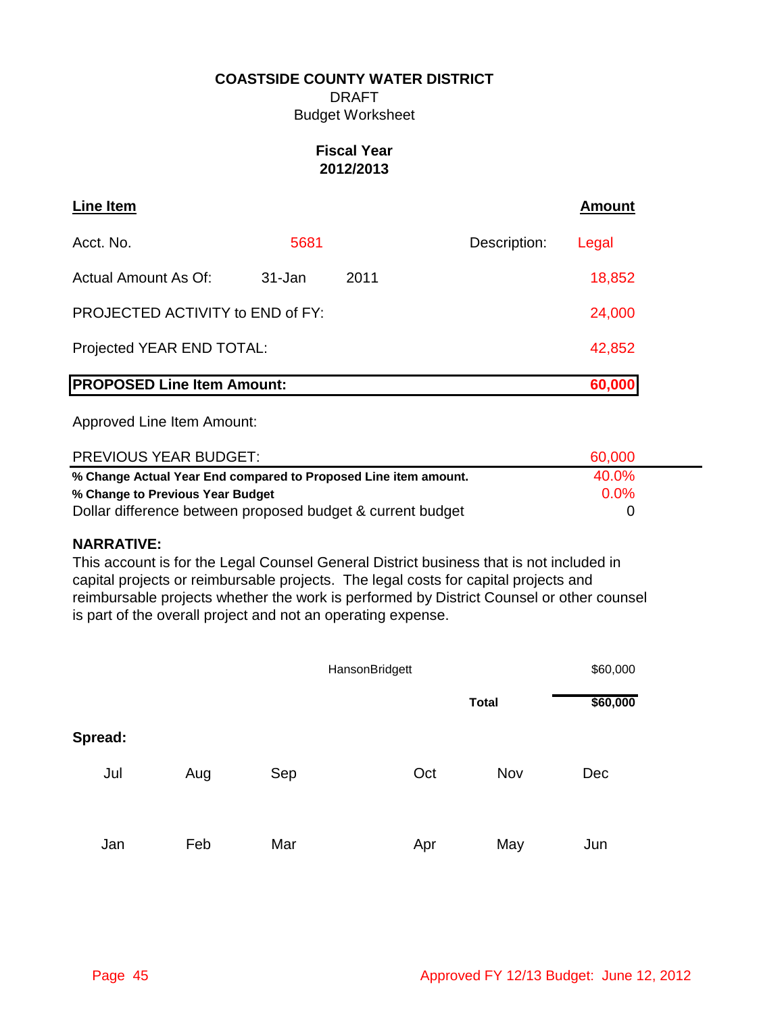DRAFT Budget Worksheet

# **Fiscal Year 2012/2013**

| <b>Line Item</b>                  |        |      |              | <b>Amount</b> |
|-----------------------------------|--------|------|--------------|---------------|
| Acct. No.                         | 5681   |      | Description: | Legal         |
| Actual Amount As Of:              | 31-Jan | 2011 |              | 18,852        |
| PROJECTED ACTIVITY to END of FY:  |        |      |              | 24,000        |
| Projected YEAR END TOTAL:         |        |      |              | 42,852        |
| <b>PROPOSED Line Item Amount:</b> |        |      |              | 60,000        |

Approved Line Item Amount:

| <b>PREVIOUS YEAR BUDGET:</b>                                    | 60,000 |  |
|-----------------------------------------------------------------|--------|--|
| % Change Actual Year End compared to Proposed Line item amount. | 40.0%  |  |
| % Change to Previous Year Budget                                | 0.0%   |  |
| Dollar difference between proposed budget & current budget      |        |  |

# **NARRATIVE:**

This account is for the Legal Counsel General District business that is not included in capital projects or reimbursable projects. The legal costs for capital projects and reimbursable projects whether the work is performed by District Counsel or other counsel is part of the overall project and not an operating expense.

|         |     |     | HansonBridgett |              | \$60,000 |
|---------|-----|-----|----------------|--------------|----------|
|         |     |     |                | <b>Total</b> | \$60,000 |
| Spread: |     |     |                |              |          |
| Jul     | Aug | Sep | Oct            | Nov          | Dec      |
| Jan     | Feb | Mar | Apr            | May          | Jun      |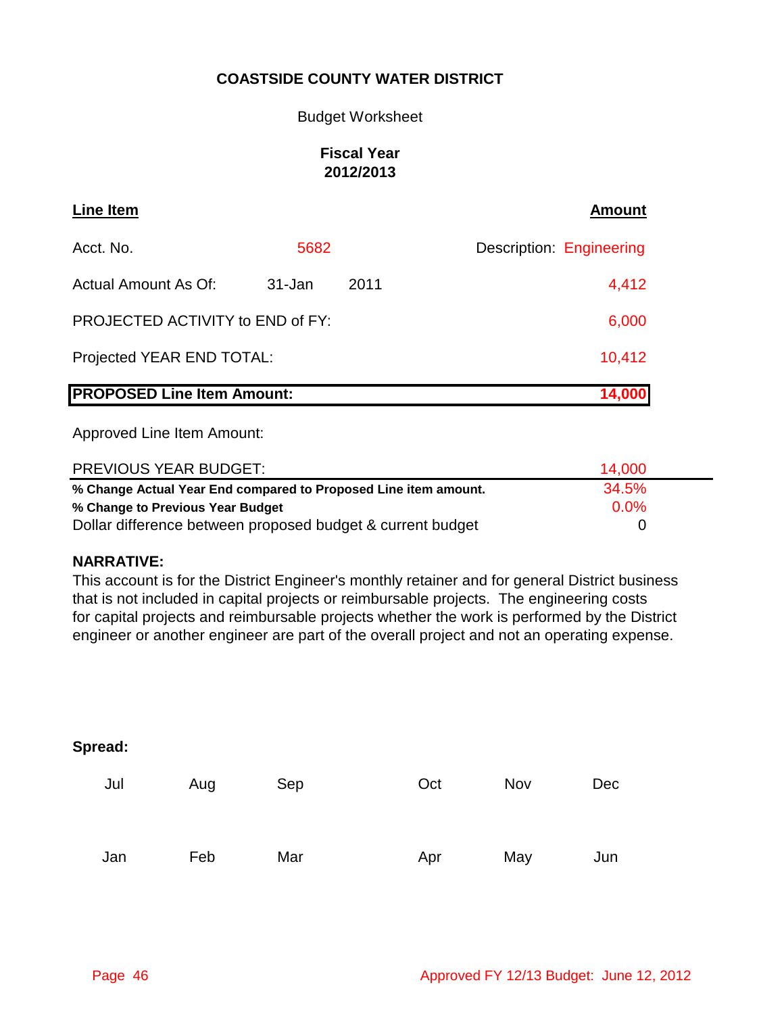### Budget Worksheet

# **Fiscal Year 2012/2013**

| <b>Line Item</b>                  |        |      | <b>Amount</b>            |
|-----------------------------------|--------|------|--------------------------|
| Acct. No.                         | 5682   |      | Description: Engineering |
| Actual Amount As Of:              | 31-Jan | 2011 | 4,412                    |
| PROJECTED ACTIVITY to END of FY:  |        |      | 6,000                    |
| Projected YEAR END TOTAL:         |        |      | 10,412                   |
| <b>PROPOSED Line Item Amount:</b> |        |      | 14,000                   |

Approved Line Item Amount:

| PREVIOUS YEAR BUDGET:                                           | 14.000  |  |
|-----------------------------------------------------------------|---------|--|
| % Change Actual Year End compared to Proposed Line item amount. | 34.5%   |  |
| % Change to Previous Year Budget                                | $0.0\%$ |  |
| Dollar difference between proposed budget & current budget      |         |  |

### **NARRATIVE:**

This account is for the District Engineer's monthly retainer and for general District business that is not included in capital projects or reimbursable projects. The engineering costs for capital projects and reimbursable projects whether the work is performed by the District engineer or another engineer are part of the overall project and not an operating expense.

| Spread: |     |     |     |     |     |
|---------|-----|-----|-----|-----|-----|
| Jul     | Aug | Sep | Oct | Nov | Dec |
| Jan     | Feb | Mar | Apr | May | Jun |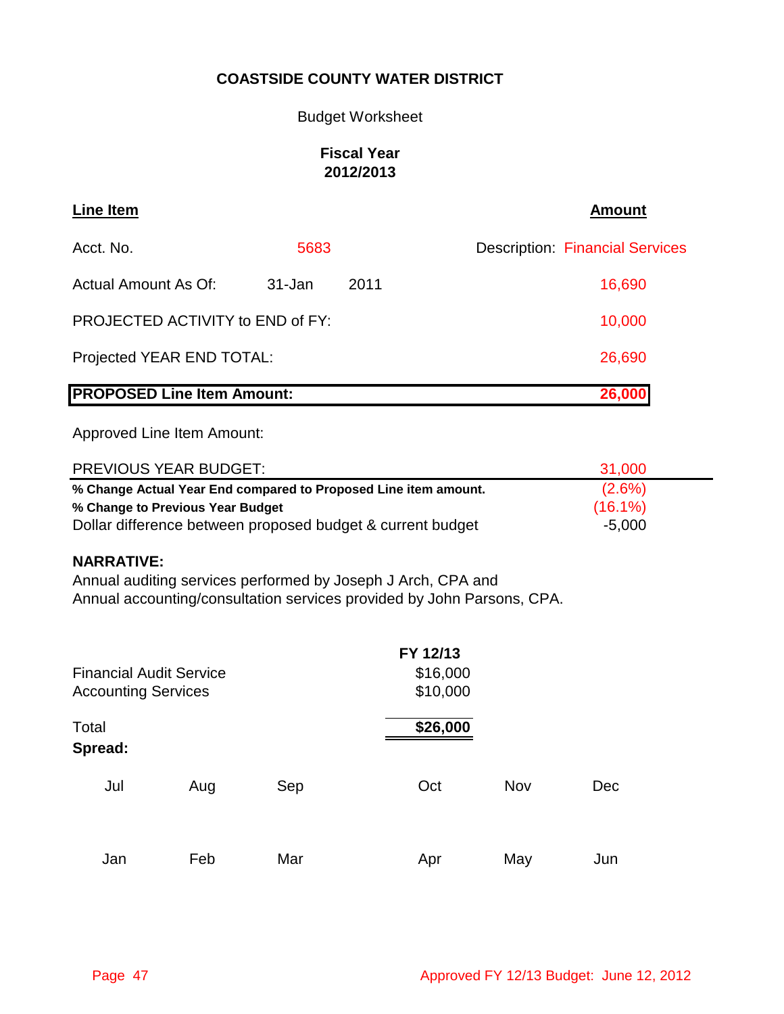### Budget Worksheet

# **Fiscal Year 2012/2013**

| <b>Line Item</b>                  |        |        | <b>Amount</b>                          |
|-----------------------------------|--------|--------|----------------------------------------|
| Acct. No.                         | 5683   |        | <b>Description: Financial Services</b> |
| Actual Amount As Of:              | 31-Jan | 2011   | 16,690                                 |
| PROJECTED ACTIVITY to END of FY:  | 10,000 |        |                                        |
| Projected YEAR END TOTAL:         | 26,690 |        |                                        |
| <b>PROPOSED Line Item Amount:</b> |        | 26,000 |                                        |

Approved Line Item Amount:

| <b>PREVIOUS YEAR BUDGET:</b>                                    | 31.000     |  |
|-----------------------------------------------------------------|------------|--|
| % Change Actual Year End compared to Proposed Line item amount. | $(2.6\%)$  |  |
| % Change to Previous Year Budget                                | $(16.1\%)$ |  |
| Dollar difference between proposed budget & current budget      | $-5,000$   |  |

### **NARRATIVE:**

Annual auditing services performed by Joseph J Arch, CPA and Annual accounting/consultation services provided by John Parsons, CPA.

| <b>Financial Audit Service</b><br><b>Accounting Services</b> |     |     | FY 12/13<br>\$16,000<br>\$10,000 |     |     |
|--------------------------------------------------------------|-----|-----|----------------------------------|-----|-----|
| Total<br>Spread:                                             |     |     | \$26,000                         |     |     |
| Jul                                                          | Aug | Sep | Oct                              | Nov | Dec |
| Jan                                                          | Feb | Mar | Apr                              | May | Jun |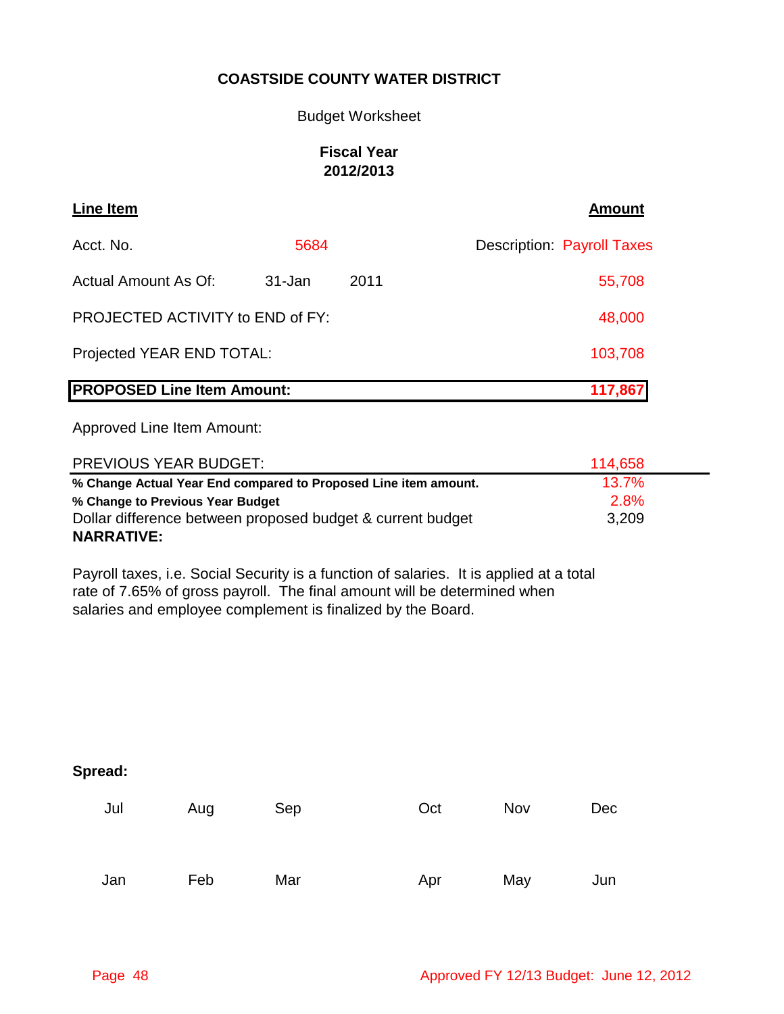### Budget Worksheet

### **Fiscal Year 2012/2013**

| Line Item                         |         |      | <b>Amount</b>                     |
|-----------------------------------|---------|------|-----------------------------------|
| Acct. No.                         | 5684    |      | <b>Description: Payroll Taxes</b> |
| Actual Amount As Of:              | 31-Jan  | 2011 | 55,708                            |
| PROJECTED ACTIVITY to END of FY:  | 48,000  |      |                                   |
| Projected YEAR END TOTAL:         | 103,708 |      |                                   |
| <b>PROPOSED Line Item Amount:</b> |         |      | 117,867                           |

Approved Line Item Amount:

| <b>PREVIOUS YEAR BUDGET:</b>                                    | 114.658  |
|-----------------------------------------------------------------|----------|
| % Change Actual Year End compared to Proposed Line item amount. | $13.7\%$ |
| % Change to Previous Year Budget                                | 2.8%     |
| Dollar difference between proposed budget & current budget      | 3,209    |
| <b>NARRATIVE:</b>                                               |          |

Payroll taxes, i.e. Social Security is a function of salaries. It is applied at a total rate of 7.65% of gross payroll. The final amount will be determined when salaries and employee complement is finalized by the Board.

| Jul | Aug | Sep | Oct | Nov | Dec |
|-----|-----|-----|-----|-----|-----|
| Jan | Feb | Mar | Apr | May | Jun |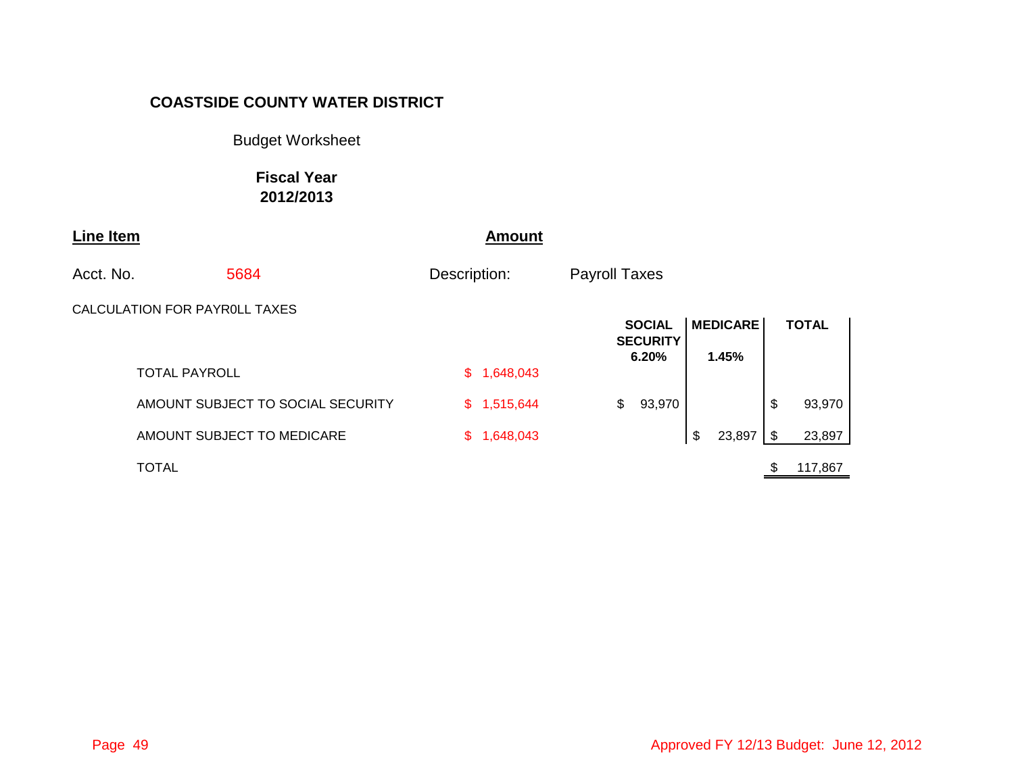Budget Worksheet

**Fiscal Year 2012/2013**

| <b>Line Item</b> |                               |                                   |              | <b>Amount</b> |                      |                                  |                 |    |              |  |
|------------------|-------------------------------|-----------------------------------|--------------|---------------|----------------------|----------------------------------|-----------------|----|--------------|--|
| Acct. No.        |                               | 5684                              | Description: |               | <b>Payroll Taxes</b> |                                  |                 |    |              |  |
|                  | CALCULATION FOR PAYROLL TAXES |                                   |              |               |                      | <b>SOCIAL</b><br><b>SECURITY</b> | <b>MEDICARE</b> |    | <b>TOTAL</b> |  |
|                  | <b>TOTAL PAYROLL</b>          |                                   |              | \$1,648,043   |                      | 6.20%                            | 1.45%           |    |              |  |
|                  |                               | AMOUNT SUBJECT TO SOCIAL SECURITY |              | \$1,515,644   | \$                   | 93,970                           |                 | \$ | 93,970       |  |
|                  |                               | AMOUNT SUBJECT TO MEDICARE        |              | \$1,648,043   |                      |                                  | \$<br>23,897    | \$ | 23,897       |  |
|                  | <b>TOTAL</b>                  |                                   |              |               |                      |                                  |                 |    | 117,867      |  |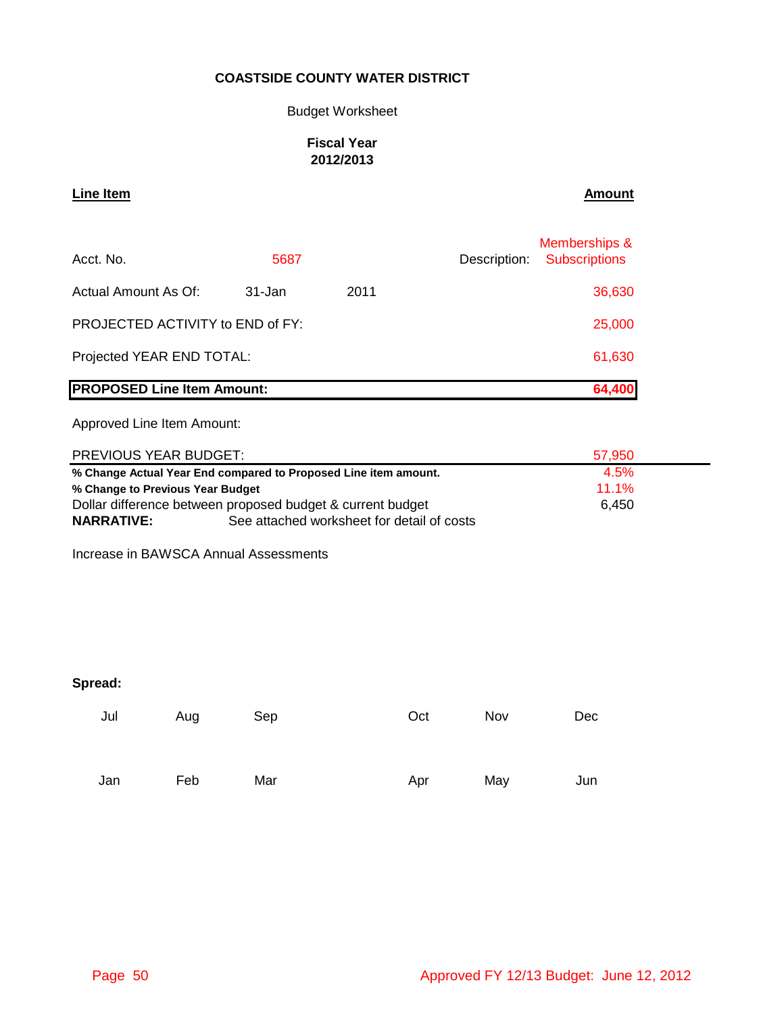### Budget Worksheet

### **Fiscal Year 2012/2013**

# **Line Item Amount**

| Acct. No.                               | 5687   |        | Description: | Memberships &<br><b>Subscriptions</b> |
|-----------------------------------------|--------|--------|--------------|---------------------------------------|
| Actual Amount As Of:                    | 31-Jan | 2011   |              | 36,630                                |
| <b>PROJECTED ACTIVITY to END of FY:</b> | 25,000 |        |              |                                       |
| Projected YEAR END TOTAL:               |        | 61,630 |              |                                       |
| <b>PROPOSED Line Item Amount:</b>       |        |        |              | 64,400                                |

Approved Line Item Amount:

| PREVIOUS YEAR BUDGET:                                           | 57.950                                     |       |
|-----------------------------------------------------------------|--------------------------------------------|-------|
| % Change Actual Year End compared to Proposed Line item amount. | 4.5%                                       |       |
| % Change to Previous Year Budget                                | $11.1\%$                                   |       |
| Dollar difference between proposed budget & current budget      |                                            | 6.450 |
| <b>NARRATIVE:</b>                                               | See attached worksheet for detail of costs |       |

Increase in BAWSCA Annual Assessments

| Jul | Aug | Sep | Oct | Nov | Dec |
|-----|-----|-----|-----|-----|-----|
| Jan | Feb | Mar | Apr | May | Jun |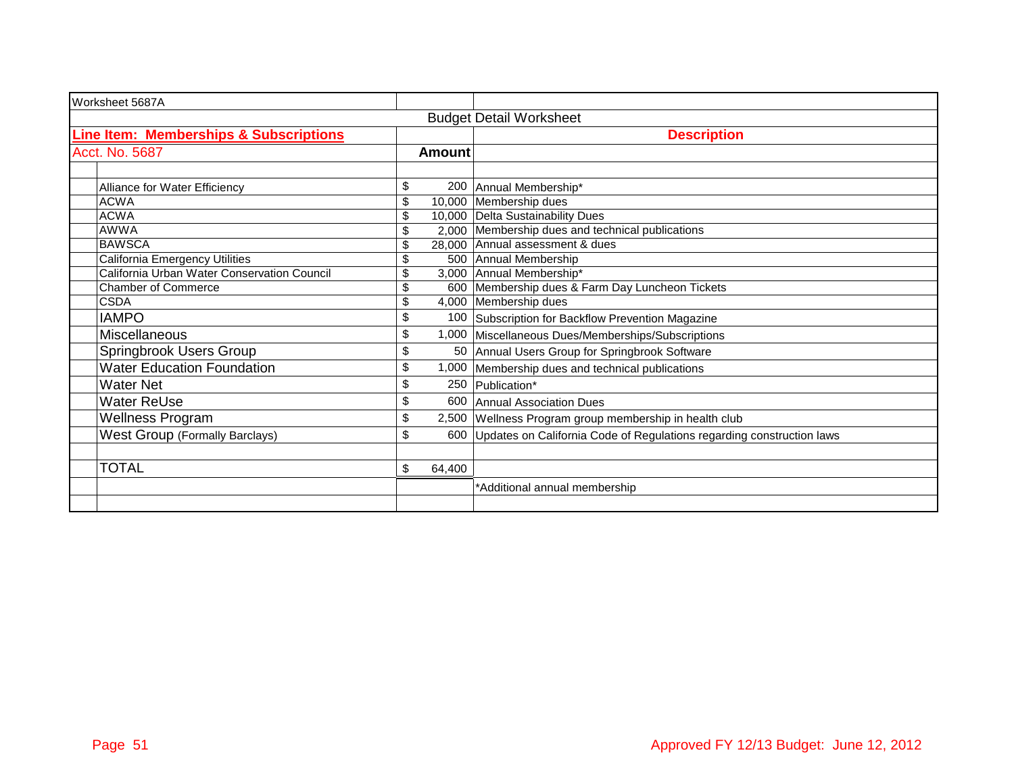| Worksheet 5687A                                   |               |                                                                             |
|---------------------------------------------------|---------------|-----------------------------------------------------------------------------|
|                                                   |               | <b>Budget Detail Worksheet</b>                                              |
| <b>Line Item: Memberships &amp; Subscriptions</b> |               | <b>Description</b>                                                          |
| Acct. No. 5687                                    | <b>Amount</b> |                                                                             |
|                                                   |               |                                                                             |
| Alliance for Water Efficiency                     | \$<br>200     | Annual Membership*                                                          |
| <b>ACWA</b>                                       | \$            | 10,000 Membership dues                                                      |
| <b>ACWA</b>                                       | \$            | 10,000 Delta Sustainability Dues                                            |
| <b>AWWA</b>                                       | \$            | 2,000 Membership dues and technical publications                            |
| <b>BAWSCA</b>                                     | \$            | 28,000 Annual assessment & dues                                             |
| <b>California Emergency Utilities</b>             | \$            | 500 Annual Membership                                                       |
| California Urban Water Conservation Council       | \$            | 3,000 Annual Membership*                                                    |
| <b>Chamber of Commerce</b>                        | \$            | 600 Membership dues & Farm Day Luncheon Tickets                             |
| <b>CSDA</b>                                       | \$            | 4,000 Membership dues                                                       |
| <b>IAMPO</b>                                      | \$            | 100 Subscription for Backflow Prevention Magazine                           |
| <b>Miscellaneous</b>                              | \$            | 1,000 Miscellaneous Dues/Memberships/Subscriptions                          |
| Springbrook Users Group                           | \$            | 50 Annual Users Group for Springbrook Software                              |
| <b>Water Education Foundation</b>                 | \$            | 1,000 Membership dues and technical publications                            |
| <b>Water Net</b>                                  | \$            | 250 Publication*                                                            |
| <b>Water ReUse</b>                                | \$            | 600 Annual Association Dues                                                 |
| Wellness Program                                  | \$            | 2,500 Wellness Program group membership in health club                      |
| <b>West Group (Formally Barclays)</b>             | \$            | 600   Updates on California Code of Regulations regarding construction laws |
|                                                   |               |                                                                             |
| <b>TOTAL</b>                                      | \$<br>64,400  |                                                                             |
|                                                   |               | *Additional annual membership                                               |
|                                                   |               |                                                                             |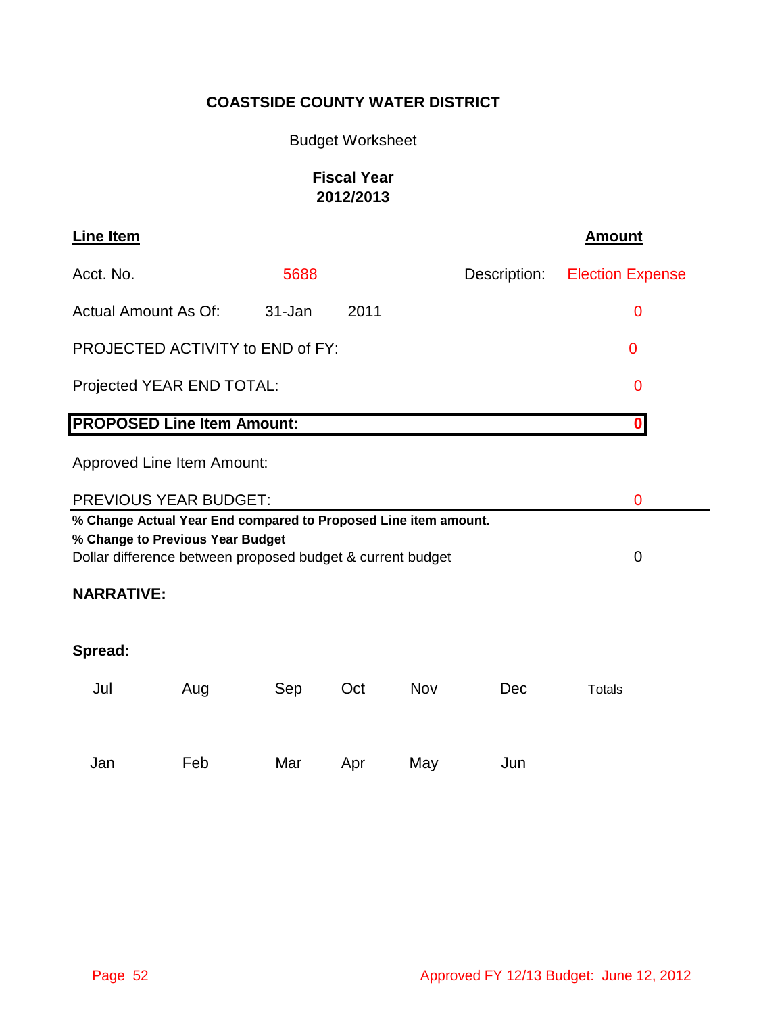# Budget Worksheet

# **Fiscal Year 2012/2013**

| <b>Line Item</b>            |                                                                                                                                                                   |        |      |     |              | <b>Amount</b>           |  |
|-----------------------------|-------------------------------------------------------------------------------------------------------------------------------------------------------------------|--------|------|-----|--------------|-------------------------|--|
| Acct. No.                   |                                                                                                                                                                   | 5688   |      |     | Description: | <b>Election Expense</b> |  |
| <b>Actual Amount As Of:</b> |                                                                                                                                                                   | 31-Jan | 2011 |     |              | 0                       |  |
|                             | PROJECTED ACTIVITY to END of FY:                                                                                                                                  |        |      |     |              | 0                       |  |
|                             | Projected YEAR END TOTAL:                                                                                                                                         |        |      |     |              | 0                       |  |
|                             | <b>PROPOSED Line Item Amount:</b>                                                                                                                                 |        |      |     |              | $\mathbf 0$             |  |
|                             | <b>Approved Line Item Amount:</b>                                                                                                                                 |        |      |     |              |                         |  |
|                             | <b>PREVIOUS YEAR BUDGET:</b>                                                                                                                                      |        |      |     |              | 0                       |  |
|                             | % Change Actual Year End compared to Proposed Line item amount.<br>% Change to Previous Year Budget<br>Dollar difference between proposed budget & current budget |        |      |     |              | 0                       |  |
| <b>NARRATIVE:</b>           |                                                                                                                                                                   |        |      |     |              |                         |  |
| Spread:                     |                                                                                                                                                                   |        |      |     |              |                         |  |
| Jul                         | Aug                                                                                                                                                               | Sep    | Oct  | Nov | Dec          | <b>Totals</b>           |  |
|                             |                                                                                                                                                                   |        |      |     |              |                         |  |
| Jan                         | Feb                                                                                                                                                               | Mar    | Apr  | May | Jun          |                         |  |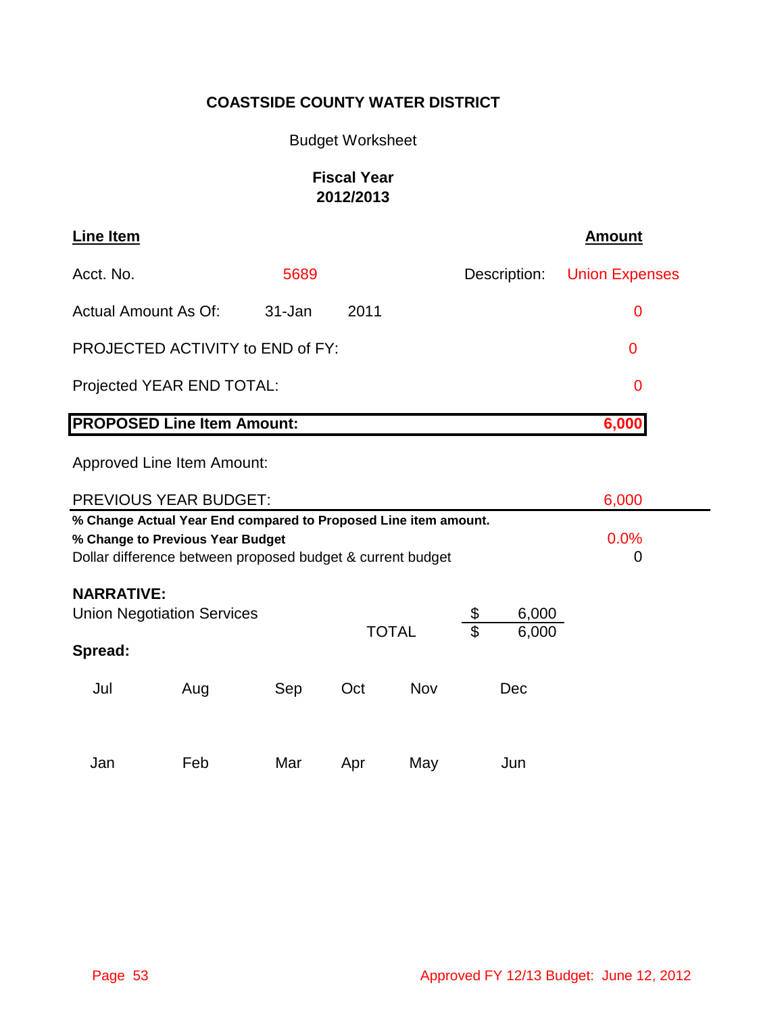# Budget Worksheet

# **Fiscal Year 2012/2013**

| <b>Line Item</b>                                                                               |                                                                                                                                                                   |        |      |     |              | <b>Amount</b>         |  |
|------------------------------------------------------------------------------------------------|-------------------------------------------------------------------------------------------------------------------------------------------------------------------|--------|------|-----|--------------|-----------------------|--|
| Acct. No.                                                                                      |                                                                                                                                                                   | 5689   |      |     | Description: | <b>Union Expenses</b> |  |
| <b>Actual Amount As Of:</b>                                                                    |                                                                                                                                                                   | 31-Jan | 2011 |     |              | 0                     |  |
|                                                                                                | PROJECTED ACTIVITY to END of FY:                                                                                                                                  |        |      |     |              | 0                     |  |
|                                                                                                | Projected YEAR END TOTAL:                                                                                                                                         |        |      |     |              | 0                     |  |
|                                                                                                | <b>PROPOSED Line Item Amount:</b>                                                                                                                                 |        |      |     |              | 6,000                 |  |
|                                                                                                | <b>Approved Line Item Amount:</b>                                                                                                                                 |        |      |     |              |                       |  |
|                                                                                                | PREVIOUS YEAR BUDGET:                                                                                                                                             |        |      |     |              | 6,000                 |  |
|                                                                                                | % Change Actual Year End compared to Proposed Line item amount.<br>% Change to Previous Year Budget<br>Dollar difference between proposed budget & current budget |        |      |     |              | 0.0%<br>0             |  |
| <b>NARRATIVE:</b><br>6,000<br><b>Union Negotiation Services</b><br><b>TOTAL</b><br>\$<br>6,000 |                                                                                                                                                                   |        |      |     |              |                       |  |
| Spread:                                                                                        |                                                                                                                                                                   |        |      |     |              |                       |  |
| Jul                                                                                            | Aug                                                                                                                                                               | Sep    | Oct  | Nov | Dec          |                       |  |
| Jan                                                                                            | Feb                                                                                                                                                               | Mar    | Apr  | May | Jun          |                       |  |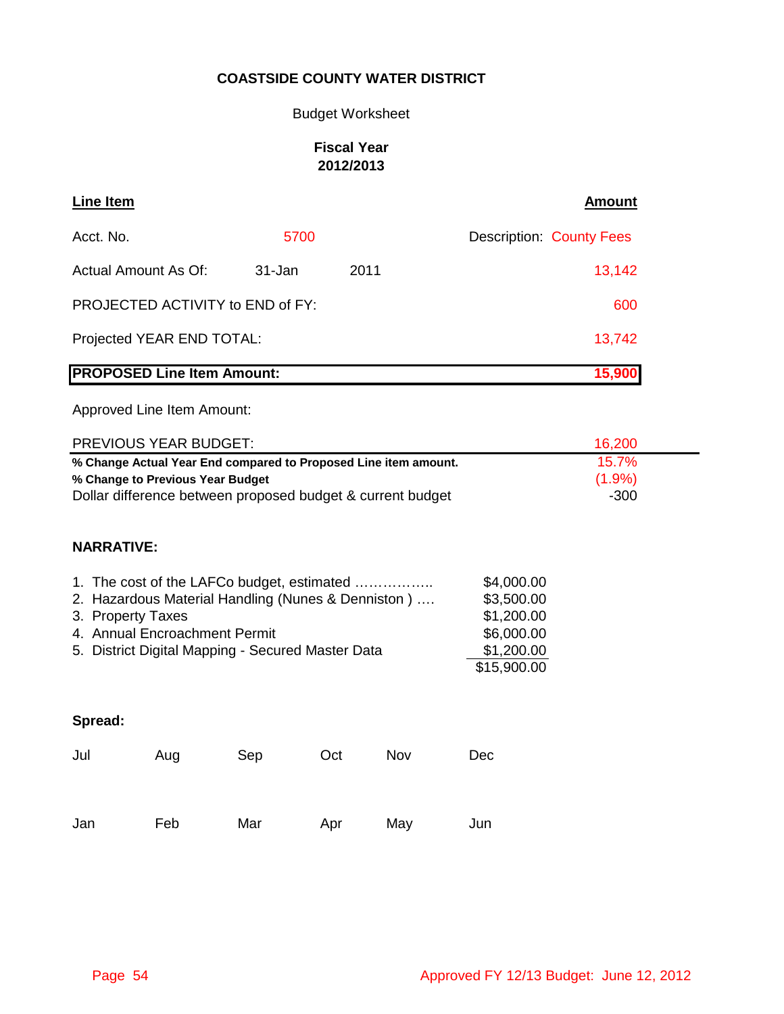# Budget Worksheet

# **Fiscal Year 2012/2013**

| <b>Line Item</b>                  |        |      | <b>Amount</b>                   |
|-----------------------------------|--------|------|---------------------------------|
| Acct. No.                         | 5700   |      | <b>Description: County Fees</b> |
| Actual Amount As Of:              | 31-Jan | 2011 | 13,142                          |
| PROJECTED ACTIVITY to END of FY:  |        |      | 600                             |
| Projected YEAR END TOTAL:         |        |      | 13,742                          |
| <b>PROPOSED Line Item Amount:</b> |        |      | 15,900                          |

| PREVIOUS YEAR BUDGET:            |                                                                                   |        | 16,200                                                                                                                                                                                                                                                                                        |  |        |  |
|----------------------------------|-----------------------------------------------------------------------------------|--------|-----------------------------------------------------------------------------------------------------------------------------------------------------------------------------------------------------------------------------------------------------------------------------------------------|--|--------|--|
|                                  |                                                                                   |        | 15.7%                                                                                                                                                                                                                                                                                         |  |        |  |
| % Change to Previous Year Budget |                                                                                   |        |                                                                                                                                                                                                                                                                                               |  |        |  |
|                                  |                                                                                   | $-300$ |                                                                                                                                                                                                                                                                                               |  |        |  |
|                                  |                                                                                   |        |                                                                                                                                                                                                                                                                                               |  |        |  |
|                                  |                                                                                   |        |                                                                                                                                                                                                                                                                                               |  |        |  |
|                                  | \$4,000.00<br>\$3,500.00<br>\$1,200.00<br>\$6,000.00<br>\$1,200.00<br>\$15,900.00 |        |                                                                                                                                                                                                                                                                                               |  |        |  |
|                                  |                                                                                   |        |                                                                                                                                                                                                                                                                                               |  |        |  |
| Sep                              | Dec                                                                               |        |                                                                                                                                                                                                                                                                                               |  |        |  |
| Mar                              | Apr                                                                               | May    | Jun                                                                                                                                                                                                                                                                                           |  |        |  |
|                                  | 4. Annual Encroachment Permit                                                     | Oct    | % Change Actual Year End compared to Proposed Line item amount.<br>Dollar difference between proposed budget & current budget<br>1. The cost of the LAFCo budget, estimated<br>2. Hazardous Material Handling (Nunes & Denniston)<br>5. District Digital Mapping - Secured Master Data<br>Nov |  | (1.9%) |  |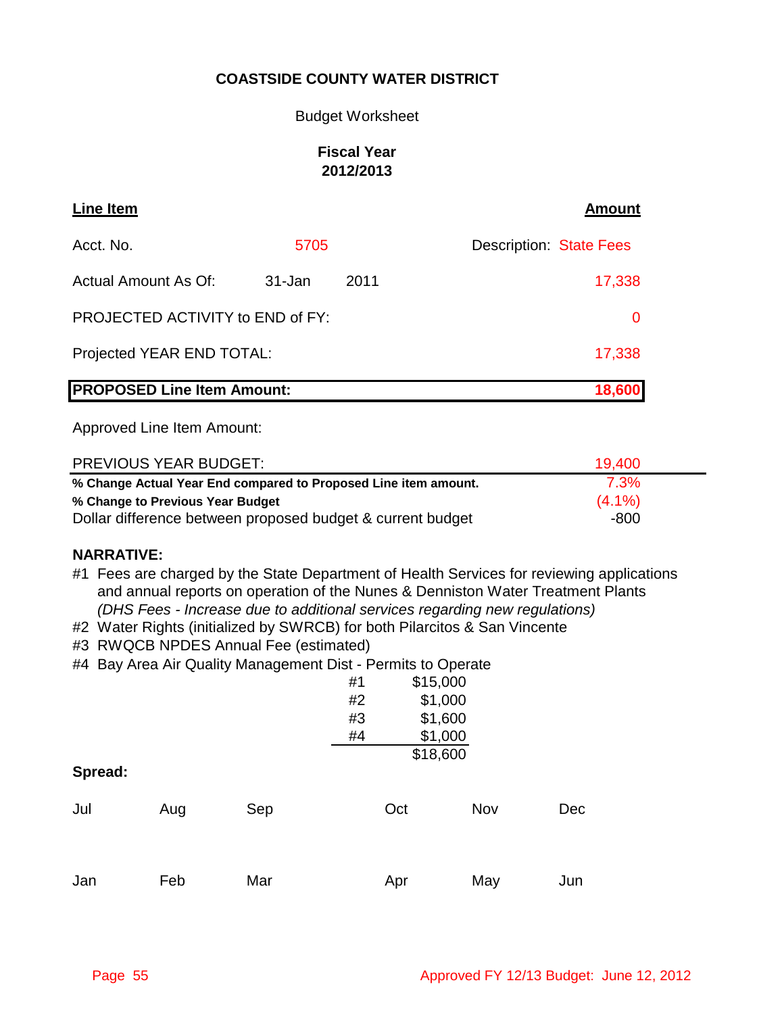### Budget Worksheet

### **Fiscal Year 2012/2013**

| <b>Line Item</b>                  |        |      | <b>Amount</b>                  |
|-----------------------------------|--------|------|--------------------------------|
| Acct. No.                         | 5705   |      | <b>Description: State Fees</b> |
| <b>Actual Amount As Of:</b>       | 31-Jan | 2011 | 17,338                         |
| PROJECTED ACTIVITY to END of FY:  |        |      | 0                              |
| Projected YEAR END TOTAL:         |        |      | 17,338                         |
| <b>PROPOSED Line Item Amount:</b> |        |      | 18,600                         |

Approved Line Item Amount:

| <b>PREVIOUS YEAR BUDGET:</b>                                    | 19.400    |
|-----------------------------------------------------------------|-----------|
| % Change Actual Year End compared to Proposed Line item amount. | 7.3%      |
| % Change to Previous Year Budget                                | $(4.1\%)$ |
| Dollar difference between proposed budget & current budget      | -800      |

### **NARRATIVE:**

- #1 Fees are charged by the State Department of Health Services for reviewing applications and annual reports on operation of the Nunes & Denniston Water Treatment Plants  *(DHS Fees - Increase due to additional services regarding new regulations)*
- #2 Water Rights (initialized by SWRCB) for both Pilarcitos & San Vincente
- #3 RWQCB NPDES Annual Fee (estimated)
- #4 Bay Area Air Quality Management Dist Permits to Operate

|         |     |     | #1 | \$15,000 |     |     |
|---------|-----|-----|----|----------|-----|-----|
|         |     |     | #2 | \$1,000  |     |     |
|         |     |     | #3 | \$1,600  |     |     |
|         |     |     | #4 | \$1,000  |     |     |
|         |     |     |    | \$18,600 |     |     |
| Spread: |     |     |    |          |     |     |
| Jul     | Aug | Sep |    | Oct      | Nov | Dec |
| Jan     | Feb | Mar |    | Apr      | May | Jun |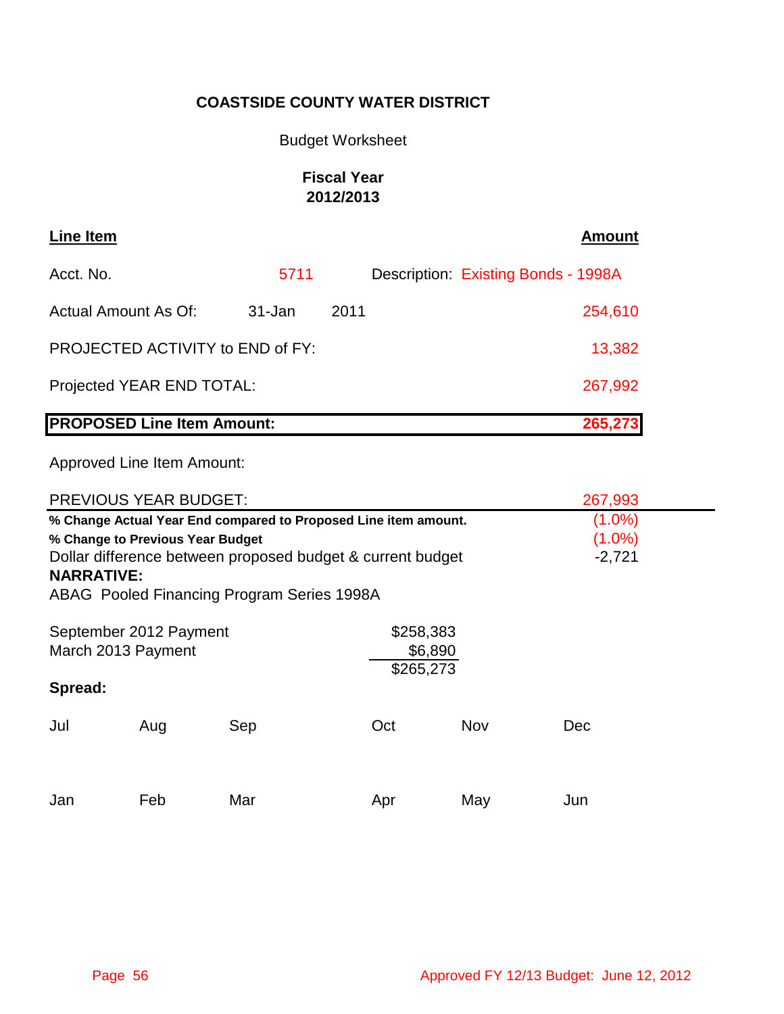# Budget Worksheet

# **Fiscal Year 2012/2013**

| Line Item                               |            |      | <b>Amount</b>                       |
|-----------------------------------------|------------|------|-------------------------------------|
| Acct. No.                               | 5711       |      | Description: Existing Bonds - 1998A |
| Actual Amount As Of:                    | $31 - Jan$ | 2011 | 254,610                             |
| <b>PROJECTED ACTIVITY to END of FY:</b> |            |      | 13,382                              |
| Projected YEAR END TOTAL:               |            |      | 267,992                             |
| <b>PROPOSED Line Item Amount:</b>       |            |      | 265,273                             |

|                   | <b>PREVIOUS YEAR BUDGET:</b>                                    |                                            | 267,993                                                    |     |           |  |
|-------------------|-----------------------------------------------------------------|--------------------------------------------|------------------------------------------------------------|-----|-----------|--|
|                   | % Change Actual Year End compared to Proposed Line item amount. |                                            | $(1.0\%)$                                                  |     |           |  |
|                   | % Change to Previous Year Budget                                |                                            |                                                            |     | $(1.0\%)$ |  |
|                   |                                                                 |                                            | Dollar difference between proposed budget & current budget |     | $-2,721$  |  |
| <b>NARRATIVE:</b> |                                                                 |                                            |                                                            |     |           |  |
|                   |                                                                 | ABAG Pooled Financing Program Series 1998A |                                                            |     |           |  |
|                   |                                                                 |                                            |                                                            |     |           |  |
|                   | September 2012 Payment                                          |                                            | \$258,383                                                  |     |           |  |
|                   | March 2013 Payment                                              |                                            | \$6,890                                                    |     |           |  |
|                   |                                                                 |                                            | \$265,273                                                  |     |           |  |
| Spread:           |                                                                 |                                            |                                                            |     |           |  |
| Jul               |                                                                 |                                            | Oct                                                        | Nov | Dec       |  |
|                   | Aug                                                             | Sep                                        |                                                            |     |           |  |
|                   |                                                                 |                                            |                                                            |     |           |  |
|                   |                                                                 |                                            |                                                            |     |           |  |
| Jan               | Feb                                                             | Mar                                        | Apr                                                        | May | Jun       |  |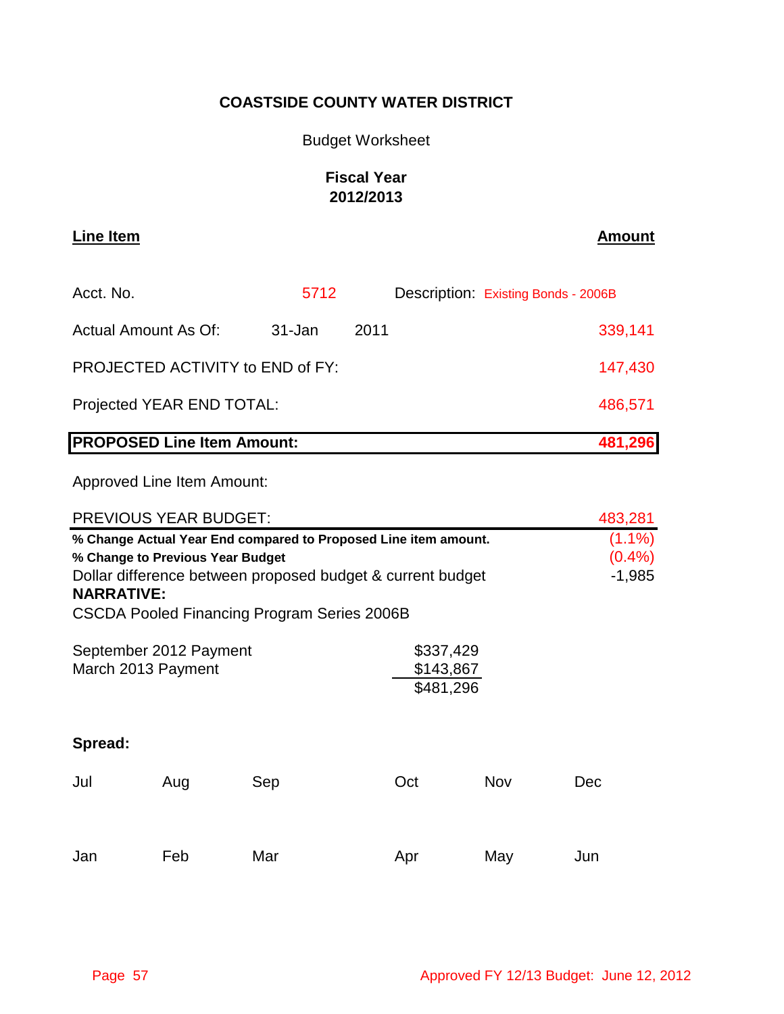### Budget Worksheet

# **Fiscal Year 2012/2013**

**Line Item Amount**

| <b>PROPOSED Line Item Amount:</b>       |        |      | 481,296                             |
|-----------------------------------------|--------|------|-------------------------------------|
| Projected YEAR END TOTAL:               |        |      | 486,571                             |
| <b>PROJECTED ACTIVITY to END of FY:</b> |        |      | 147,430                             |
| Actual Amount As Of:                    | 31-Jan | 2011 | 339,141                             |
| Acct. No.                               | 5712   |      | Description: Existing Bonds - 2006B |

| <b>PREVIOUS YEAR BUDGET:</b>                                                                                                                                                                                                          |     | 483,281 |     |     |                                |
|---------------------------------------------------------------------------------------------------------------------------------------------------------------------------------------------------------------------------------------|-----|---------|-----|-----|--------------------------------|
| % Change Actual Year End compared to Proposed Line item amount.<br>% Change to Previous Year Budget<br>Dollar difference between proposed budget & current budget<br><b>NARRATIVE:</b><br>CSCDA Pooled Financing Program Series 2006B |     |         |     |     | $(1.1\%)$<br>(0.4%<br>$-1,985$ |
| \$337,429<br>September 2012 Payment<br>\$143,867<br>March 2013 Payment<br>\$481,296                                                                                                                                                   |     |         |     |     |                                |
| Spread:                                                                                                                                                                                                                               |     |         |     |     |                                |
| Jul                                                                                                                                                                                                                                   | Aug | Sep     | Oct | Nov | <b>Dec</b>                     |
| Jan                                                                                                                                                                                                                                   | Feb | Mar     | Apr | May | Jun                            |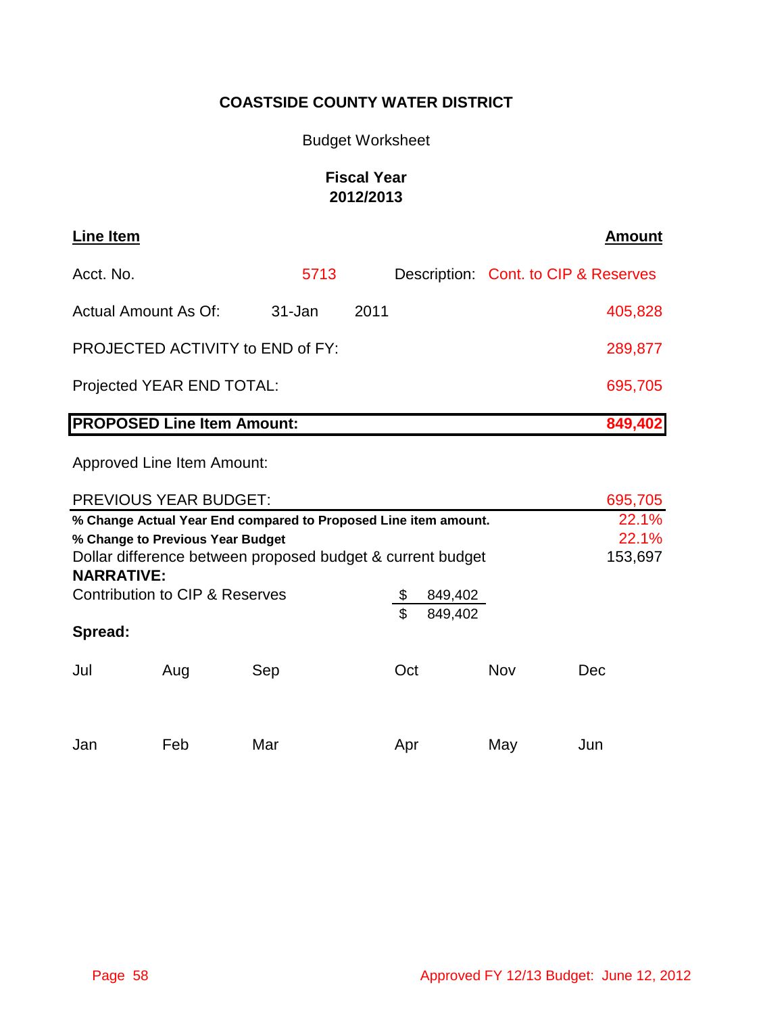# Budget Worksheet

# **Fiscal Year 2012/2013**

| Line Item                                    |            |      |  | <b>Amount</b>                        |
|----------------------------------------------|------------|------|--|--------------------------------------|
| Acct. No.                                    | 5713       |      |  | Description: Cont. to CIP & Reserves |
| Actual Amount As Of:                         | $31 - Jan$ | 2011 |  | 405,828                              |
| PROJECTED ACTIVITY to END of FY:             |            |      |  | 289,877                              |
| Projected YEAR END TOTAL:                    |            |      |  |                                      |
| <b>PROPOSED Line Item Amount:</b><br>849,402 |            |      |  |                                      |

| <b>PREVIOUS YEAR BUDGET:</b>                                    | 695,705                          |     |                                                            |            |
|-----------------------------------------------------------------|----------------------------------|-----|------------------------------------------------------------|------------|
| % Change Actual Year End compared to Proposed Line item amount. | 22.1%                            |     |                                                            |            |
|                                                                 | % Change to Previous Year Budget |     |                                                            | 22.1%      |
|                                                                 |                                  |     | Dollar difference between proposed budget & current budget | 153,697    |
| <b>NARRATIVE:</b>                                               |                                  |     |                                                            |            |
| Contribution to CIP & Reserves                                  |                                  |     |                                                            |            |
|                                                                 |                                  |     | \$<br>849,402                                              |            |
| Spread:                                                         |                                  |     |                                                            |            |
| Jul                                                             | Aug                              | Sep | Oct                                                        | Nov<br>Dec |
| Jan                                                             | Feb                              | Mar | Apr                                                        | May<br>Jun |